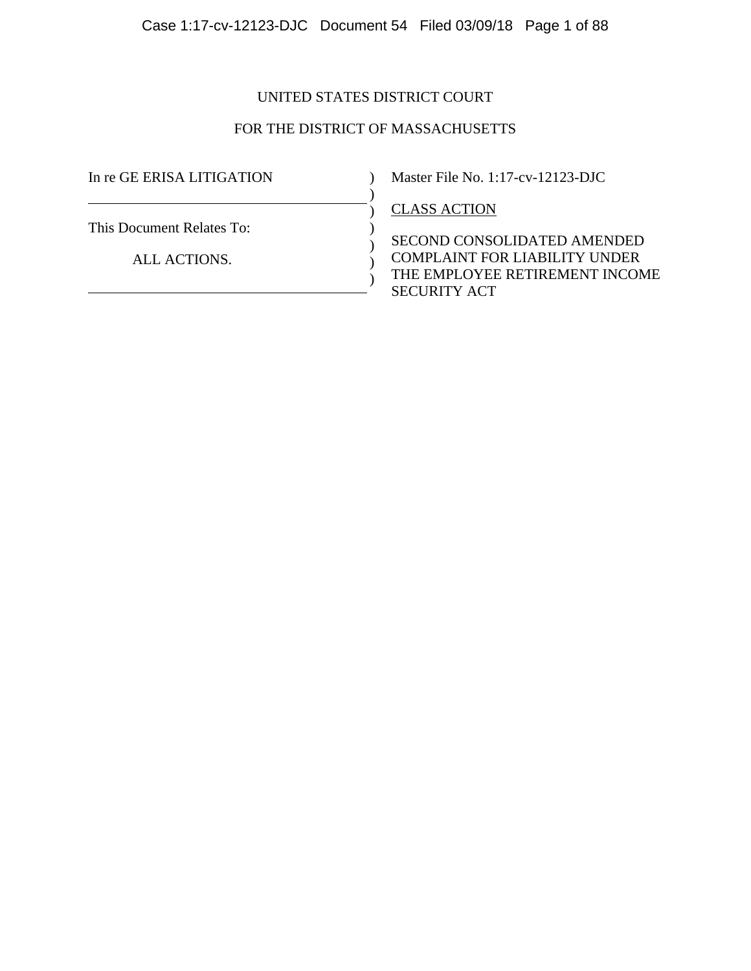# UNITED STATES DISTRICT COURT

# FOR THE DISTRICT OF MASSACHUSETTS

)  $\mathcal{L}$  $\mathcal{L}$ ) ) )

In re GE ERISA LITIGATION

This Document Relates To:

ALL ACTIONS.

) Master File No. 1:17-cv-12123-DJC

CLASS ACTION

SECOND CONSOLIDATED AMENDED COMPLAINT FOR LIABILITY UNDER THE EMPLOYEE RETIREMENT INCOME SECURITY ACT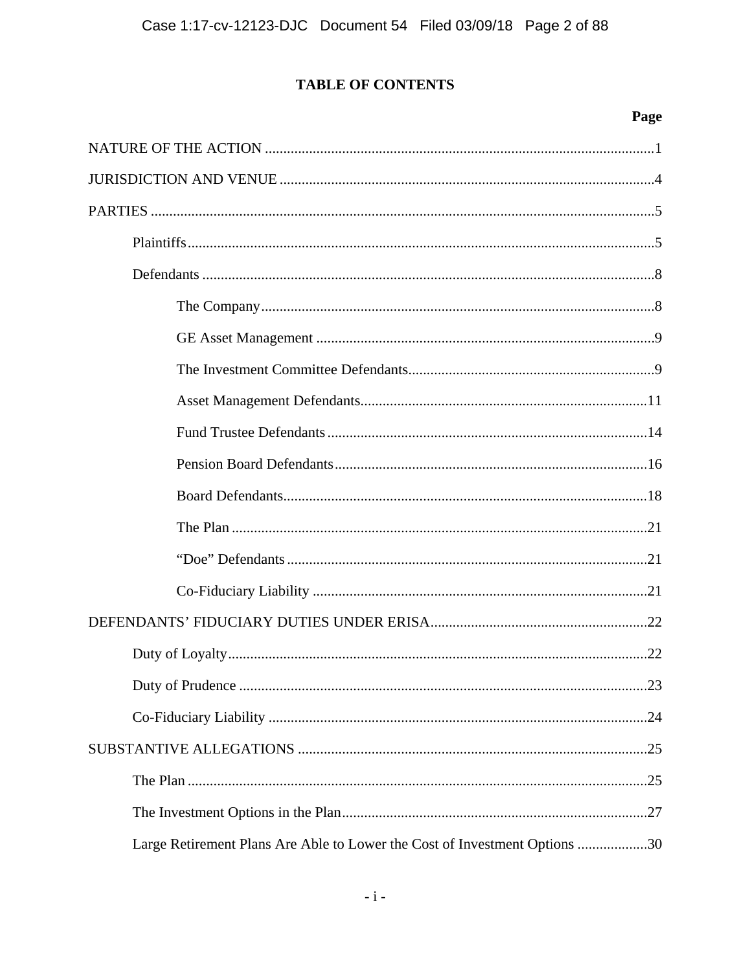# **TABLE OF CONTENTS**

# Page

| Large Retirement Plans Are Able to Lower the Cost of Investment Options 30 |  |  |  |  |
|----------------------------------------------------------------------------|--|--|--|--|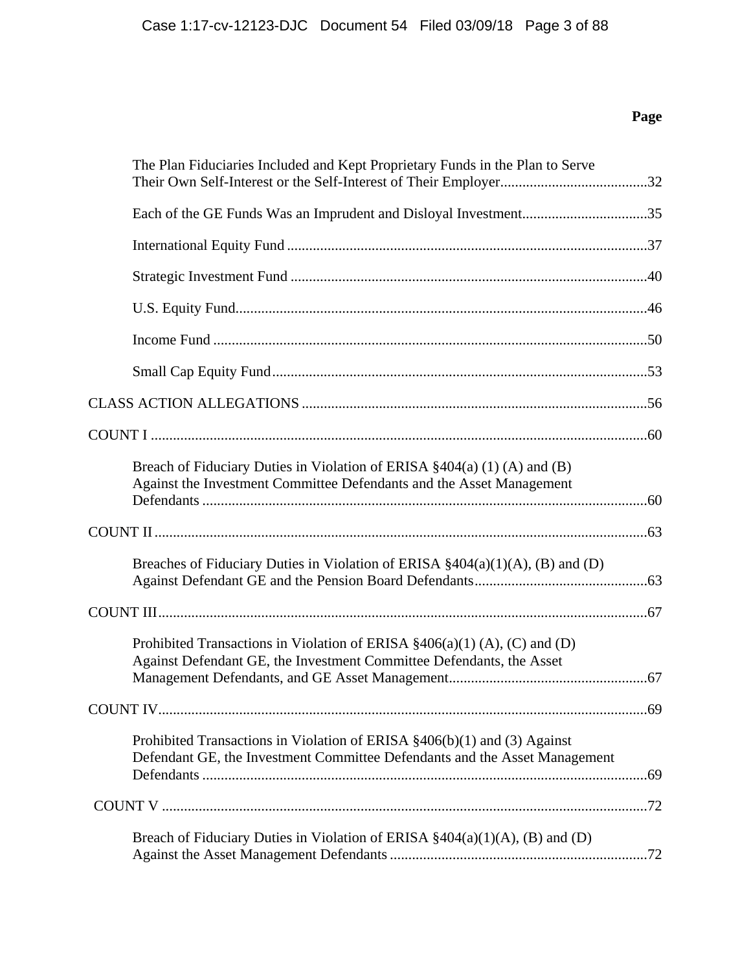# **Page**

| The Plan Fiduciaries Included and Kept Proprietary Funds in the Plan to Serve                                                                          |  |
|--------------------------------------------------------------------------------------------------------------------------------------------------------|--|
|                                                                                                                                                        |  |
|                                                                                                                                                        |  |
|                                                                                                                                                        |  |
|                                                                                                                                                        |  |
|                                                                                                                                                        |  |
|                                                                                                                                                        |  |
|                                                                                                                                                        |  |
|                                                                                                                                                        |  |
| Breach of Fiduciary Duties in Violation of ERISA $\S 404(a)$ (1) (A) and (B)<br>Against the Investment Committee Defendants and the Asset Management   |  |
|                                                                                                                                                        |  |
| Breaches of Fiduciary Duties in Violation of ERISA $\S 404(a)(1)(A)$ , (B) and (D)                                                                     |  |
|                                                                                                                                                        |  |
| Prohibited Transactions in Violation of ERISA $\S406(a)(1)$ (A), (C) and (D)<br>Against Defendant GE, the Investment Committee Defendants, the Asset   |  |
|                                                                                                                                                        |  |
| Prohibited Transactions in Violation of ERISA §406(b)(1) and (3) Against<br>Defendant GE, the Investment Committee Defendants and the Asset Management |  |
|                                                                                                                                                        |  |
| Breach of Fiduciary Duties in Violation of ERISA $\S 404(a)(1)(A)$ , (B) and (D)                                                                       |  |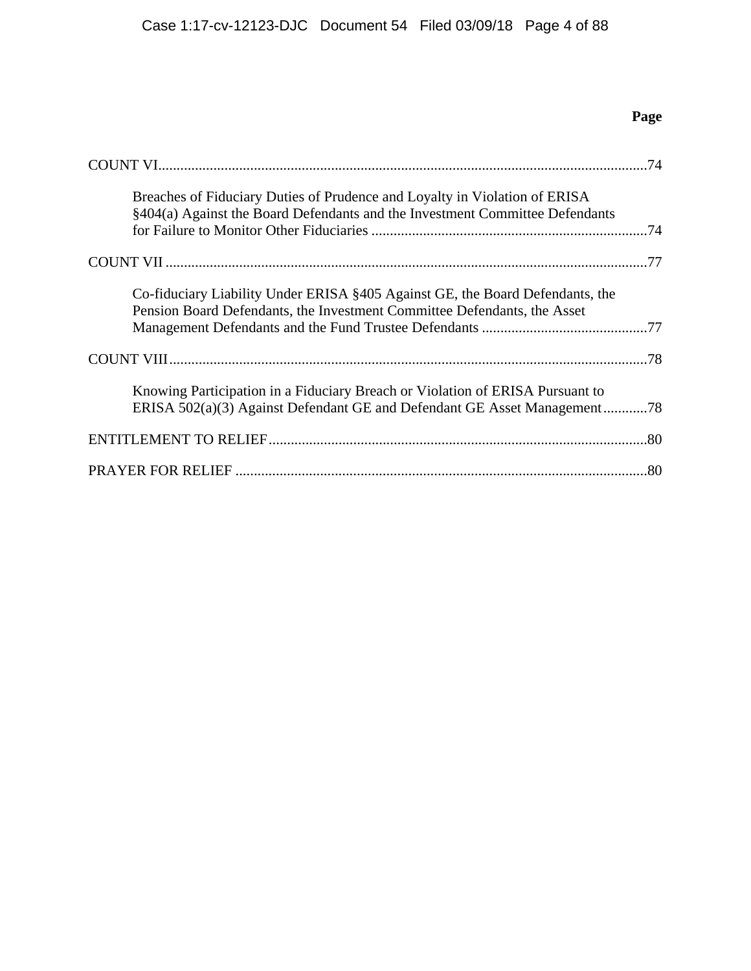# **Page**

| Breaches of Fiduciary Duties of Prudence and Loyalty in Violation of ERISA<br>§404(a) Against the Board Defendants and the Investment Committee Defendants |  |
|------------------------------------------------------------------------------------------------------------------------------------------------------------|--|
|                                                                                                                                                            |  |
| Co-fiduciary Liability Under ERISA §405 Against GE, the Board Defendants, the<br>Pension Board Defendants, the Investment Committee Defendants, the Asset  |  |
|                                                                                                                                                            |  |
| Knowing Participation in a Fiduciary Breach or Violation of ERISA Pursuant to<br>ERISA 502(a)(3) Against Defendant GE and Defendant GE Asset Management78  |  |
|                                                                                                                                                            |  |
|                                                                                                                                                            |  |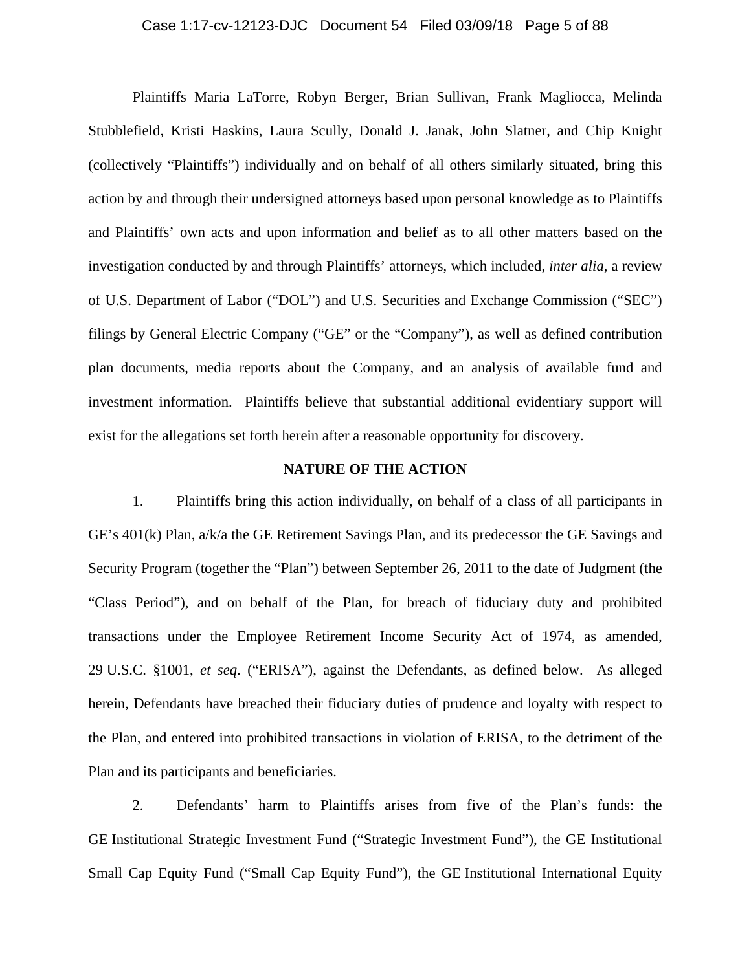### Case 1:17-cv-12123-DJC Document 54 Filed 03/09/18 Page 5 of 88

Plaintiffs Maria LaTorre, Robyn Berger, Brian Sullivan, Frank Magliocca, Melinda Stubblefield, Kristi Haskins, Laura Scully, Donald J. Janak, John Slatner, and Chip Knight (collectively "Plaintiffs") individually and on behalf of all others similarly situated, bring this action by and through their undersigned attorneys based upon personal knowledge as to Plaintiffs and Plaintiffs' own acts and upon information and belief as to all other matters based on the investigation conducted by and through Plaintiffs' attorneys, which included, *inter alia*, a review of U.S. Department of Labor ("DOL") and U.S. Securities and Exchange Commission ("SEC") filings by General Electric Company ("GE" or the "Company"), as well as defined contribution plan documents, media reports about the Company, and an analysis of available fund and investment information. Plaintiffs believe that substantial additional evidentiary support will exist for the allegations set forth herein after a reasonable opportunity for discovery.

### **NATURE OF THE ACTION**

1. Plaintiffs bring this action individually, on behalf of a class of all participants in GE's 401(k) Plan, a/k/a the GE Retirement Savings Plan, and its predecessor the GE Savings and Security Program (together the "Plan") between September 26, 2011 to the date of Judgment (the "Class Period"), and on behalf of the Plan, for breach of fiduciary duty and prohibited transactions under the Employee Retirement Income Security Act of 1974, as amended, 29 U.S.C. §1001, *et seq*. ("ERISA"), against the Defendants, as defined below. As alleged herein, Defendants have breached their fiduciary duties of prudence and loyalty with respect to the Plan, and entered into prohibited transactions in violation of ERISA, to the detriment of the Plan and its participants and beneficiaries.

2. Defendants' harm to Plaintiffs arises from five of the Plan's funds: the GE Institutional Strategic Investment Fund ("Strategic Investment Fund"), the GE Institutional Small Cap Equity Fund ("Small Cap Equity Fund"), the GE Institutional International Equity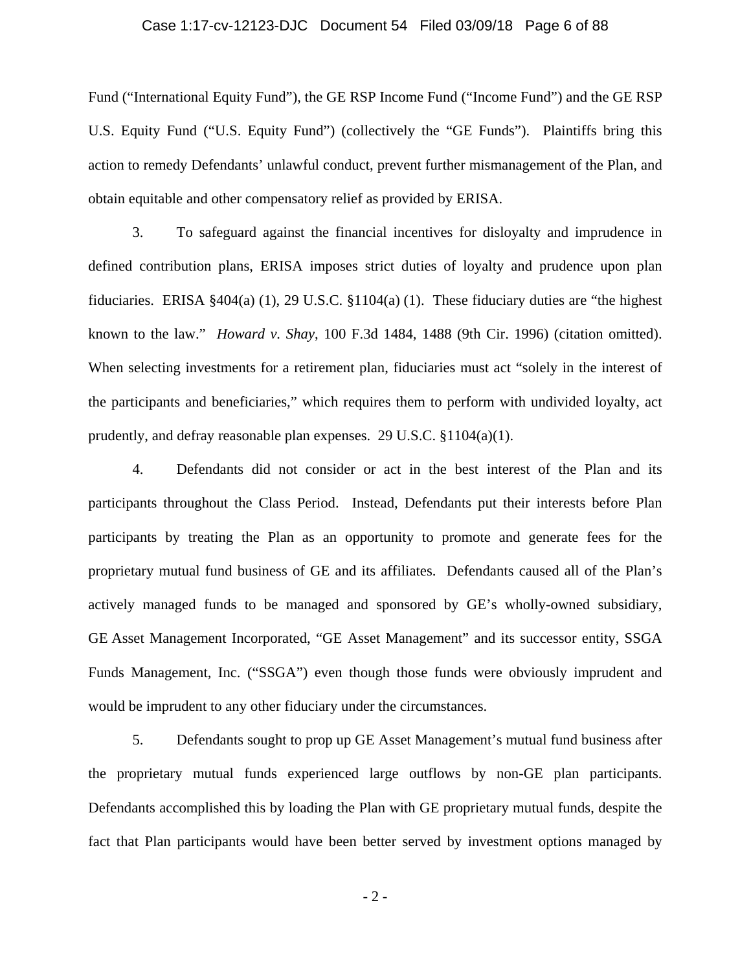### Case 1:17-cv-12123-DJC Document 54 Filed 03/09/18 Page 6 of 88

Fund ("International Equity Fund"), the GE RSP Income Fund ("Income Fund") and the GE RSP U.S. Equity Fund ("U.S. Equity Fund") (collectively the "GE Funds"). Plaintiffs bring this action to remedy Defendants' unlawful conduct, prevent further mismanagement of the Plan, and obtain equitable and other compensatory relief as provided by ERISA.

3. To safeguard against the financial incentives for disloyalty and imprudence in defined contribution plans, ERISA imposes strict duties of loyalty and prudence upon plan fiduciaries. ERISA  $\S 404(a)$  (1), 29 U.S.C.  $\S 1104(a)$  (1). These fiduciary duties are "the highest known to the law." *Howard v. Shay*, 100 F.3d 1484, 1488 (9th Cir. 1996) (citation omitted). When selecting investments for a retirement plan, fiduciaries must act "solely in the interest of the participants and beneficiaries," which requires them to perform with undivided loyalty, act prudently, and defray reasonable plan expenses. 29 U.S.C. §1104(a)(1).

4. Defendants did not consider or act in the best interest of the Plan and its participants throughout the Class Period. Instead, Defendants put their interests before Plan participants by treating the Plan as an opportunity to promote and generate fees for the proprietary mutual fund business of GE and its affiliates. Defendants caused all of the Plan's actively managed funds to be managed and sponsored by GE's wholly-owned subsidiary, GE Asset Management Incorporated, "GE Asset Management" and its successor entity, SSGA Funds Management, Inc. ("SSGA") even though those funds were obviously imprudent and would be imprudent to any other fiduciary under the circumstances.

5. Defendants sought to prop up GE Asset Management's mutual fund business after the proprietary mutual funds experienced large outflows by non-GE plan participants. Defendants accomplished this by loading the Plan with GE proprietary mutual funds, despite the fact that Plan participants would have been better served by investment options managed by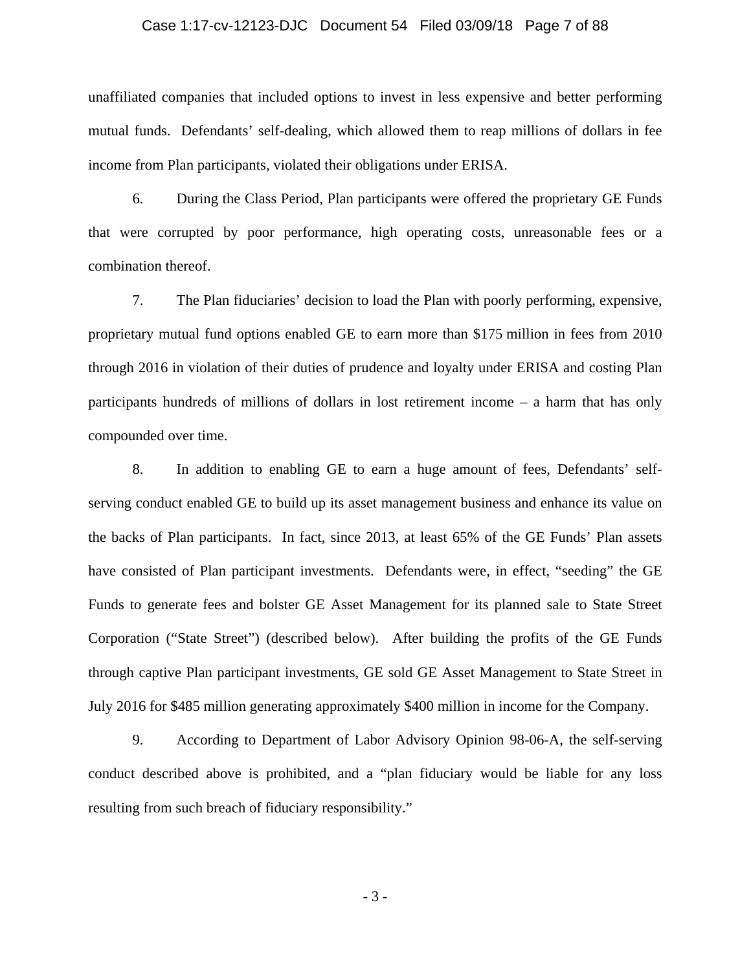#### Case 1:17-cv-12123-DJC Document 54 Filed 03/09/18 Page 7 of 88

unaffiliated companies that included options to invest in less expensive and better performing mutual funds. Defendants' self-dealing, which allowed them to reap millions of dollars in fee income from Plan participants, violated their obligations under ERISA.

6. During the Class Period, Plan participants were offered the proprietary GE Funds that were corrupted by poor performance, high operating costs, unreasonable fees or a combination thereof.

7. The Plan fiduciaries' decision to load the Plan with poorly performing, expensive, proprietary mutual fund options enabled GE to earn more than \$175 million in fees from 2010 through 2016 in violation of their duties of prudence and loyalty under ERISA and costing Plan participants hundreds of millions of dollars in lost retirement income – a harm that has only compounded over time.

8. In addition to enabling GE to earn a huge amount of fees, Defendants' selfserving conduct enabled GE to build up its asset management business and enhance its value on the backs of Plan participants. In fact, since 2013, at least 65% of the GE Funds' Plan assets have consisted of Plan participant investments. Defendants were, in effect, "seeding" the GE Funds to generate fees and bolster GE Asset Management for its planned sale to State Street Corporation ("State Street") (described below). After building the profits of the GE Funds through captive Plan participant investments, GE sold GE Asset Management to State Street in July 2016 for \$485 million generating approximately \$400 million in income for the Company.

9. According to Department of Labor Advisory Opinion 98-06-A, the self-serving conduct described above is prohibited, and a "plan fiduciary would be liable for any loss resulting from such breach of fiduciary responsibility."

- 3 -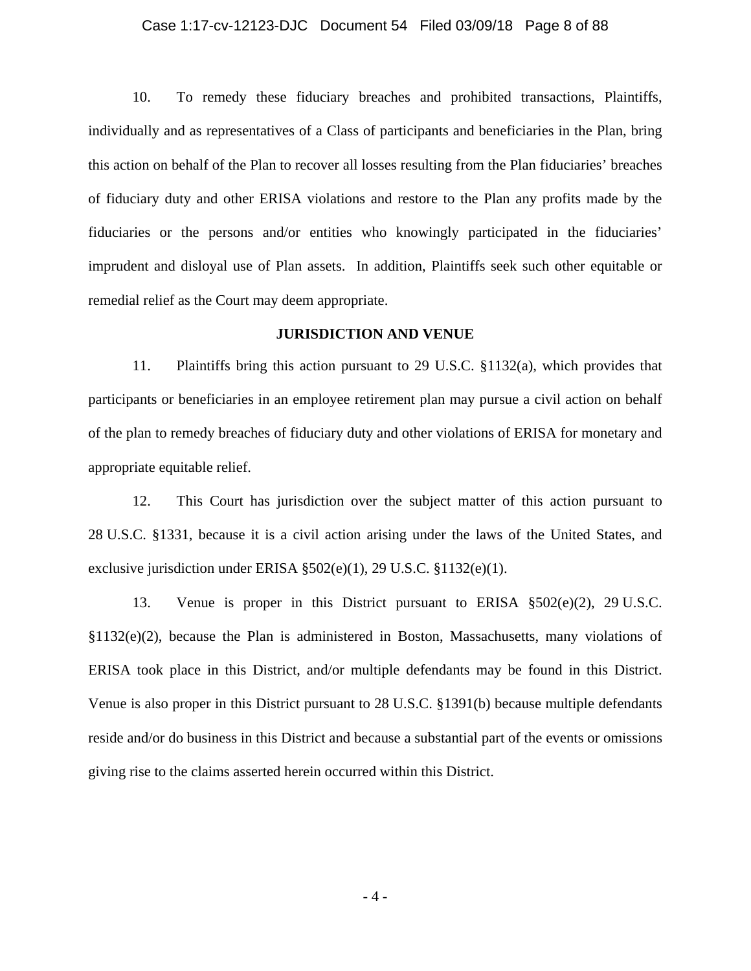### Case 1:17-cv-12123-DJC Document 54 Filed 03/09/18 Page 8 of 88

10. To remedy these fiduciary breaches and prohibited transactions, Plaintiffs, individually and as representatives of a Class of participants and beneficiaries in the Plan, bring this action on behalf of the Plan to recover all losses resulting from the Plan fiduciaries' breaches of fiduciary duty and other ERISA violations and restore to the Plan any profits made by the fiduciaries or the persons and/or entities who knowingly participated in the fiduciaries' imprudent and disloyal use of Plan assets. In addition, Plaintiffs seek such other equitable or remedial relief as the Court may deem appropriate.

#### **JURISDICTION AND VENUE**

11. Plaintiffs bring this action pursuant to 29 U.S.C. §1132(a), which provides that participants or beneficiaries in an employee retirement plan may pursue a civil action on behalf of the plan to remedy breaches of fiduciary duty and other violations of ERISA for monetary and appropriate equitable relief.

12. This Court has jurisdiction over the subject matter of this action pursuant to 28 U.S.C. §1331, because it is a civil action arising under the laws of the United States, and exclusive jurisdiction under ERISA §502(e)(1), 29 U.S.C. §1132(e)(1).

13. Venue is proper in this District pursuant to ERISA §502(e)(2), 29 U.S.C. §1132(e)(2), because the Plan is administered in Boston, Massachusetts, many violations of ERISA took place in this District, and/or multiple defendants may be found in this District. Venue is also proper in this District pursuant to 28 U.S.C. §1391(b) because multiple defendants reside and/or do business in this District and because a substantial part of the events or omissions giving rise to the claims asserted herein occurred within this District.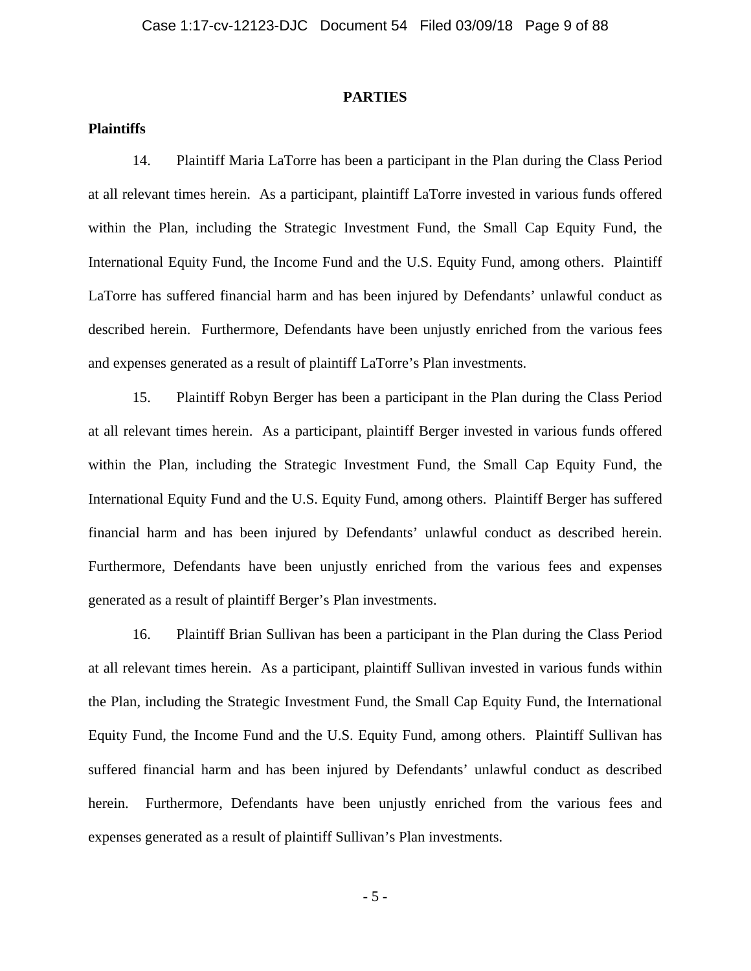#### **PARTIES**

## **Plaintiffs**

14. Plaintiff Maria LaTorre has been a participant in the Plan during the Class Period at all relevant times herein. As a participant, plaintiff LaTorre invested in various funds offered within the Plan, including the Strategic Investment Fund, the Small Cap Equity Fund, the International Equity Fund, the Income Fund and the U.S. Equity Fund, among others. Plaintiff LaTorre has suffered financial harm and has been injured by Defendants' unlawful conduct as described herein. Furthermore, Defendants have been unjustly enriched from the various fees and expenses generated as a result of plaintiff LaTorre's Plan investments.

15. Plaintiff Robyn Berger has been a participant in the Plan during the Class Period at all relevant times herein. As a participant, plaintiff Berger invested in various funds offered within the Plan, including the Strategic Investment Fund, the Small Cap Equity Fund, the International Equity Fund and the U.S. Equity Fund, among others. Plaintiff Berger has suffered financial harm and has been injured by Defendants' unlawful conduct as described herein. Furthermore, Defendants have been unjustly enriched from the various fees and expenses generated as a result of plaintiff Berger's Plan investments.

16. Plaintiff Brian Sullivan has been a participant in the Plan during the Class Period at all relevant times herein. As a participant, plaintiff Sullivan invested in various funds within the Plan, including the Strategic Investment Fund, the Small Cap Equity Fund, the International Equity Fund, the Income Fund and the U.S. Equity Fund, among others. Plaintiff Sullivan has suffered financial harm and has been injured by Defendants' unlawful conduct as described herein. Furthermore, Defendants have been unjustly enriched from the various fees and expenses generated as a result of plaintiff Sullivan's Plan investments.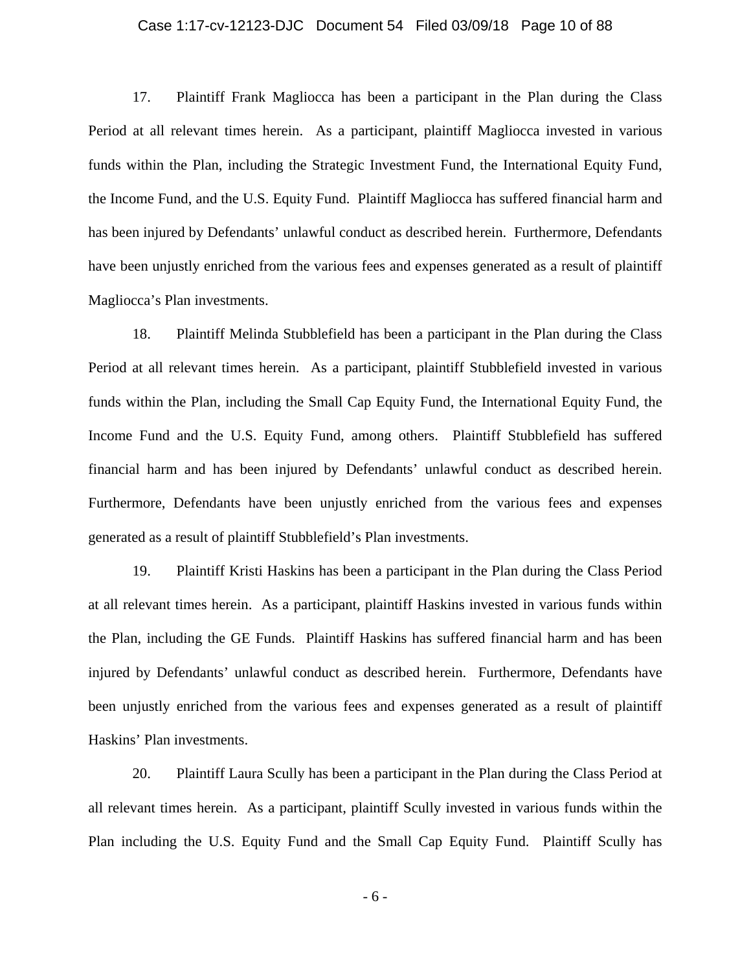### Case 1:17-cv-12123-DJC Document 54 Filed 03/09/18 Page 10 of 88

17. Plaintiff Frank Magliocca has been a participant in the Plan during the Class Period at all relevant times herein. As a participant, plaintiff Magliocca invested in various funds within the Plan, including the Strategic Investment Fund, the International Equity Fund, the Income Fund, and the U.S. Equity Fund. Plaintiff Magliocca has suffered financial harm and has been injured by Defendants' unlawful conduct as described herein. Furthermore, Defendants have been unjustly enriched from the various fees and expenses generated as a result of plaintiff Magliocca's Plan investments.

18. Plaintiff Melinda Stubblefield has been a participant in the Plan during the Class Period at all relevant times herein. As a participant, plaintiff Stubblefield invested in various funds within the Plan, including the Small Cap Equity Fund, the International Equity Fund, the Income Fund and the U.S. Equity Fund, among others. Plaintiff Stubblefield has suffered financial harm and has been injured by Defendants' unlawful conduct as described herein. Furthermore, Defendants have been unjustly enriched from the various fees and expenses generated as a result of plaintiff Stubblefield's Plan investments.

19. Plaintiff Kristi Haskins has been a participant in the Plan during the Class Period at all relevant times herein. As a participant, plaintiff Haskins invested in various funds within the Plan, including the GE Funds. Plaintiff Haskins has suffered financial harm and has been injured by Defendants' unlawful conduct as described herein. Furthermore, Defendants have been unjustly enriched from the various fees and expenses generated as a result of plaintiff Haskins' Plan investments.

20. Plaintiff Laura Scully has been a participant in the Plan during the Class Period at all relevant times herein. As a participant, plaintiff Scully invested in various funds within the Plan including the U.S. Equity Fund and the Small Cap Equity Fund. Plaintiff Scully has

- 6 -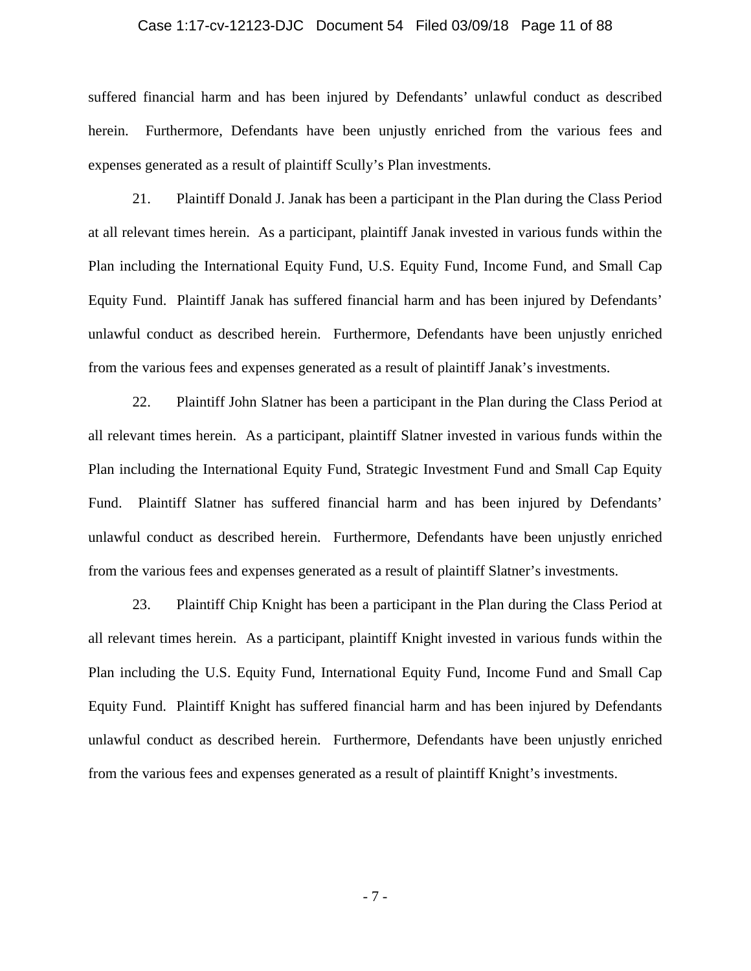### Case 1:17-cv-12123-DJC Document 54 Filed 03/09/18 Page 11 of 88

suffered financial harm and has been injured by Defendants' unlawful conduct as described herein. Furthermore, Defendants have been unjustly enriched from the various fees and expenses generated as a result of plaintiff Scully's Plan investments.

21. Plaintiff Donald J. Janak has been a participant in the Plan during the Class Period at all relevant times herein. As a participant, plaintiff Janak invested in various funds within the Plan including the International Equity Fund, U.S. Equity Fund, Income Fund, and Small Cap Equity Fund. Plaintiff Janak has suffered financial harm and has been injured by Defendants' unlawful conduct as described herein. Furthermore, Defendants have been unjustly enriched from the various fees and expenses generated as a result of plaintiff Janak's investments.

22. Plaintiff John Slatner has been a participant in the Plan during the Class Period at all relevant times herein. As a participant, plaintiff Slatner invested in various funds within the Plan including the International Equity Fund, Strategic Investment Fund and Small Cap Equity Fund. Plaintiff Slatner has suffered financial harm and has been injured by Defendants' unlawful conduct as described herein. Furthermore, Defendants have been unjustly enriched from the various fees and expenses generated as a result of plaintiff Slatner's investments.

23. Plaintiff Chip Knight has been a participant in the Plan during the Class Period at all relevant times herein. As a participant, plaintiff Knight invested in various funds within the Plan including the U.S. Equity Fund, International Equity Fund, Income Fund and Small Cap Equity Fund. Plaintiff Knight has suffered financial harm and has been injured by Defendants unlawful conduct as described herein. Furthermore, Defendants have been unjustly enriched from the various fees and expenses generated as a result of plaintiff Knight's investments.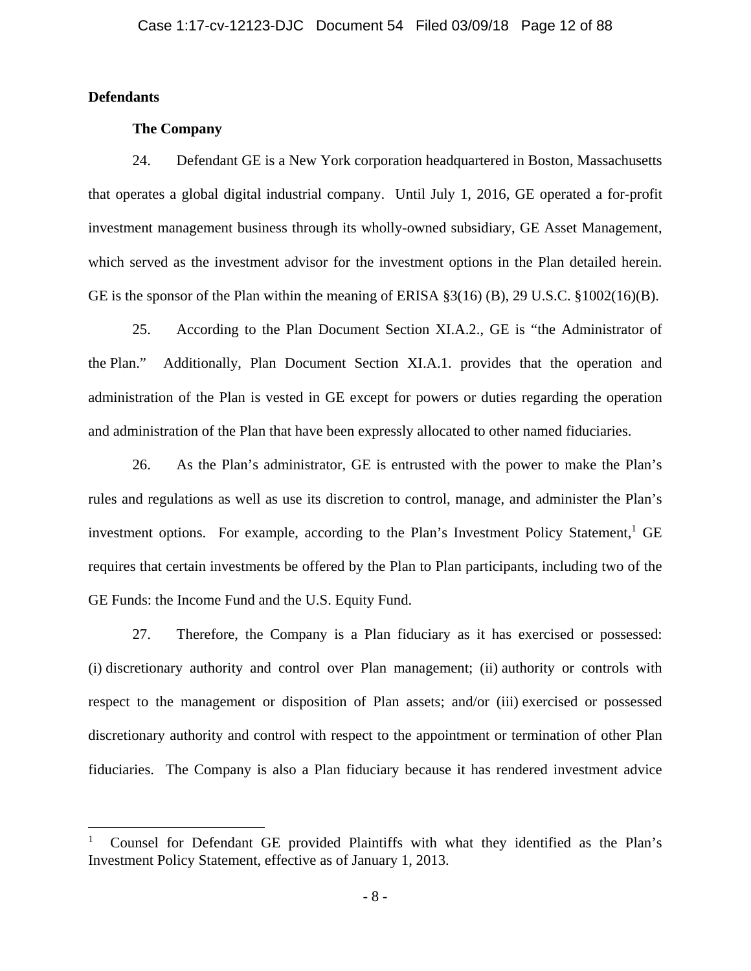# **Defendants**

1

## **The Company**

24. Defendant GE is a New York corporation headquartered in Boston, Massachusetts that operates a global digital industrial company. Until July 1, 2016, GE operated a for-profit investment management business through its wholly-owned subsidiary, GE Asset Management, which served as the investment advisor for the investment options in the Plan detailed herein. GE is the sponsor of the Plan within the meaning of ERISA §3(16) (B), 29 U.S.C. §1002(16)(B).

25. According to the Plan Document Section XI.A.2., GE is "the Administrator of the Plan." Additionally, Plan Document Section XI.A.1. provides that the operation and administration of the Plan is vested in GE except for powers or duties regarding the operation and administration of the Plan that have been expressly allocated to other named fiduciaries.

26. As the Plan's administrator, GE is entrusted with the power to make the Plan's rules and regulations as well as use its discretion to control, manage, and administer the Plan's investment options. For example, according to the Plan's Investment Policy Statement,<sup>1</sup> GE requires that certain investments be offered by the Plan to Plan participants, including two of the GE Funds: the Income Fund and the U.S. Equity Fund.

27. Therefore, the Company is a Plan fiduciary as it has exercised or possessed: (i) discretionary authority and control over Plan management; (ii) authority or controls with respect to the management or disposition of Plan assets; and/or (iii) exercised or possessed discretionary authority and control with respect to the appointment or termination of other Plan fiduciaries. The Company is also a Plan fiduciary because it has rendered investment advice

<sup>1</sup> Counsel for Defendant GE provided Plaintiffs with what they identified as the Plan's Investment Policy Statement, effective as of January 1, 2013.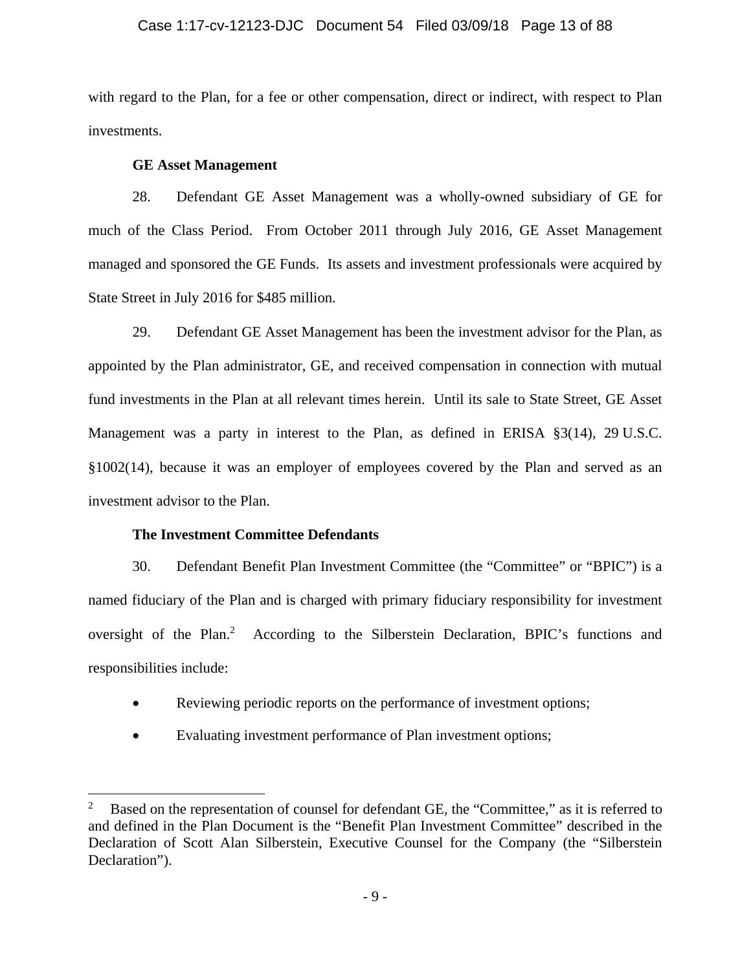## Case 1:17-cv-12123-DJC Document 54 Filed 03/09/18 Page 13 of 88

with regard to the Plan, for a fee or other compensation, direct or indirect, with respect to Plan investments.

## **GE Asset Management**

28. Defendant GE Asset Management was a wholly-owned subsidiary of GE for much of the Class Period. From October 2011 through July 2016, GE Asset Management managed and sponsored the GE Funds. Its assets and investment professionals were acquired by State Street in July 2016 for \$485 million.

29. Defendant GE Asset Management has been the investment advisor for the Plan, as appointed by the Plan administrator, GE, and received compensation in connection with mutual fund investments in the Plan at all relevant times herein. Until its sale to State Street, GE Asset Management was a party in interest to the Plan, as defined in ERISA §3(14), 29 U.S.C. §1002(14), because it was an employer of employees covered by the Plan and served as an investment advisor to the Plan.

# **The Investment Committee Defendants**

 $\overline{a}$ 

30. Defendant Benefit Plan Investment Committee (the "Committee" or "BPIC") is a named fiduciary of the Plan and is charged with primary fiduciary responsibility for investment oversight of the Plan.<sup>2</sup> According to the Silberstein Declaration, BPIC's functions and responsibilities include:

- Reviewing periodic reports on the performance of investment options;
- Evaluating investment performance of Plan investment options;

<sup>2</sup> Based on the representation of counsel for defendant GE, the "Committee," as it is referred to and defined in the Plan Document is the "Benefit Plan Investment Committee" described in the Declaration of Scott Alan Silberstein, Executive Counsel for the Company (the "Silberstein Declaration").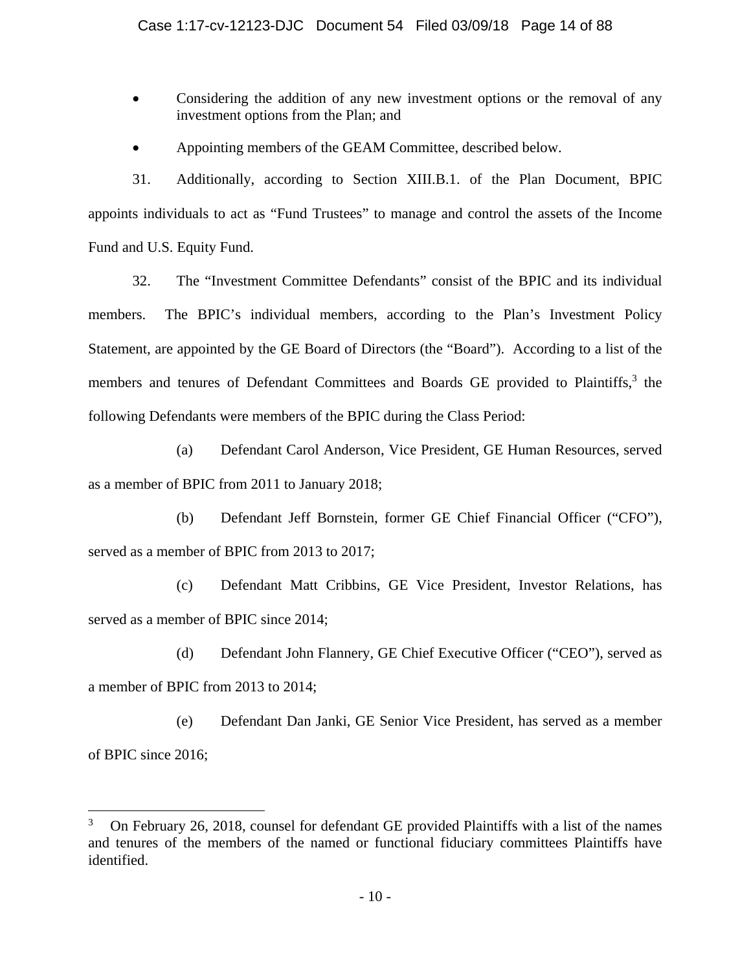- Considering the addition of any new investment options or the removal of any investment options from the Plan; and
- Appointing members of the GEAM Committee, described below.

31. Additionally, according to Section XIII.B.1. of the Plan Document, BPIC appoints individuals to act as "Fund Trustees" to manage and control the assets of the Income Fund and U.S. Equity Fund.

32. The "Investment Committee Defendants" consist of the BPIC and its individual members. The BPIC's individual members, according to the Plan's Investment Policy Statement, are appointed by the GE Board of Directors (the "Board"). According to a list of the members and tenures of Defendant Committees and Boards GE provided to Plaintiffs,<sup>3</sup> the following Defendants were members of the BPIC during the Class Period:

(a) Defendant Carol Anderson, Vice President, GE Human Resources, served as a member of BPIC from 2011 to January 2018;

(b) Defendant Jeff Bornstein, former GE Chief Financial Officer ("CFO"), served as a member of BPIC from 2013 to 2017;

(c) Defendant Matt Cribbins, GE Vice President, Investor Relations, has served as a member of BPIC since 2014;

(d) Defendant John Flannery, GE Chief Executive Officer ("CEO"), served as a member of BPIC from 2013 to 2014;

(e) Defendant Dan Janki, GE Senior Vice President, has served as a member of BPIC since 2016;

1

<sup>3</sup> On February 26, 2018, counsel for defendant GE provided Plaintiffs with a list of the names and tenures of the members of the named or functional fiduciary committees Plaintiffs have identified.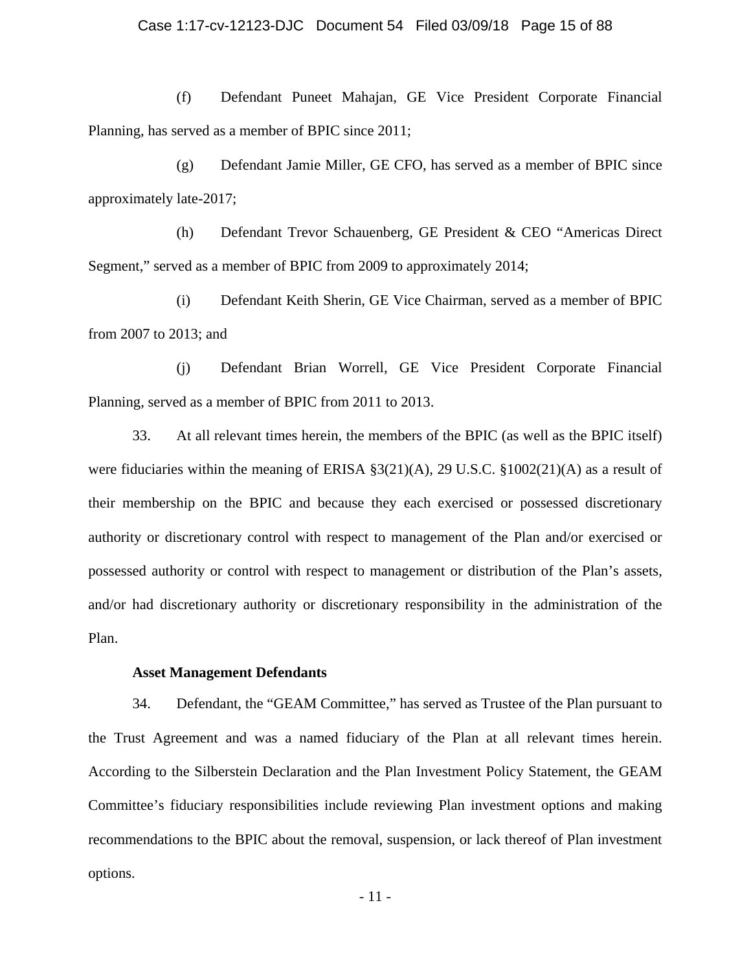### Case 1:17-cv-12123-DJC Document 54 Filed 03/09/18 Page 15 of 88

(f) Defendant Puneet Mahajan, GE Vice President Corporate Financial Planning, has served as a member of BPIC since 2011;

(g) Defendant Jamie Miller, GE CFO, has served as a member of BPIC since approximately late-2017;

(h) Defendant Trevor Schauenberg, GE President & CEO "Americas Direct Segment," served as a member of BPIC from 2009 to approximately 2014;

(i) Defendant Keith Sherin, GE Vice Chairman, served as a member of BPIC from 2007 to 2013; and

(j) Defendant Brian Worrell, GE Vice President Corporate Financial Planning, served as a member of BPIC from 2011 to 2013.

33. At all relevant times herein, the members of the BPIC (as well as the BPIC itself) were fiduciaries within the meaning of ERISA §3(21)(A), 29 U.S.C. §1002(21)(A) as a result of their membership on the BPIC and because they each exercised or possessed discretionary authority or discretionary control with respect to management of the Plan and/or exercised or possessed authority or control with respect to management or distribution of the Plan's assets, and/or had discretionary authority or discretionary responsibility in the administration of the Plan.

## **Asset Management Defendants**

34. Defendant, the "GEAM Committee," has served as Trustee of the Plan pursuant to the Trust Agreement and was a named fiduciary of the Plan at all relevant times herein. According to the Silberstein Declaration and the Plan Investment Policy Statement, the GEAM Committee's fiduciary responsibilities include reviewing Plan investment options and making recommendations to the BPIC about the removal, suspension, or lack thereof of Plan investment options.

- 11 -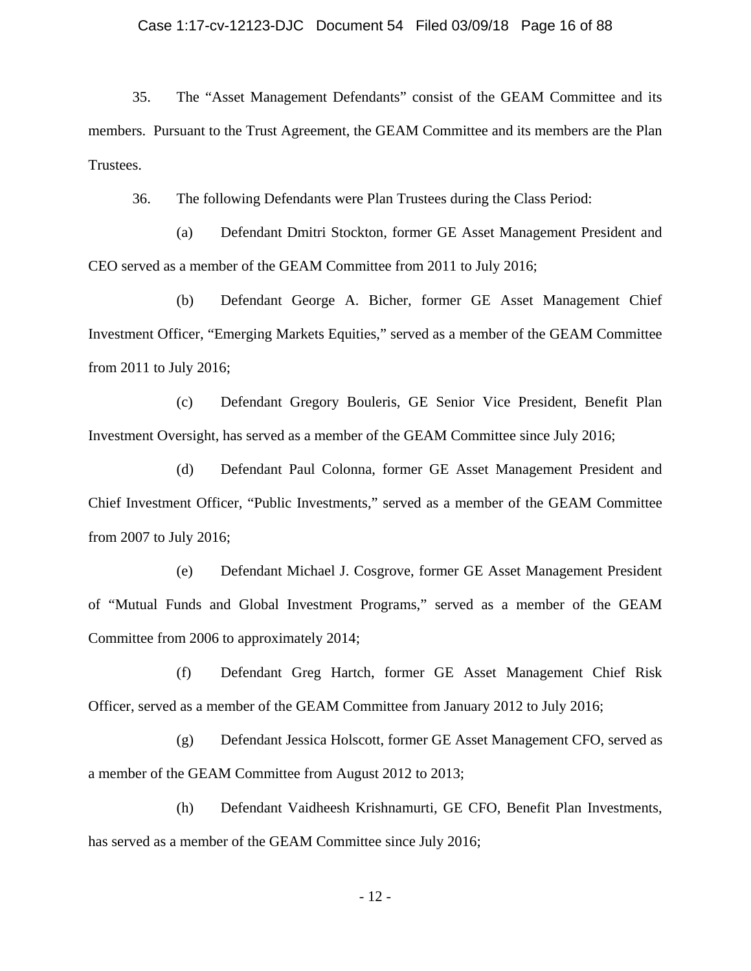### Case 1:17-cv-12123-DJC Document 54 Filed 03/09/18 Page 16 of 88

35. The "Asset Management Defendants" consist of the GEAM Committee and its members. Pursuant to the Trust Agreement, the GEAM Committee and its members are the Plan Trustees.

36. The following Defendants were Plan Trustees during the Class Period:

(a) Defendant Dmitri Stockton, former GE Asset Management President and CEO served as a member of the GEAM Committee from 2011 to July 2016;

(b) Defendant George A. Bicher, former GE Asset Management Chief Investment Officer, "Emerging Markets Equities," served as a member of the GEAM Committee from 2011 to July 2016;

(c) Defendant Gregory Bouleris, GE Senior Vice President, Benefit Plan Investment Oversight, has served as a member of the GEAM Committee since July 2016;

(d) Defendant Paul Colonna, former GE Asset Management President and Chief Investment Officer, "Public Investments," served as a member of the GEAM Committee from 2007 to July 2016;

(e) Defendant Michael J. Cosgrove, former GE Asset Management President of "Mutual Funds and Global Investment Programs," served as a member of the GEAM Committee from 2006 to approximately 2014;

(f) Defendant Greg Hartch, former GE Asset Management Chief Risk Officer, served as a member of the GEAM Committee from January 2012 to July 2016;

(g) Defendant Jessica Holscott, former GE Asset Management CFO, served as a member of the GEAM Committee from August 2012 to 2013;

(h) Defendant Vaidheesh Krishnamurti, GE CFO, Benefit Plan Investments, has served as a member of the GEAM Committee since July 2016;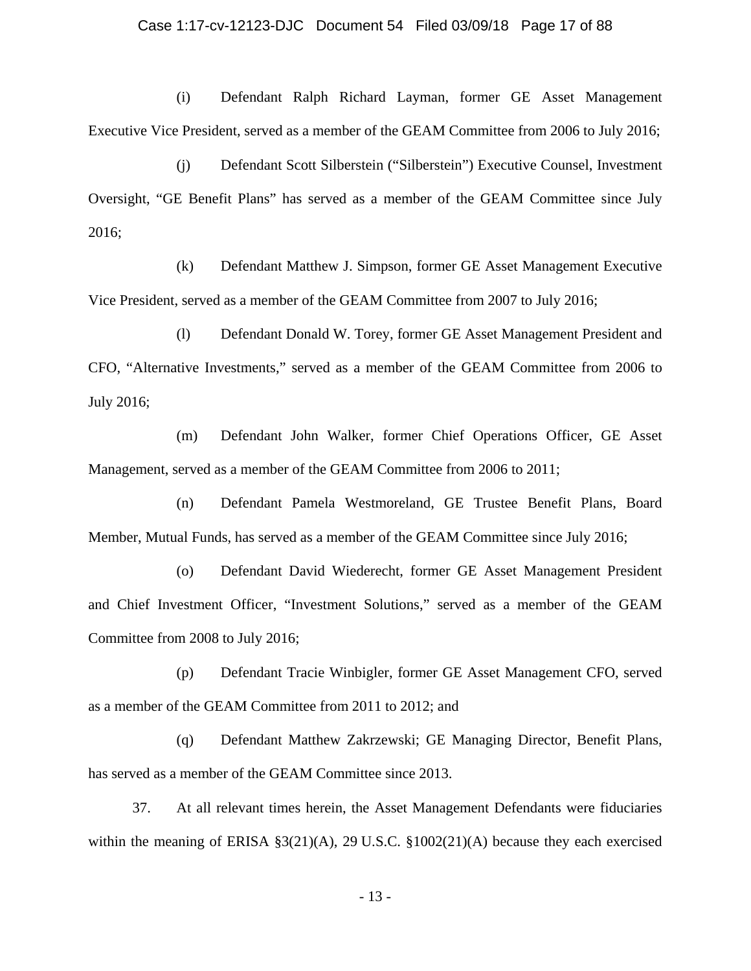#### Case 1:17-cv-12123-DJC Document 54 Filed 03/09/18 Page 17 of 88

(i) Defendant Ralph Richard Layman, former GE Asset Management Executive Vice President, served as a member of the GEAM Committee from 2006 to July 2016;

(j) Defendant Scott Silberstein ("Silberstein") Executive Counsel, Investment Oversight, "GE Benefit Plans" has served as a member of the GEAM Committee since July 2016;

(k) Defendant Matthew J. Simpson, former GE Asset Management Executive Vice President, served as a member of the GEAM Committee from 2007 to July 2016;

(l) Defendant Donald W. Torey, former GE Asset Management President and CFO, "Alternative Investments," served as a member of the GEAM Committee from 2006 to July 2016;

(m) Defendant John Walker, former Chief Operations Officer, GE Asset Management, served as a member of the GEAM Committee from 2006 to 2011;

(n) Defendant Pamela Westmoreland, GE Trustee Benefit Plans, Board Member, Mutual Funds, has served as a member of the GEAM Committee since July 2016;

(o) Defendant David Wiederecht, former GE Asset Management President and Chief Investment Officer, "Investment Solutions," served as a member of the GEAM Committee from 2008 to July 2016;

(p) Defendant Tracie Winbigler, former GE Asset Management CFO, served as a member of the GEAM Committee from 2011 to 2012; and

(q) Defendant Matthew Zakrzewski; GE Managing Director, Benefit Plans, has served as a member of the GEAM Committee since 2013.

37. At all relevant times herein, the Asset Management Defendants were fiduciaries within the meaning of ERISA §3(21)(A), 29 U.S.C. §1002(21)(A) because they each exercised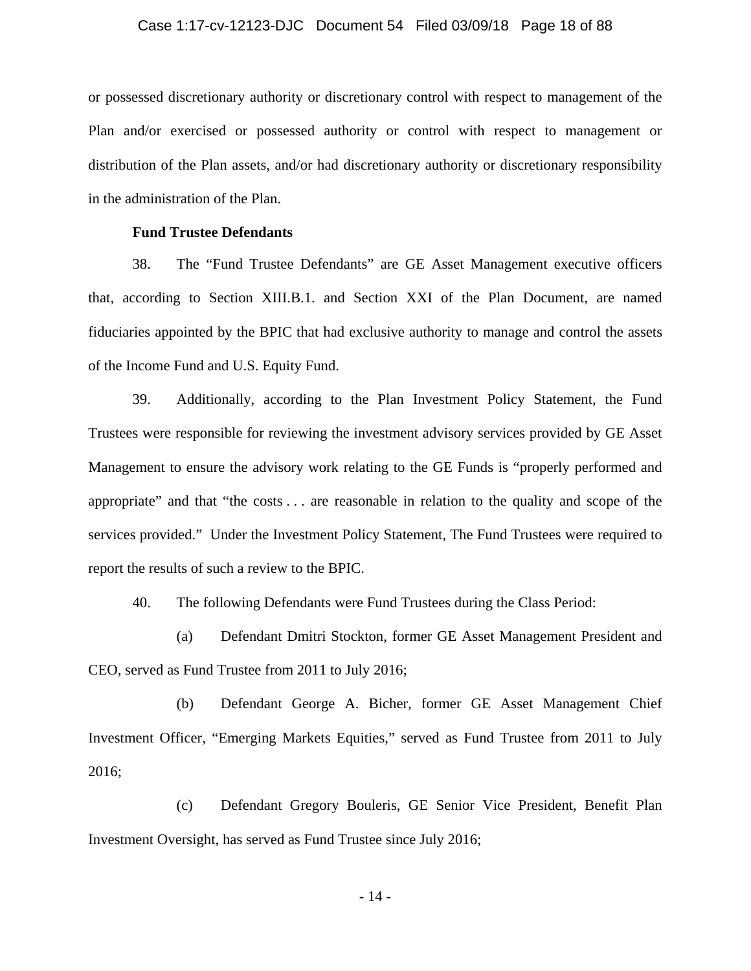### Case 1:17-cv-12123-DJC Document 54 Filed 03/09/18 Page 18 of 88

or possessed discretionary authority or discretionary control with respect to management of the Plan and/or exercised or possessed authority or control with respect to management or distribution of the Plan assets, and/or had discretionary authority or discretionary responsibility in the administration of the Plan.

## **Fund Trustee Defendants**

38. The "Fund Trustee Defendants" are GE Asset Management executive officers that, according to Section XIII.B.1. and Section XXI of the Plan Document, are named fiduciaries appointed by the BPIC that had exclusive authority to manage and control the assets of the Income Fund and U.S. Equity Fund.

39. Additionally, according to the Plan Investment Policy Statement, the Fund Trustees were responsible for reviewing the investment advisory services provided by GE Asset Management to ensure the advisory work relating to the GE Funds is "properly performed and appropriate" and that "the costs . . . are reasonable in relation to the quality and scope of the services provided." Under the Investment Policy Statement, The Fund Trustees were required to report the results of such a review to the BPIC.

40. The following Defendants were Fund Trustees during the Class Period:

(a) Defendant Dmitri Stockton, former GE Asset Management President and CEO, served as Fund Trustee from 2011 to July 2016;

(b) Defendant George A. Bicher, former GE Asset Management Chief Investment Officer, "Emerging Markets Equities," served as Fund Trustee from 2011 to July 2016;

(c) Defendant Gregory Bouleris, GE Senior Vice President, Benefit Plan Investment Oversight, has served as Fund Trustee since July 2016;

- 14 -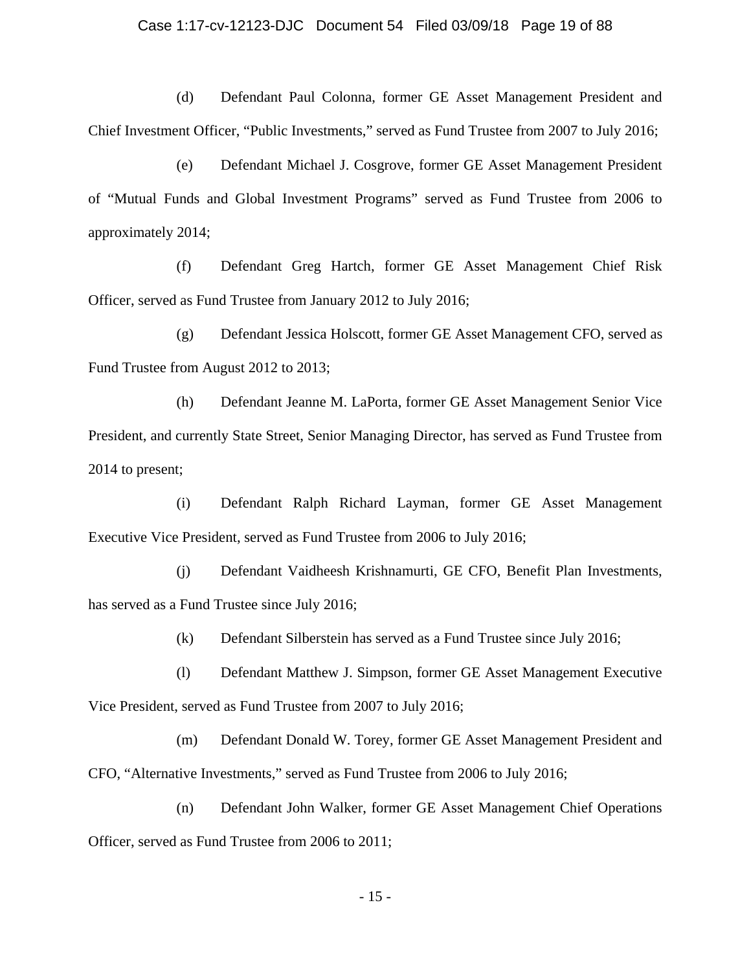#### Case 1:17-cv-12123-DJC Document 54 Filed 03/09/18 Page 19 of 88

(d) Defendant Paul Colonna, former GE Asset Management President and Chief Investment Officer, "Public Investments," served as Fund Trustee from 2007 to July 2016;

(e) Defendant Michael J. Cosgrove, former GE Asset Management President of "Mutual Funds and Global Investment Programs" served as Fund Trustee from 2006 to approximately 2014;

(f) Defendant Greg Hartch, former GE Asset Management Chief Risk Officer, served as Fund Trustee from January 2012 to July 2016;

(g) Defendant Jessica Holscott, former GE Asset Management CFO, served as Fund Trustee from August 2012 to 2013;

(h) Defendant Jeanne M. LaPorta, former GE Asset Management Senior Vice President, and currently State Street, Senior Managing Director, has served as Fund Trustee from 2014 to present;

(i) Defendant Ralph Richard Layman, former GE Asset Management Executive Vice President, served as Fund Trustee from 2006 to July 2016;

(j) Defendant Vaidheesh Krishnamurti, GE CFO, Benefit Plan Investments, has served as a Fund Trustee since July 2016;

(k) Defendant Silberstein has served as a Fund Trustee since July 2016;

(l) Defendant Matthew J. Simpson, former GE Asset Management Executive Vice President, served as Fund Trustee from 2007 to July 2016;

(m) Defendant Donald W. Torey, former GE Asset Management President and CFO, "Alternative Investments," served as Fund Trustee from 2006 to July 2016;

(n) Defendant John Walker, former GE Asset Management Chief Operations Officer, served as Fund Trustee from 2006 to 2011;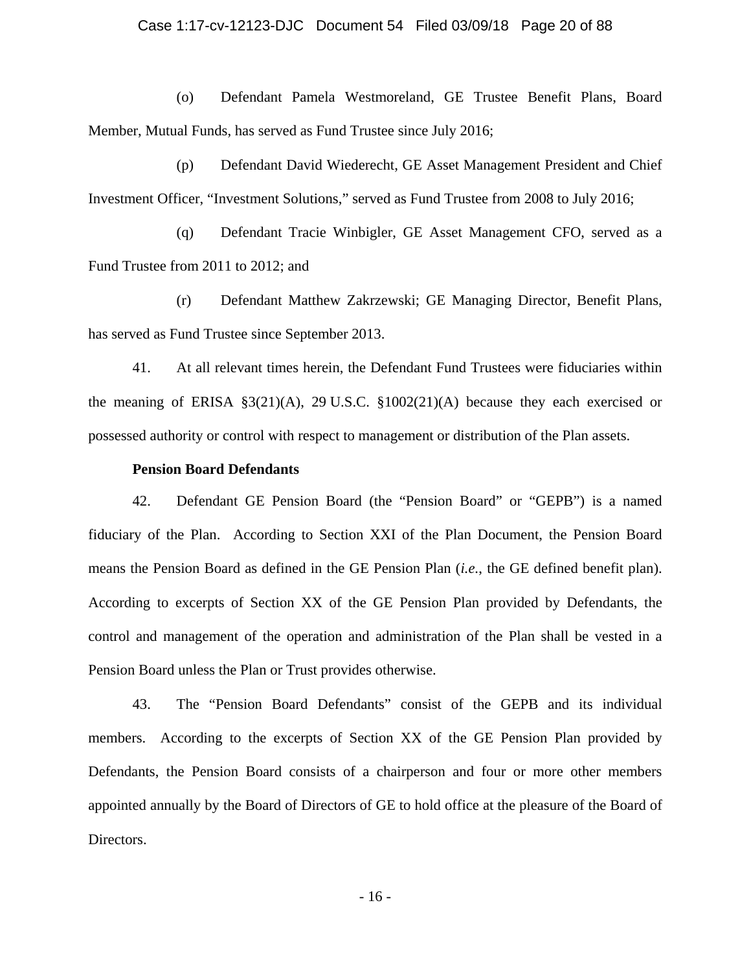### Case 1:17-cv-12123-DJC Document 54 Filed 03/09/18 Page 20 of 88

(o) Defendant Pamela Westmoreland, GE Trustee Benefit Plans, Board Member, Mutual Funds, has served as Fund Trustee since July 2016;

(p) Defendant David Wiederecht, GE Asset Management President and Chief Investment Officer, "Investment Solutions," served as Fund Trustee from 2008 to July 2016;

(q) Defendant Tracie Winbigler, GE Asset Management CFO, served as a Fund Trustee from 2011 to 2012; and

(r) Defendant Matthew Zakrzewski; GE Managing Director, Benefit Plans, has served as Fund Trustee since September 2013.

41. At all relevant times herein, the Defendant Fund Trustees were fiduciaries within the meaning of ERISA §3(21)(A), 29 U.S.C. §1002(21)(A) because they each exercised or possessed authority or control with respect to management or distribution of the Plan assets.

#### **Pension Board Defendants**

42. Defendant GE Pension Board (the "Pension Board" or "GEPB") is a named fiduciary of the Plan. According to Section XXI of the Plan Document, the Pension Board means the Pension Board as defined in the GE Pension Plan (*i.e.*, the GE defined benefit plan). According to excerpts of Section XX of the GE Pension Plan provided by Defendants, the control and management of the operation and administration of the Plan shall be vested in a Pension Board unless the Plan or Trust provides otherwise.

43. The "Pension Board Defendants" consist of the GEPB and its individual members. According to the excerpts of Section XX of the GE Pension Plan provided by Defendants, the Pension Board consists of a chairperson and four or more other members appointed annually by the Board of Directors of GE to hold office at the pleasure of the Board of Directors.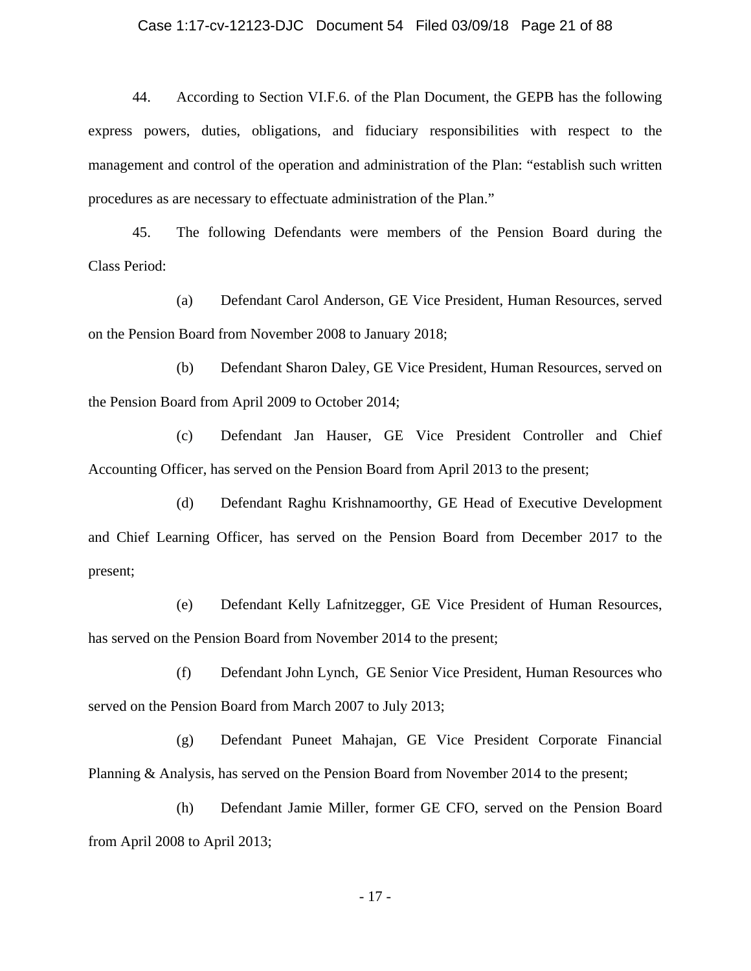#### Case 1:17-cv-12123-DJC Document 54 Filed 03/09/18 Page 21 of 88

44. According to Section VI.F.6. of the Plan Document, the GEPB has the following express powers, duties, obligations, and fiduciary responsibilities with respect to the management and control of the operation and administration of the Plan: "establish such written procedures as are necessary to effectuate administration of the Plan."

45. The following Defendants were members of the Pension Board during the Class Period:

(a) Defendant Carol Anderson, GE Vice President, Human Resources, served on the Pension Board from November 2008 to January 2018;

(b) Defendant Sharon Daley, GE Vice President, Human Resources, served on the Pension Board from April 2009 to October 2014;

(c) Defendant Jan Hauser, GE Vice President Controller and Chief Accounting Officer, has served on the Pension Board from April 2013 to the present;

(d) Defendant Raghu Krishnamoorthy, GE Head of Executive Development and Chief Learning Officer, has served on the Pension Board from December 2017 to the present;

(e) Defendant Kelly Lafnitzegger, GE Vice President of Human Resources, has served on the Pension Board from November 2014 to the present;

(f) Defendant John Lynch, GE Senior Vice President, Human Resources who served on the Pension Board from March 2007 to July 2013;

(g) Defendant Puneet Mahajan, GE Vice President Corporate Financial Planning & Analysis, has served on the Pension Board from November 2014 to the present;

(h) Defendant Jamie Miller, former GE CFO, served on the Pension Board from April 2008 to April 2013;

- 17 -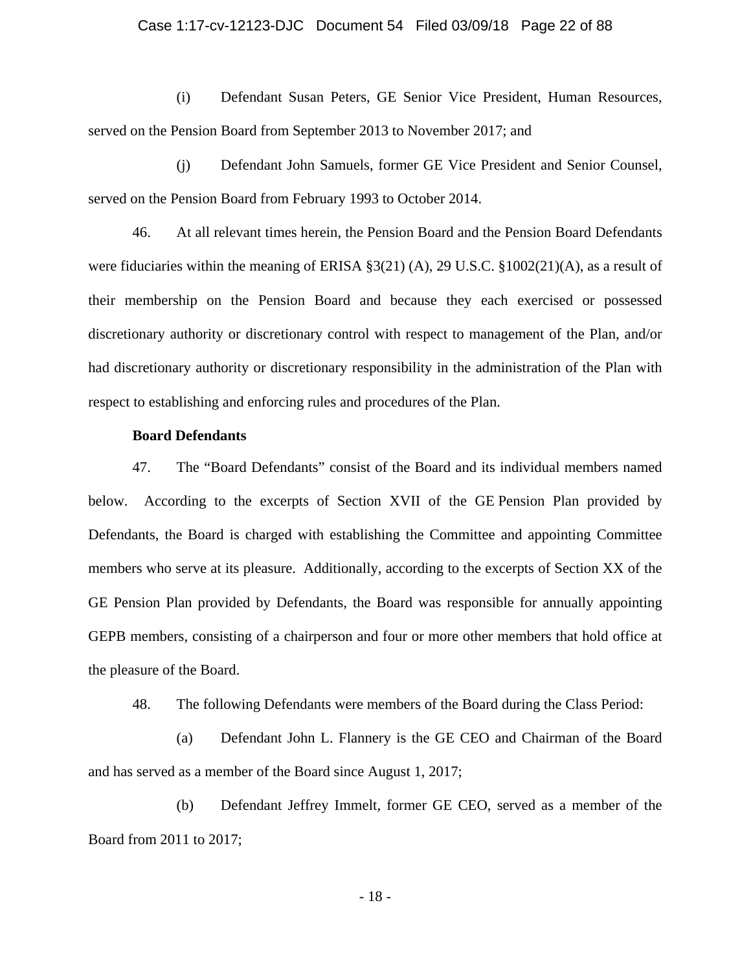### Case 1:17-cv-12123-DJC Document 54 Filed 03/09/18 Page 22 of 88

(i) Defendant Susan Peters, GE Senior Vice President, Human Resources, served on the Pension Board from September 2013 to November 2017; and

(j) Defendant John Samuels, former GE Vice President and Senior Counsel, served on the Pension Board from February 1993 to October 2014.

46. At all relevant times herein, the Pension Board and the Pension Board Defendants were fiduciaries within the meaning of ERISA §3(21) (A), 29 U.S.C. §1002(21)(A), as a result of their membership on the Pension Board and because they each exercised or possessed discretionary authority or discretionary control with respect to management of the Plan, and/or had discretionary authority or discretionary responsibility in the administration of the Plan with respect to establishing and enforcing rules and procedures of the Plan.

### **Board Defendants**

47. The "Board Defendants" consist of the Board and its individual members named below. According to the excerpts of Section XVII of the GE Pension Plan provided by Defendants, the Board is charged with establishing the Committee and appointing Committee members who serve at its pleasure. Additionally, according to the excerpts of Section XX of the GE Pension Plan provided by Defendants, the Board was responsible for annually appointing GEPB members, consisting of a chairperson and four or more other members that hold office at the pleasure of the Board.

48. The following Defendants were members of the Board during the Class Period:

(a) Defendant John L. Flannery is the GE CEO and Chairman of the Board and has served as a member of the Board since August 1, 2017;

(b) Defendant Jeffrey Immelt, former GE CEO, served as a member of the Board from 2011 to 2017;

- 18 -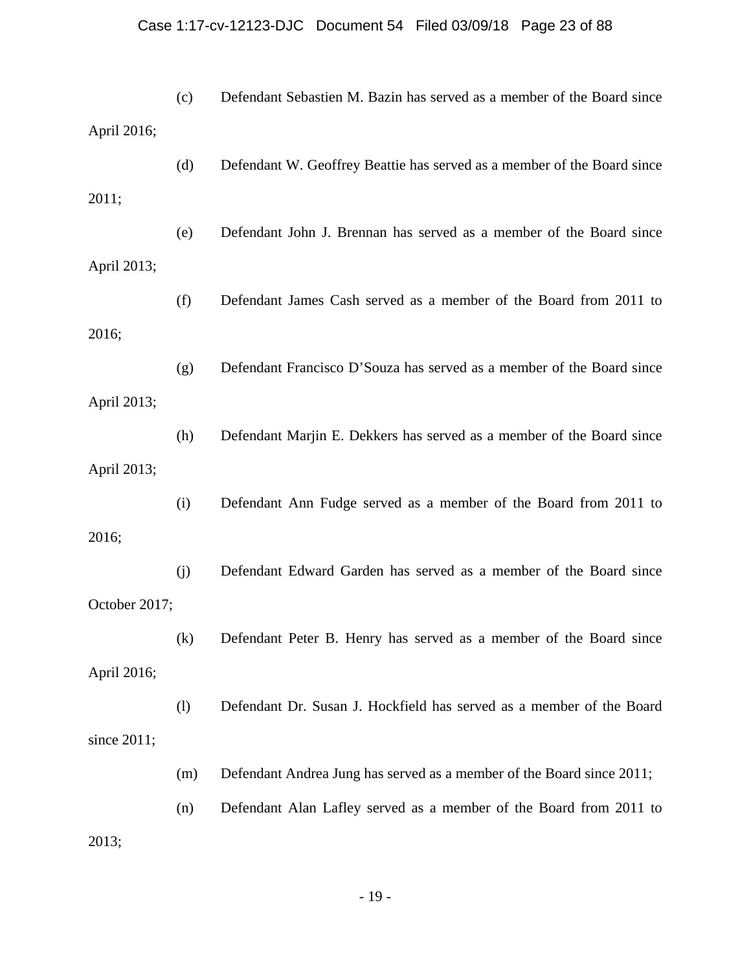# Case 1:17-cv-12123-DJC Document 54 Filed 03/09/18 Page 23 of 88

|                | (c) | Defendant Sebastien M. Bazin has served as a member of the Board since  |
|----------------|-----|-------------------------------------------------------------------------|
| April 2016;    |     |                                                                         |
|                | (d) | Defendant W. Geoffrey Beattie has served as a member of the Board since |
| 2011;          |     |                                                                         |
|                | (e) | Defendant John J. Brennan has served as a member of the Board since     |
| April 2013;    |     |                                                                         |
|                | (f) | Defendant James Cash served as a member of the Board from 2011 to       |
| 2016;          |     |                                                                         |
|                | (g) | Defendant Francisco D'Souza has served as a member of the Board since   |
| April 2013;    |     |                                                                         |
|                | (h) | Defendant Marjin E. Dekkers has served as a member of the Board since   |
| April 2013;    |     |                                                                         |
|                | (i) | Defendant Ann Fudge served as a member of the Board from 2011 to        |
| 2016;          |     |                                                                         |
|                | (j) | Defendant Edward Garden has served as a member of the Board since       |
| October 2017;  |     |                                                                         |
|                | (k) | Defendant Peter B. Henry has served as a member of the Board since      |
| April 2016;    |     |                                                                         |
|                | (1) | Defendant Dr. Susan J. Hockfield has served as a member of the Board    |
| since $2011$ ; |     |                                                                         |
|                | (m) | Defendant Andrea Jung has served as a member of the Board since 2011;   |
|                | (n) | Defendant Alan Lafley served as a member of the Board from 2011 to      |
| 2013;          |     |                                                                         |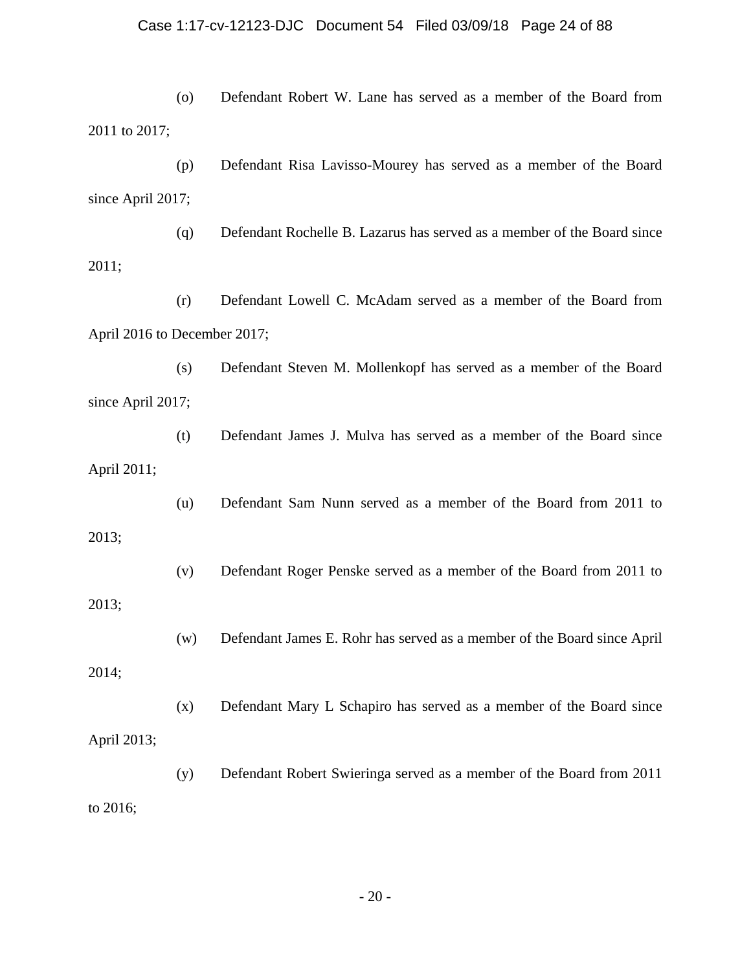## Case 1:17-cv-12123-DJC Document 54 Filed 03/09/18 Page 24 of 88

(o) Defendant Robert W. Lane has served as a member of the Board from 2011 to 2017;

(p) Defendant Risa Lavisso-Mourey has served as a member of the Board since April 2017;

(q) Defendant Rochelle B. Lazarus has served as a member of the Board since 2011;

(r) Defendant Lowell C. McAdam served as a member of the Board from April 2016 to December 2017;

(s) Defendant Steven M. Mollenkopf has served as a member of the Board since April 2017;

(t) Defendant James J. Mulva has served as a member of the Board since April 2011;

2013;

2013;

2014;

(u) Defendant Sam Nunn served as a member of the Board from 2011 to

(v) Defendant Roger Penske served as a member of the Board from 2011 to

(w) Defendant James E. Rohr has served as a member of the Board since April

(x) Defendant Mary L Schapiro has served as a member of the Board since April 2013;

(y) Defendant Robert Swieringa served as a member of the Board from 2011 to 2016;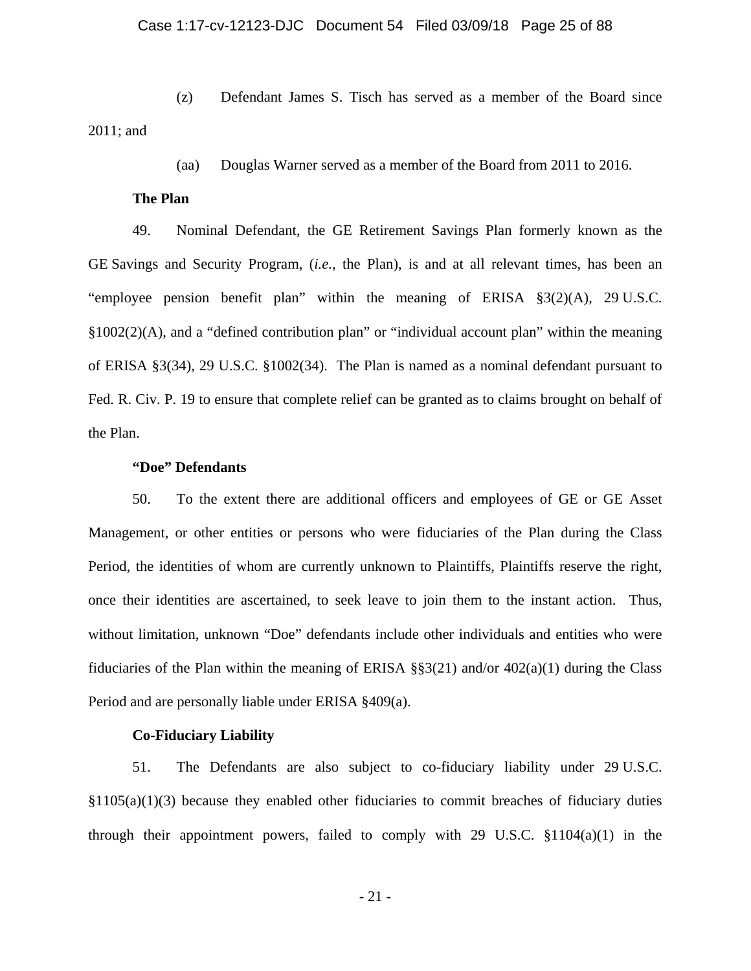(z) Defendant James S. Tisch has served as a member of the Board since 2011; and

(aa) Douglas Warner served as a member of the Board from 2011 to 2016.

## **The Plan**

49. Nominal Defendant, the GE Retirement Savings Plan formerly known as the GE Savings and Security Program, (*i.e.*, the Plan), is and at all relevant times, has been an "employee pension benefit plan" within the meaning of ERISA §3(2)(A), 29 U.S.C. §1002(2)(A), and a "defined contribution plan" or "individual account plan" within the meaning of ERISA §3(34), 29 U.S.C. §1002(34). The Plan is named as a nominal defendant pursuant to Fed. R. Civ. P. 19 to ensure that complete relief can be granted as to claims brought on behalf of the Plan.

## **"Doe" Defendants**

50. To the extent there are additional officers and employees of GE or GE Asset Management, or other entities or persons who were fiduciaries of the Plan during the Class Period, the identities of whom are currently unknown to Plaintiffs, Plaintiffs reserve the right, once their identities are ascertained, to seek leave to join them to the instant action. Thus, without limitation, unknown "Doe" defendants include other individuals and entities who were fiduciaries of the Plan within the meaning of ERISA  $\S$ §3(21) and/or 402(a)(1) during the Class Period and are personally liable under ERISA §409(a).

## **Co-Fiduciary Liability**

51. The Defendants are also subject to co-fiduciary liability under 29 U.S.C.  $§1105(a)(1)(3)$  because they enabled other fiduciaries to commit breaches of fiduciary duties through their appointment powers, failed to comply with 29 U.S.C.  $$1104(a)(1)$  in the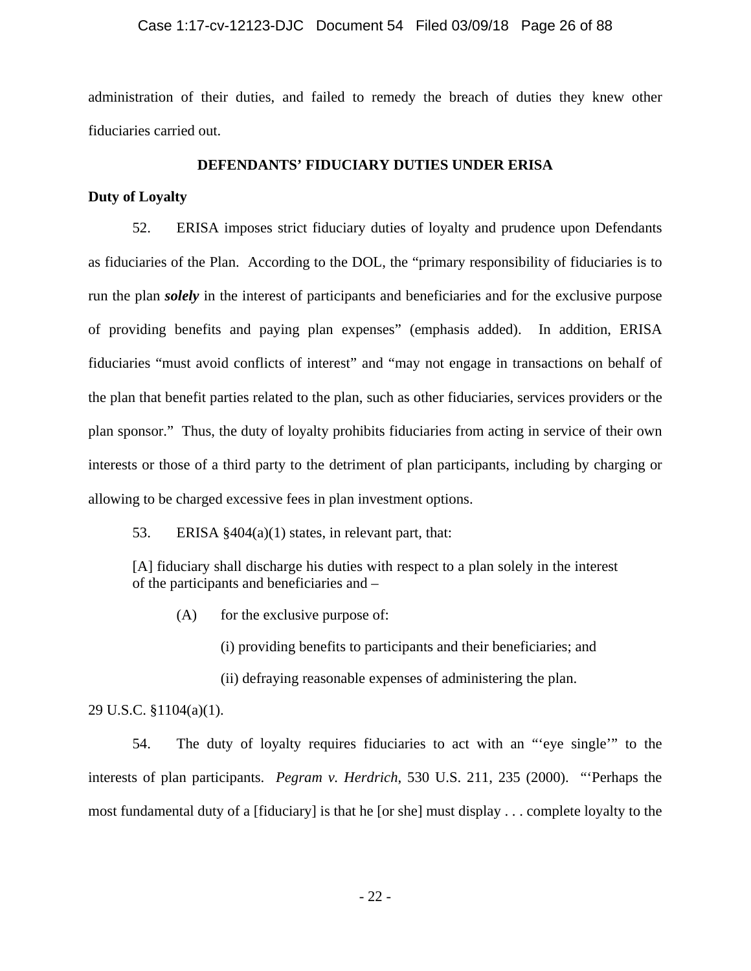### Case 1:17-cv-12123-DJC Document 54 Filed 03/09/18 Page 26 of 88

administration of their duties, and failed to remedy the breach of duties they knew other fiduciaries carried out.

## **DEFENDANTS' FIDUCIARY DUTIES UNDER ERISA**

## **Duty of Loyalty**

52. ERISA imposes strict fiduciary duties of loyalty and prudence upon Defendants as fiduciaries of the Plan. According to the DOL, the "primary responsibility of fiduciaries is to run the plan *solely* in the interest of participants and beneficiaries and for the exclusive purpose of providing benefits and paying plan expenses" (emphasis added). In addition, ERISA fiduciaries "must avoid conflicts of interest" and "may not engage in transactions on behalf of the plan that benefit parties related to the plan, such as other fiduciaries, services providers or the plan sponsor." Thus, the duty of loyalty prohibits fiduciaries from acting in service of their own interests or those of a third party to the detriment of plan participants, including by charging or allowing to be charged excessive fees in plan investment options.

53. ERISA §404(a)(1) states, in relevant part, that:

[A] fiduciary shall discharge his duties with respect to a plan solely in the interest of the participants and beneficiaries and –

 $(A)$  for the exclusive purpose of:

(i) providing benefits to participants and their beneficiaries; and

(ii) defraying reasonable expenses of administering the plan.

29 U.S.C. §1104(a)(1).

54. The duty of loyalty requires fiduciaries to act with an "'eye single'" to the interests of plan participants. *Pegram v. Herdrich*, 530 U.S. 211, 235 (2000). "'Perhaps the most fundamental duty of a [fiduciary] is that he [or she] must display . . . complete loyalty to the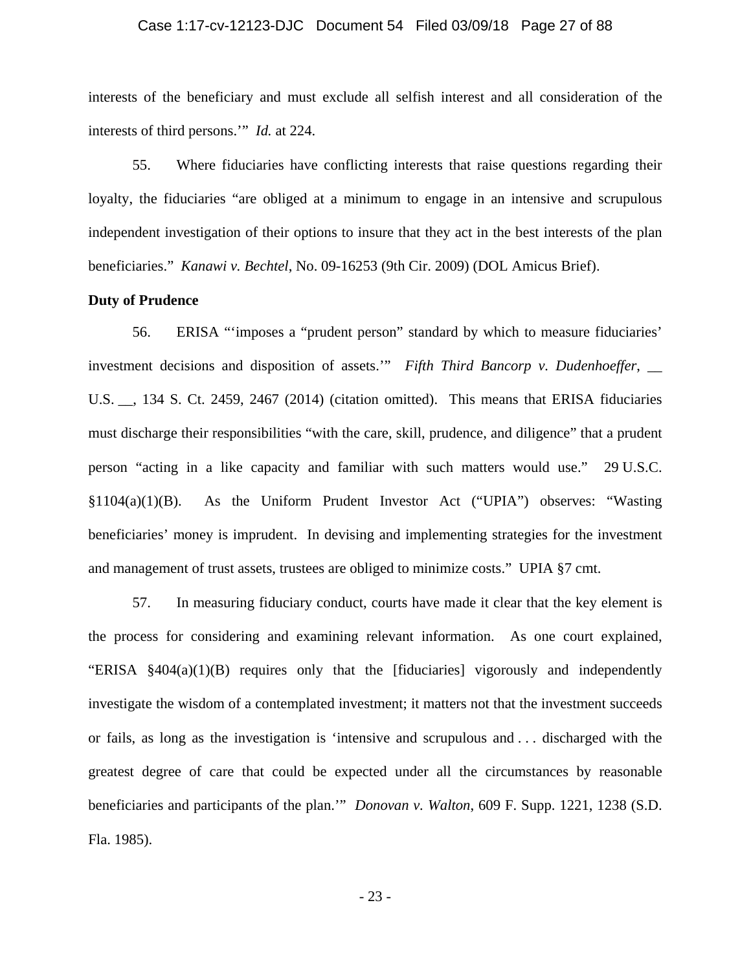### Case 1:17-cv-12123-DJC Document 54 Filed 03/09/18 Page 27 of 88

interests of the beneficiary and must exclude all selfish interest and all consideration of the interests of third persons.'" *Id.* at 224.

55. Where fiduciaries have conflicting interests that raise questions regarding their loyalty, the fiduciaries "are obliged at a minimum to engage in an intensive and scrupulous independent investigation of their options to insure that they act in the best interests of the plan beneficiaries." *Kanawi v. Bechtel*, No. 09-16253 (9th Cir. 2009) (DOL Amicus Brief).

## **Duty of Prudence**

56. ERISA "'imposes a "prudent person" standard by which to measure fiduciaries' investment decisions and disposition of assets.'" *Fifth Third Bancorp v. Dudenhoeffer*, \_\_ U.S. \_\_, 134 S. Ct. 2459, 2467 (2014) (citation omitted). This means that ERISA fiduciaries must discharge their responsibilities "with the care, skill, prudence, and diligence" that a prudent person "acting in a like capacity and familiar with such matters would use." 29 U.S.C. §1104(a)(1)(B). As the Uniform Prudent Investor Act ("UPIA") observes: "Wasting beneficiaries' money is imprudent. In devising and implementing strategies for the investment and management of trust assets, trustees are obliged to minimize costs." UPIA §7 cmt.

57. In measuring fiduciary conduct, courts have made it clear that the key element is the process for considering and examining relevant information. As one court explained, "ERISA §404(a)(1)(B) requires only that the [fiduciaries] vigorously and independently investigate the wisdom of a contemplated investment; it matters not that the investment succeeds or fails, as long as the investigation is 'intensive and scrupulous and . . . discharged with the greatest degree of care that could be expected under all the circumstances by reasonable beneficiaries and participants of the plan.'" *Donovan v. Walton*, 609 F. Supp. 1221, 1238 (S.D. Fla. 1985).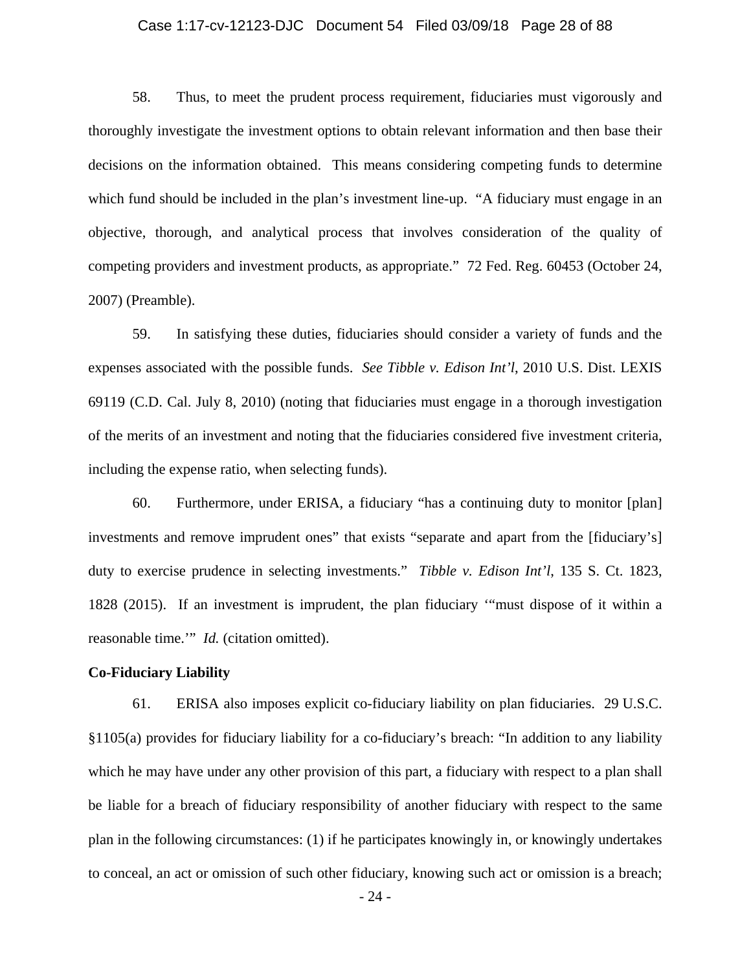### Case 1:17-cv-12123-DJC Document 54 Filed 03/09/18 Page 28 of 88

58. Thus, to meet the prudent process requirement, fiduciaries must vigorously and thoroughly investigate the investment options to obtain relevant information and then base their decisions on the information obtained. This means considering competing funds to determine which fund should be included in the plan's investment line-up. "A fiduciary must engage in an objective, thorough, and analytical process that involves consideration of the quality of competing providers and investment products, as appropriate." 72 Fed. Reg. 60453 (October 24, 2007) (Preamble).

59. In satisfying these duties, fiduciaries should consider a variety of funds and the expenses associated with the possible funds. *See Tibble v. Edison Int'l*, 2010 U.S. Dist. LEXIS 69119 (C.D. Cal. July 8, 2010) (noting that fiduciaries must engage in a thorough investigation of the merits of an investment and noting that the fiduciaries considered five investment criteria, including the expense ratio, when selecting funds).

60. Furthermore, under ERISA, a fiduciary "has a continuing duty to monitor [plan] investments and remove imprudent ones" that exists "separate and apart from the [fiduciary's] duty to exercise prudence in selecting investments." *Tibble v. Edison Int'l*, 135 S. Ct. 1823, 1828 (2015). If an investment is imprudent, the plan fiduciary '"must dispose of it within a reasonable time.'" *Id.* (citation omitted).

### **Co-Fiduciary Liability**

61. ERISA also imposes explicit co-fiduciary liability on plan fiduciaries. 29 U.S.C. §1105(a) provides for fiduciary liability for a co-fiduciary's breach: "In addition to any liability which he may have under any other provision of this part, a fiduciary with respect to a plan shall be liable for a breach of fiduciary responsibility of another fiduciary with respect to the same plan in the following circumstances: (1) if he participates knowingly in, or knowingly undertakes to conceal, an act or omission of such other fiduciary, knowing such act or omission is a breach;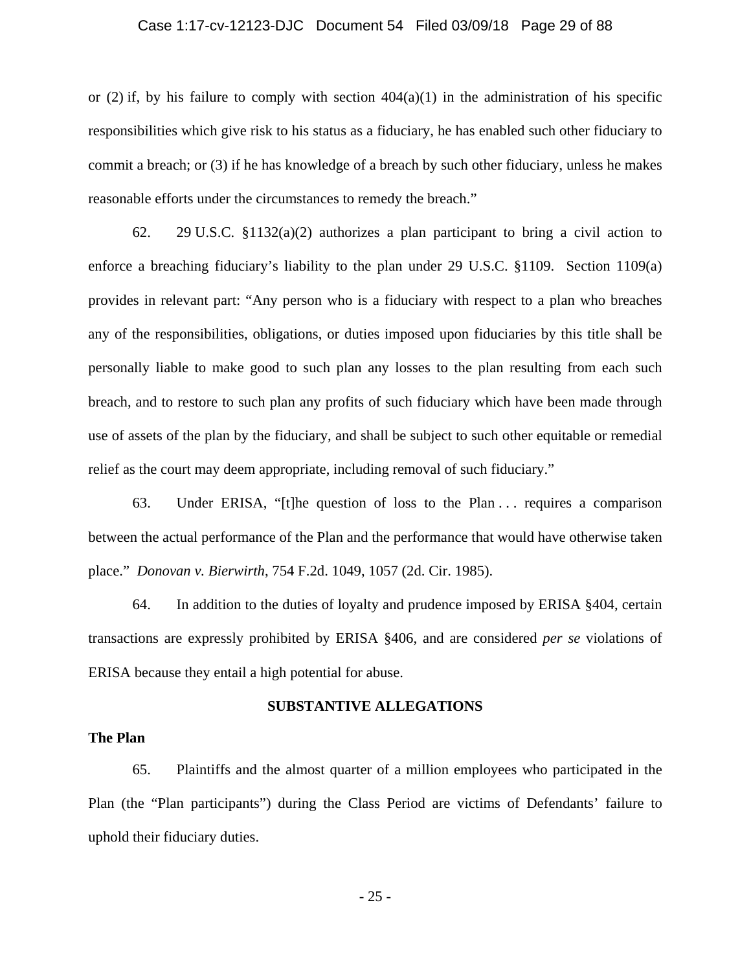#### Case 1:17-cv-12123-DJC Document 54 Filed 03/09/18 Page 29 of 88

or (2) if, by his failure to comply with section  $404(a)(1)$  in the administration of his specific responsibilities which give risk to his status as a fiduciary, he has enabled such other fiduciary to commit a breach; or (3) if he has knowledge of a breach by such other fiduciary, unless he makes reasonable efforts under the circumstances to remedy the breach."

62. 29 U.S.C. §1132(a)(2) authorizes a plan participant to bring a civil action to enforce a breaching fiduciary's liability to the plan under 29 U.S.C. §1109. Section 1109(a) provides in relevant part: "Any person who is a fiduciary with respect to a plan who breaches any of the responsibilities, obligations, or duties imposed upon fiduciaries by this title shall be personally liable to make good to such plan any losses to the plan resulting from each such breach, and to restore to such plan any profits of such fiduciary which have been made through use of assets of the plan by the fiduciary, and shall be subject to such other equitable or remedial relief as the court may deem appropriate, including removal of such fiduciary."

63. Under ERISA, "[t]he question of loss to the Plan . . . requires a comparison between the actual performance of the Plan and the performance that would have otherwise taken place." *Donovan v. Bierwirth*, 754 F.2d. 1049, 1057 (2d. Cir. 1985).

64. In addition to the duties of loyalty and prudence imposed by ERISA §404, certain transactions are expressly prohibited by ERISA §406, and are considered *per se* violations of ERISA because they entail a high potential for abuse.

#### **SUBSTANTIVE ALLEGATIONS**

## **The Plan**

65. Plaintiffs and the almost quarter of a million employees who participated in the Plan (the "Plan participants") during the Class Period are victims of Defendants' failure to uphold their fiduciary duties.

- 25 -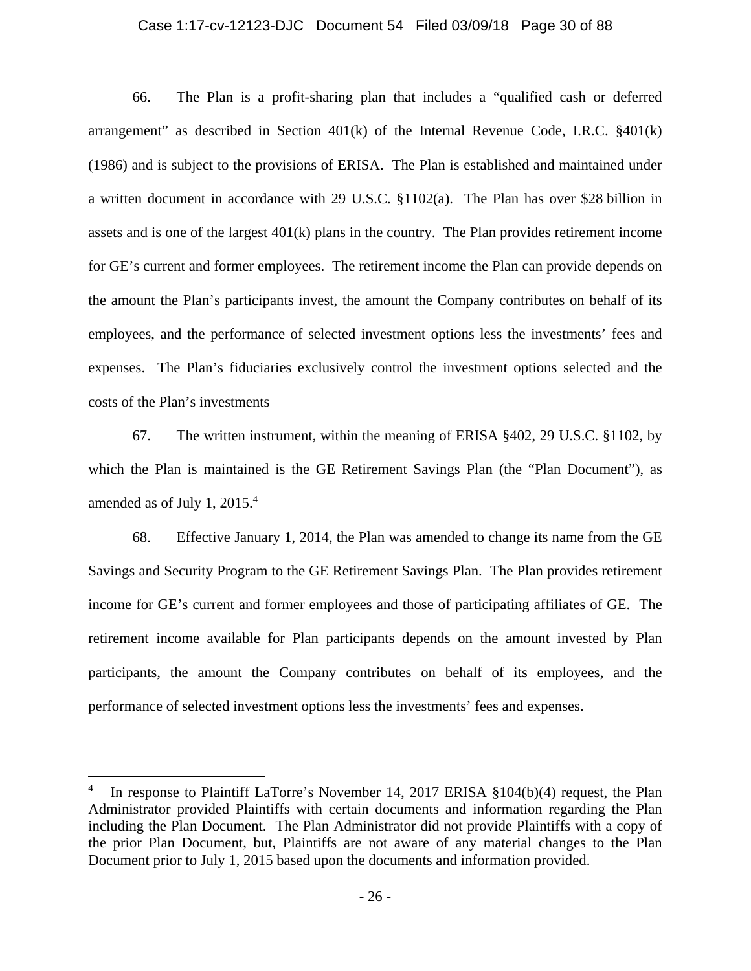#### Case 1:17-cv-12123-DJC Document 54 Filed 03/09/18 Page 30 of 88

66. The Plan is a profit-sharing plan that includes a "qualified cash or deferred arrangement" as described in Section  $401(k)$  of the Internal Revenue Code, I.R.C.  $\S 401(k)$ (1986) and is subject to the provisions of ERISA. The Plan is established and maintained under a written document in accordance with 29 U.S.C. §1102(a). The Plan has over \$28 billion in assets and is one of the largest 401(k) plans in the country. The Plan provides retirement income for GE's current and former employees. The retirement income the Plan can provide depends on the amount the Plan's participants invest, the amount the Company contributes on behalf of its employees, and the performance of selected investment options less the investments' fees and expenses. The Plan's fiduciaries exclusively control the investment options selected and the costs of the Plan's investments

67. The written instrument, within the meaning of ERISA §402, 29 U.S.C. §1102, by which the Plan is maintained is the GE Retirement Savings Plan (the "Plan Document"), as amended as of July 1, 2015.4

68. Effective January 1, 2014, the Plan was amended to change its name from the GE Savings and Security Program to the GE Retirement Savings Plan. The Plan provides retirement income for GE's current and former employees and those of participating affiliates of GE. The retirement income available for Plan participants depends on the amount invested by Plan participants, the amount the Company contributes on behalf of its employees, and the performance of selected investment options less the investments' fees and expenses.

 $\overline{a}$ 

<sup>4</sup> In response to Plaintiff LaTorre's November 14, 2017 ERISA §104(b)(4) request, the Plan Administrator provided Plaintiffs with certain documents and information regarding the Plan including the Plan Document. The Plan Administrator did not provide Plaintiffs with a copy of the prior Plan Document, but, Plaintiffs are not aware of any material changes to the Plan Document prior to July 1, 2015 based upon the documents and information provided.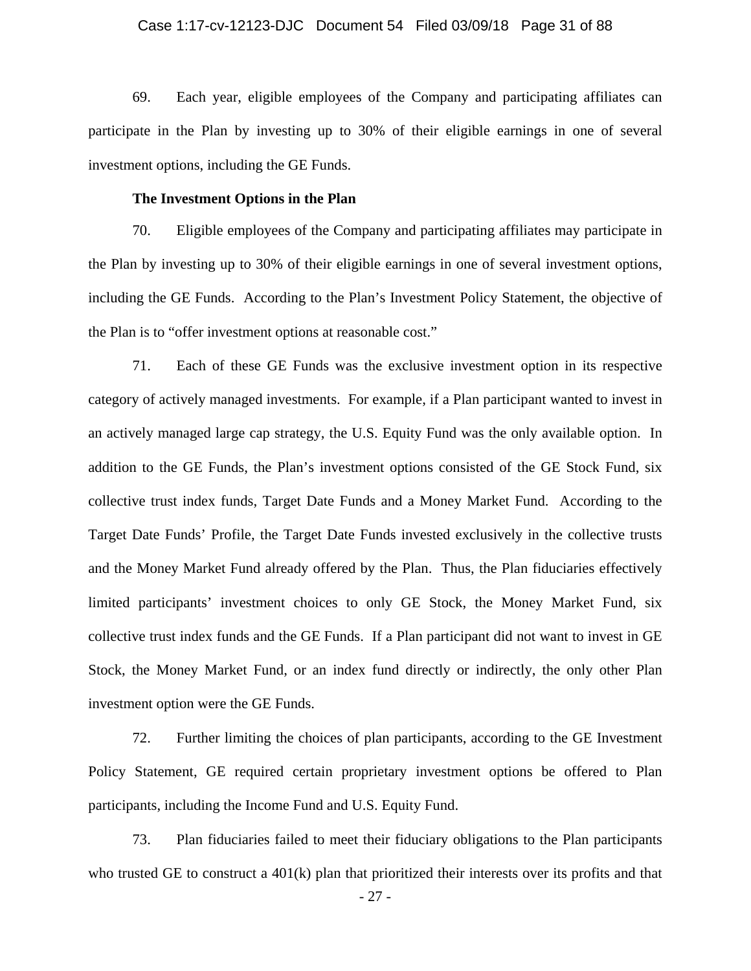### Case 1:17-cv-12123-DJC Document 54 Filed 03/09/18 Page 31 of 88

69. Each year, eligible employees of the Company and participating affiliates can participate in the Plan by investing up to 30% of their eligible earnings in one of several investment options, including the GE Funds.

## **The Investment Options in the Plan**

70. Eligible employees of the Company and participating affiliates may participate in the Plan by investing up to 30% of their eligible earnings in one of several investment options, including the GE Funds. According to the Plan's Investment Policy Statement, the objective of the Plan is to "offer investment options at reasonable cost."

71. Each of these GE Funds was the exclusive investment option in its respective category of actively managed investments. For example, if a Plan participant wanted to invest in an actively managed large cap strategy, the U.S. Equity Fund was the only available option. In addition to the GE Funds, the Plan's investment options consisted of the GE Stock Fund, six collective trust index funds, Target Date Funds and a Money Market Fund. According to the Target Date Funds' Profile, the Target Date Funds invested exclusively in the collective trusts and the Money Market Fund already offered by the Plan. Thus, the Plan fiduciaries effectively limited participants' investment choices to only GE Stock, the Money Market Fund, six collective trust index funds and the GE Funds. If a Plan participant did not want to invest in GE Stock, the Money Market Fund, or an index fund directly or indirectly, the only other Plan investment option were the GE Funds.

72. Further limiting the choices of plan participants, according to the GE Investment Policy Statement, GE required certain proprietary investment options be offered to Plan participants, including the Income Fund and U.S. Equity Fund.

73. Plan fiduciaries failed to meet their fiduciary obligations to the Plan participants who trusted GE to construct a  $401(k)$  plan that prioritized their interests over its profits and that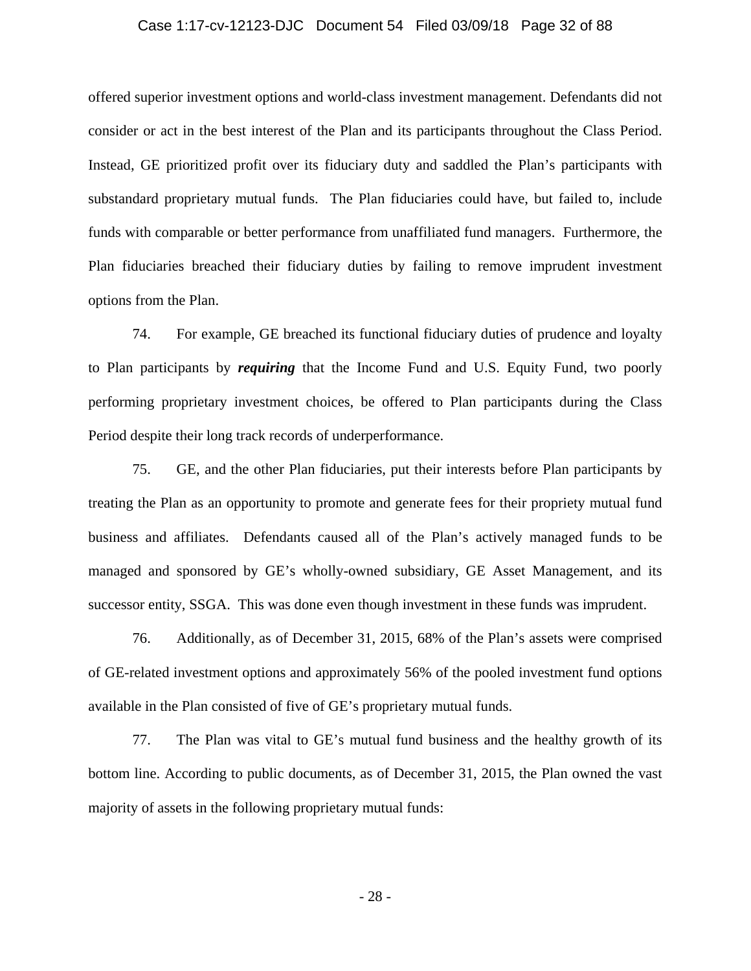#### Case 1:17-cv-12123-DJC Document 54 Filed 03/09/18 Page 32 of 88

offered superior investment options and world-class investment management. Defendants did not consider or act in the best interest of the Plan and its participants throughout the Class Period. Instead, GE prioritized profit over its fiduciary duty and saddled the Plan's participants with substandard proprietary mutual funds. The Plan fiduciaries could have, but failed to, include funds with comparable or better performance from unaffiliated fund managers. Furthermore, the Plan fiduciaries breached their fiduciary duties by failing to remove imprudent investment options from the Plan.

74. For example, GE breached its functional fiduciary duties of prudence and loyalty to Plan participants by *requiring* that the Income Fund and U.S. Equity Fund, two poorly performing proprietary investment choices, be offered to Plan participants during the Class Period despite their long track records of underperformance.

75. GE, and the other Plan fiduciaries, put their interests before Plan participants by treating the Plan as an opportunity to promote and generate fees for their propriety mutual fund business and affiliates. Defendants caused all of the Plan's actively managed funds to be managed and sponsored by GE's wholly-owned subsidiary, GE Asset Management, and its successor entity, SSGA. This was done even though investment in these funds was imprudent.

76. Additionally, as of December 31, 2015, 68% of the Plan's assets were comprised of GE-related investment options and approximately 56% of the pooled investment fund options available in the Plan consisted of five of GE's proprietary mutual funds.

77. The Plan was vital to GE's mutual fund business and the healthy growth of its bottom line. According to public documents, as of December 31, 2015, the Plan owned the vast majority of assets in the following proprietary mutual funds: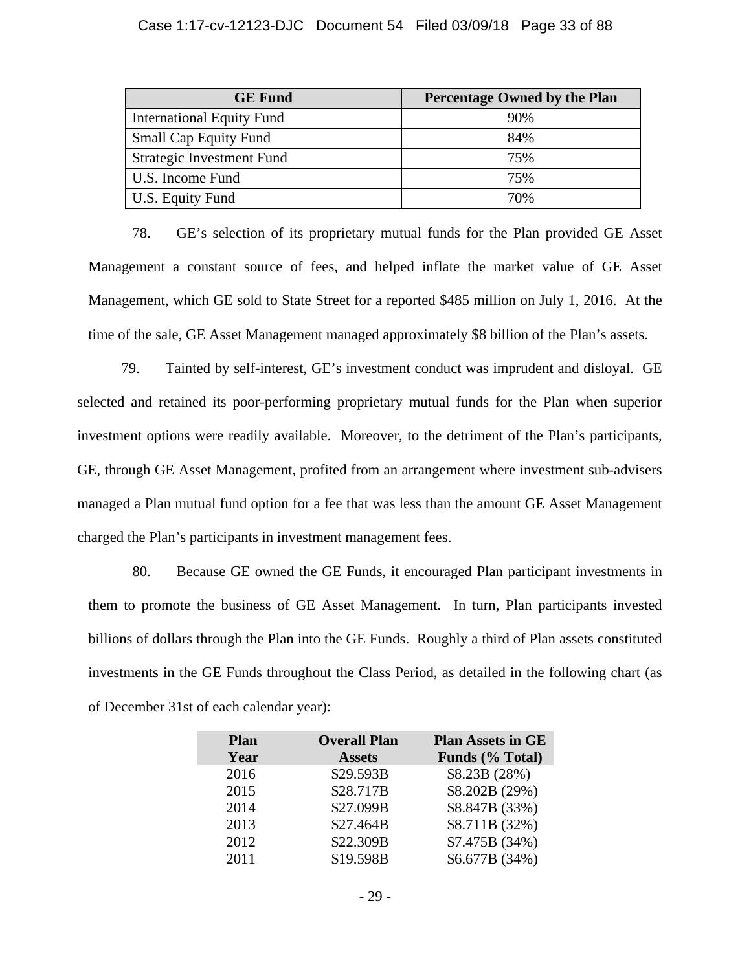#### Case 1:17-cv-12123-DJC Document 54 Filed 03/09/18 Page 33 of 88

| <b>GE</b> Fund                   | <b>Percentage Owned by the Plan</b> |
|----------------------------------|-------------------------------------|
| <b>International Equity Fund</b> | 90%                                 |
| <b>Small Cap Equity Fund</b>     | 84%                                 |
| <b>Strategic Investment Fund</b> | 75%                                 |
| U.S. Income Fund                 | 75%                                 |
| U.S. Equity Fund                 | 70%                                 |

78. GE's selection of its proprietary mutual funds for the Plan provided GE Asset Management a constant source of fees, and helped inflate the market value of GE Asset Management, which GE sold to State Street for a reported \$485 million on July 1, 2016. At the time of the sale, GE Asset Management managed approximately \$8 billion of the Plan's assets.

79. Tainted by self-interest, GE's investment conduct was imprudent and disloyal. GE selected and retained its poor-performing proprietary mutual funds for the Plan when superior investment options were readily available. Moreover, to the detriment of the Plan's participants, GE, through GE Asset Management, profited from an arrangement where investment sub-advisers managed a Plan mutual fund option for a fee that was less than the amount GE Asset Management charged the Plan's participants in investment management fees.

80. Because GE owned the GE Funds, it encouraged Plan participant investments in them to promote the business of GE Asset Management. In turn, Plan participants invested billions of dollars through the Plan into the GE Funds. Roughly a third of Plan assets constituted investments in the GE Funds throughout the Class Period, as detailed in the following chart (as of December 31st of each calendar year):

| <b>Overall Plan</b> | <b>Plan Assets in GE</b> |
|---------------------|--------------------------|
| <b>Assets</b>       | Funds (% Total)          |
| \$29.593B           | \$8.23B (28%)            |
| \$28.717B           | \$8.202B (29%)           |
| \$27.099B           | \$8.847B (33%)           |
| \$27.464B           | \$8.711B (32%)           |
| \$22.309B           | \$7.475B (34%)           |
| \$19.598B           | \$6.677B (34%)           |
|                     |                          |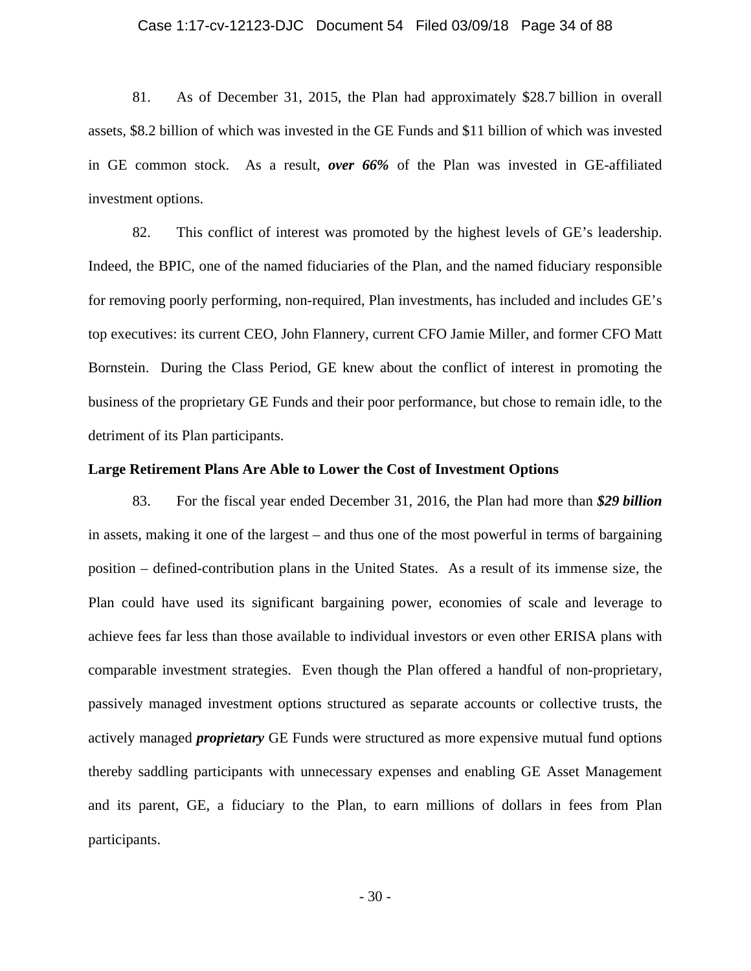#### Case 1:17-cv-12123-DJC Document 54 Filed 03/09/18 Page 34 of 88

81. As of December 31, 2015, the Plan had approximately \$28.7 billion in overall assets, \$8.2 billion of which was invested in the GE Funds and \$11 billion of which was invested in GE common stock. As a result, *over 66%* of the Plan was invested in GE-affiliated investment options.

82. This conflict of interest was promoted by the highest levels of GE's leadership. Indeed, the BPIC, one of the named fiduciaries of the Plan, and the named fiduciary responsible for removing poorly performing, non-required, Plan investments, has included and includes GE's top executives: its current CEO, John Flannery, current CFO Jamie Miller, and former CFO Matt Bornstein. During the Class Period, GE knew about the conflict of interest in promoting the business of the proprietary GE Funds and their poor performance, but chose to remain idle, to the detriment of its Plan participants.

### **Large Retirement Plans Are Able to Lower the Cost of Investment Options**

83. For the fiscal year ended December 31, 2016, the Plan had more than *\$29 billion* in assets, making it one of the largest – and thus one of the most powerful in terms of bargaining position – defined-contribution plans in the United States. As a result of its immense size, the Plan could have used its significant bargaining power, economies of scale and leverage to achieve fees far less than those available to individual investors or even other ERISA plans with comparable investment strategies. Even though the Plan offered a handful of non-proprietary, passively managed investment options structured as separate accounts or collective trusts, the actively managed *proprietary* GE Funds were structured as more expensive mutual fund options thereby saddling participants with unnecessary expenses and enabling GE Asset Management and its parent, GE, a fiduciary to the Plan, to earn millions of dollars in fees from Plan participants.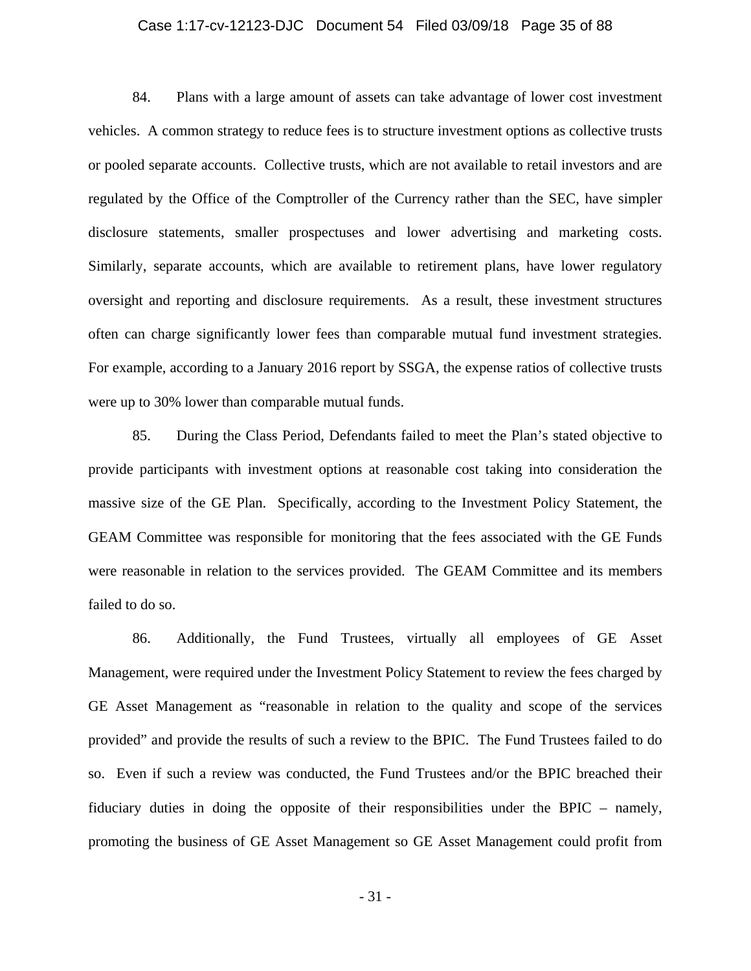### Case 1:17-cv-12123-DJC Document 54 Filed 03/09/18 Page 35 of 88

84. Plans with a large amount of assets can take advantage of lower cost investment vehicles. A common strategy to reduce fees is to structure investment options as collective trusts or pooled separate accounts. Collective trusts, which are not available to retail investors and are regulated by the Office of the Comptroller of the Currency rather than the SEC, have simpler disclosure statements, smaller prospectuses and lower advertising and marketing costs. Similarly, separate accounts, which are available to retirement plans, have lower regulatory oversight and reporting and disclosure requirements. As a result, these investment structures often can charge significantly lower fees than comparable mutual fund investment strategies. For example, according to a January 2016 report by SSGA, the expense ratios of collective trusts were up to 30% lower than comparable mutual funds.

85. During the Class Period, Defendants failed to meet the Plan's stated objective to provide participants with investment options at reasonable cost taking into consideration the massive size of the GE Plan. Specifically, according to the Investment Policy Statement, the GEAM Committee was responsible for monitoring that the fees associated with the GE Funds were reasonable in relation to the services provided. The GEAM Committee and its members failed to do so.

86. Additionally, the Fund Trustees, virtually all employees of GE Asset Management, were required under the Investment Policy Statement to review the fees charged by GE Asset Management as "reasonable in relation to the quality and scope of the services provided" and provide the results of such a review to the BPIC. The Fund Trustees failed to do so. Even if such a review was conducted, the Fund Trustees and/or the BPIC breached their fiduciary duties in doing the opposite of their responsibilities under the BPIC – namely, promoting the business of GE Asset Management so GE Asset Management could profit from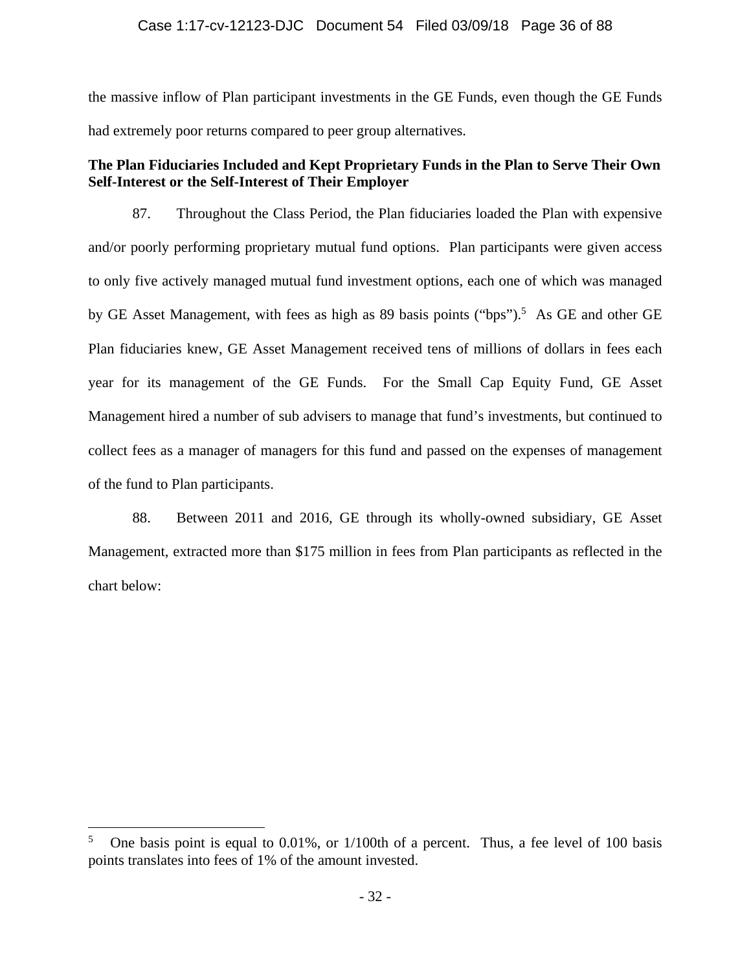## Case 1:17-cv-12123-DJC Document 54 Filed 03/09/18 Page 36 of 88

the massive inflow of Plan participant investments in the GE Funds, even though the GE Funds had extremely poor returns compared to peer group alternatives.

# **The Plan Fiduciaries Included and Kept Proprietary Funds in the Plan to Serve Their Own Self-Interest or the Self-Interest of Their Employer**

87. Throughout the Class Period, the Plan fiduciaries loaded the Plan with expensive and/or poorly performing proprietary mutual fund options. Plan participants were given access to only five actively managed mutual fund investment options, each one of which was managed by GE Asset Management, with fees as high as 89 basis points ("bps").<sup>5</sup> As GE and other GE Plan fiduciaries knew, GE Asset Management received tens of millions of dollars in fees each year for its management of the GE Funds. For the Small Cap Equity Fund, GE Asset Management hired a number of sub advisers to manage that fund's investments, but continued to collect fees as a manager of managers for this fund and passed on the expenses of management of the fund to Plan participants.

88. Between 2011 and 2016, GE through its wholly-owned subsidiary, GE Asset Management, extracted more than \$175 million in fees from Plan participants as reflected in the chart below:

 $\overline{a}$ 

<sup>5</sup> One basis point is equal to 0.01%, or 1/100th of a percent. Thus, a fee level of 100 basis points translates into fees of 1% of the amount invested.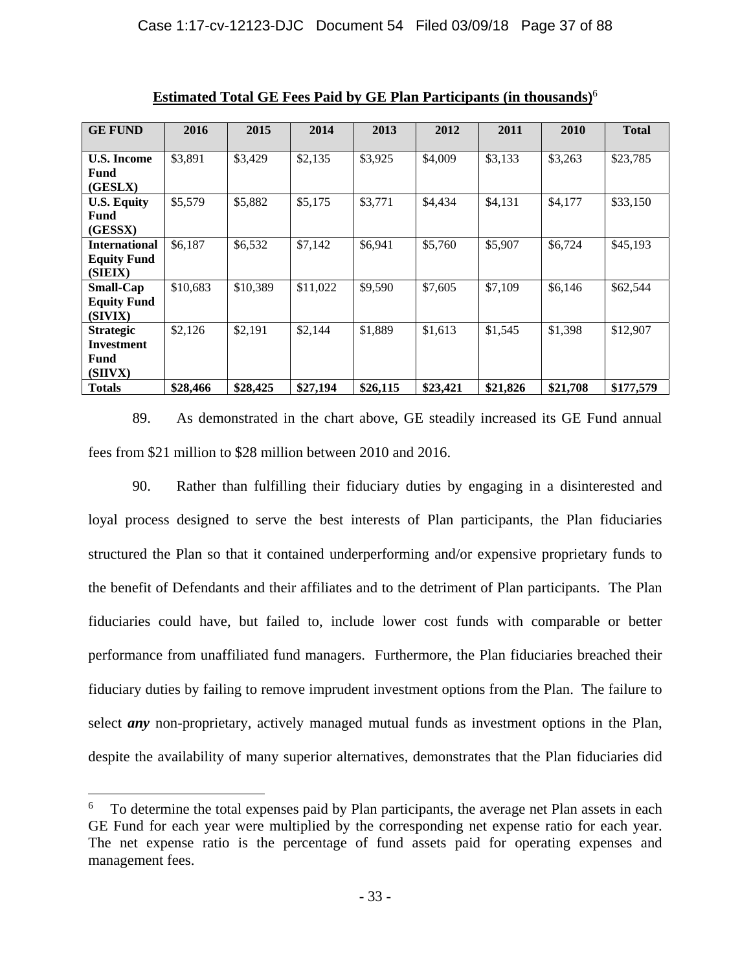| <b>GE FUND</b>       | 2016     | 2015     | 2014     | 2013     | 2012     | 2011     | 2010     | <b>Total</b> |
|----------------------|----------|----------|----------|----------|----------|----------|----------|--------------|
|                      |          |          |          |          |          |          |          |              |
| <b>U.S. Income</b>   | \$3,891  | \$3,429  | \$2,135  | \$3,925  | \$4,009  | \$3,133  | \$3,263  | \$23,785     |
| <b>Fund</b>          |          |          |          |          |          |          |          |              |
| (GESLX)              |          |          |          |          |          |          |          |              |
| <b>U.S. Equity</b>   | \$5,579  | \$5,882  | \$5,175  | \$3,771  | \$4,434  | \$4,131  | \$4,177  | \$33,150     |
| Fund                 |          |          |          |          |          |          |          |              |
| (GESSX)              |          |          |          |          |          |          |          |              |
| <b>International</b> | \$6,187  | \$6,532  | \$7,142  | \$6,941  | \$5,760  | \$5,907  | \$6,724  | \$45,193     |
| <b>Equity Fund</b>   |          |          |          |          |          |          |          |              |
| (SIEIX)              |          |          |          |          |          |          |          |              |
| <b>Small-Cap</b>     | \$10,683 | \$10,389 | \$11,022 | \$9,590  | \$7,605  | \$7,109  | \$6,146  | \$62,544     |
| <b>Equity Fund</b>   |          |          |          |          |          |          |          |              |
| (SIVIX)              |          |          |          |          |          |          |          |              |
| <b>Strategic</b>     | \$2,126  | \$2,191  | \$2,144  | \$1,889  | \$1,613  | \$1,545  | \$1,398  | \$12,907     |
| Investment           |          |          |          |          |          |          |          |              |
| Fund                 |          |          |          |          |          |          |          |              |
| (SIIVX)              |          |          |          |          |          |          |          |              |
| <b>Totals</b>        | \$28,466 | \$28,425 | \$27,194 | \$26,115 | \$23,421 | \$21,826 | \$21,708 | \$177,579    |

**Estimated Total GE Fees Paid by GE Plan Participants (in thousands)**<sup>6</sup>

89. As demonstrated in the chart above, GE steadily increased its GE Fund annual fees from \$21 million to \$28 million between 2010 and 2016.

90. Rather than fulfilling their fiduciary duties by engaging in a disinterested and loyal process designed to serve the best interests of Plan participants, the Plan fiduciaries structured the Plan so that it contained underperforming and/or expensive proprietary funds to the benefit of Defendants and their affiliates and to the detriment of Plan participants. The Plan fiduciaries could have, but failed to, include lower cost funds with comparable or better performance from unaffiliated fund managers. Furthermore, the Plan fiduciaries breached their fiduciary duties by failing to remove imprudent investment options from the Plan. The failure to select *any* non-proprietary, actively managed mutual funds as investment options in the Plan, despite the availability of many superior alternatives, demonstrates that the Plan fiduciaries did

 $\overline{a}$ 

<sup>6</sup> To determine the total expenses paid by Plan participants, the average net Plan assets in each GE Fund for each year were multiplied by the corresponding net expense ratio for each year. The net expense ratio is the percentage of fund assets paid for operating expenses and management fees.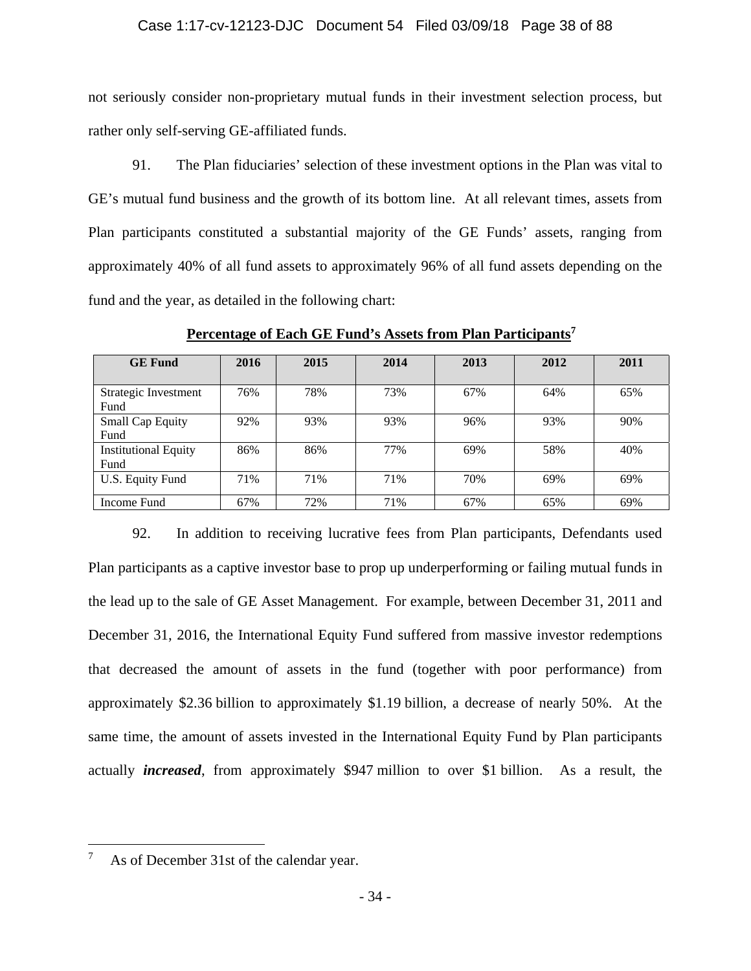### Case 1:17-cv-12123-DJC Document 54 Filed 03/09/18 Page 38 of 88

not seriously consider non-proprietary mutual funds in their investment selection process, but rather only self-serving GE-affiliated funds.

91. The Plan fiduciaries' selection of these investment options in the Plan was vital to GE's mutual fund business and the growth of its bottom line. At all relevant times, assets from Plan participants constituted a substantial majority of the GE Funds' assets, ranging from approximately 40% of all fund assets to approximately 96% of all fund assets depending on the fund and the year, as detailed in the following chart:

| <b>GE Fund</b>                      | 2016 | 2015 | 2014 | 2013 | 2012 | 2011 |
|-------------------------------------|------|------|------|------|------|------|
| Strategic Investment<br>Fund        | 76%  | 78%  | 73%  | 67%  | 64%  | 65%  |
| <b>Small Cap Equity</b><br>Fund     | 92%  | 93%  | 93%  | 96%  | 93%  | 90%  |
| <b>Institutional Equity</b><br>Fund | 86%  | 86%  | 77%  | 69%  | 58%  | 40%  |
| U.S. Equity Fund                    | 71%  | 71%  | 71%  | 70%  | 69%  | 69%  |
| Income Fund                         | 67%  | 72%  | 71%  | 67%  | 65%  | 69%  |

**Percentage of Each GE Fund's Assets from Plan Participants7**

92. In addition to receiving lucrative fees from Plan participants, Defendants used Plan participants as a captive investor base to prop up underperforming or failing mutual funds in the lead up to the sale of GE Asset Management. For example, between December 31, 2011 and December 31, 2016, the International Equity Fund suffered from massive investor redemptions that decreased the amount of assets in the fund (together with poor performance) from approximately \$2.36 billion to approximately \$1.19 billion, a decrease of nearly 50%. At the same time, the amount of assets invested in the International Equity Fund by Plan participants actually *increased*, from approximately \$947 million to over \$1 billion. As a result, the

 $\overline{a}$ 

<sup>7</sup> As of December 31st of the calendar year.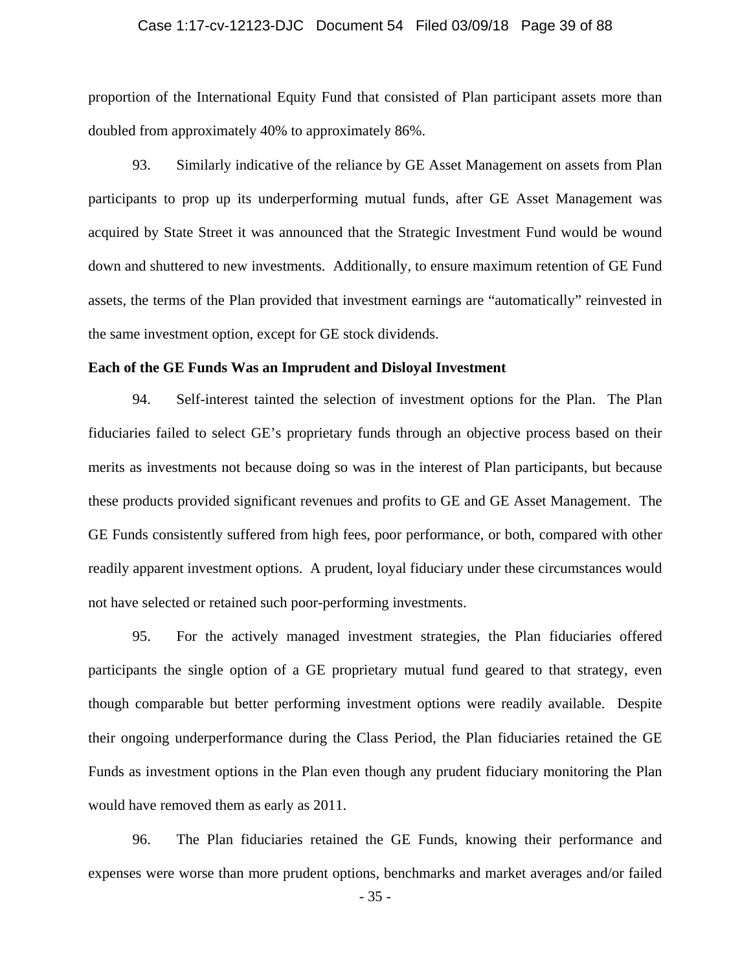### Case 1:17-cv-12123-DJC Document 54 Filed 03/09/18 Page 39 of 88

proportion of the International Equity Fund that consisted of Plan participant assets more than doubled from approximately 40% to approximately 86%.

93. Similarly indicative of the reliance by GE Asset Management on assets from Plan participants to prop up its underperforming mutual funds, after GE Asset Management was acquired by State Street it was announced that the Strategic Investment Fund would be wound down and shuttered to new investments. Additionally, to ensure maximum retention of GE Fund assets, the terms of the Plan provided that investment earnings are "automatically" reinvested in the same investment option, except for GE stock dividends.

### **Each of the GE Funds Was an Imprudent and Disloyal Investment**

94. Self-interest tainted the selection of investment options for the Plan. The Plan fiduciaries failed to select GE's proprietary funds through an objective process based on their merits as investments not because doing so was in the interest of Plan participants, but because these products provided significant revenues and profits to GE and GE Asset Management. The GE Funds consistently suffered from high fees, poor performance, or both, compared with other readily apparent investment options. A prudent, loyal fiduciary under these circumstances would not have selected or retained such poor-performing investments.

95. For the actively managed investment strategies, the Plan fiduciaries offered participants the single option of a GE proprietary mutual fund geared to that strategy, even though comparable but better performing investment options were readily available. Despite their ongoing underperformance during the Class Period, the Plan fiduciaries retained the GE Funds as investment options in the Plan even though any prudent fiduciary monitoring the Plan would have removed them as early as 2011.

96. The Plan fiduciaries retained the GE Funds, knowing their performance and expenses were worse than more prudent options, benchmarks and market averages and/or failed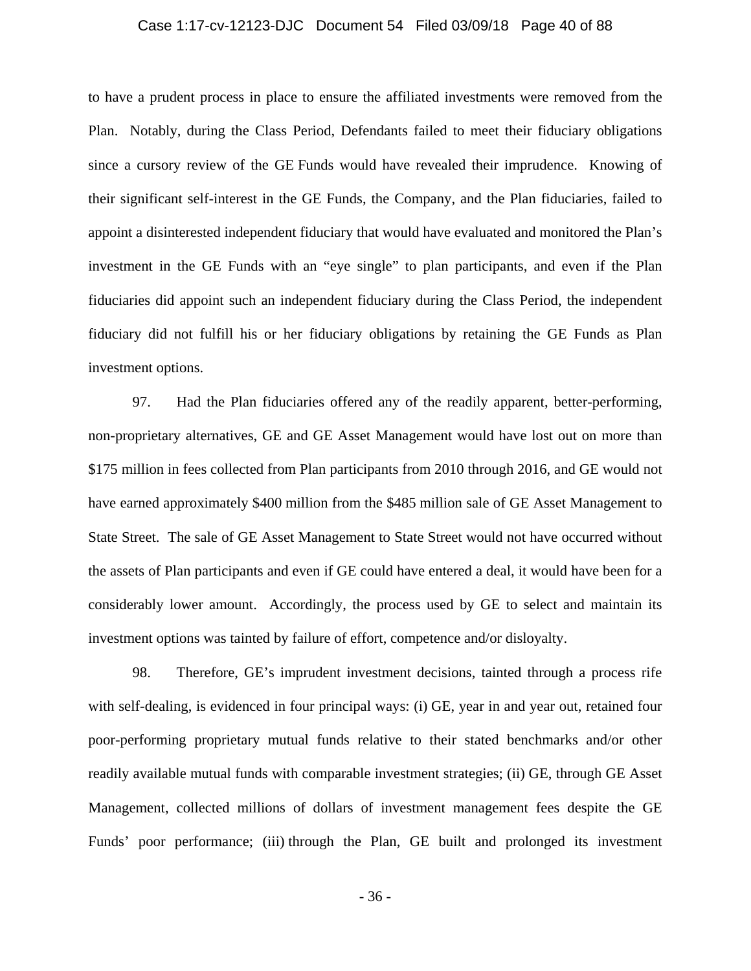### Case 1:17-cv-12123-DJC Document 54 Filed 03/09/18 Page 40 of 88

to have a prudent process in place to ensure the affiliated investments were removed from the Plan. Notably, during the Class Period, Defendants failed to meet their fiduciary obligations since a cursory review of the GE Funds would have revealed their imprudence. Knowing of their significant self-interest in the GE Funds, the Company, and the Plan fiduciaries, failed to appoint a disinterested independent fiduciary that would have evaluated and monitored the Plan's investment in the GE Funds with an "eye single" to plan participants, and even if the Plan fiduciaries did appoint such an independent fiduciary during the Class Period, the independent fiduciary did not fulfill his or her fiduciary obligations by retaining the GE Funds as Plan investment options.

97. Had the Plan fiduciaries offered any of the readily apparent, better-performing, non-proprietary alternatives, GE and GE Asset Management would have lost out on more than \$175 million in fees collected from Plan participants from 2010 through 2016, and GE would not have earned approximately \$400 million from the \$485 million sale of GE Asset Management to State Street. The sale of GE Asset Management to State Street would not have occurred without the assets of Plan participants and even if GE could have entered a deal, it would have been for a considerably lower amount. Accordingly, the process used by GE to select and maintain its investment options was tainted by failure of effort, competence and/or disloyalty.

98. Therefore, GE's imprudent investment decisions, tainted through a process rife with self-dealing, is evidenced in four principal ways: (i) GE, year in and year out, retained four poor-performing proprietary mutual funds relative to their stated benchmarks and/or other readily available mutual funds with comparable investment strategies; (ii) GE, through GE Asset Management, collected millions of dollars of investment management fees despite the GE Funds' poor performance; (iii) through the Plan, GE built and prolonged its investment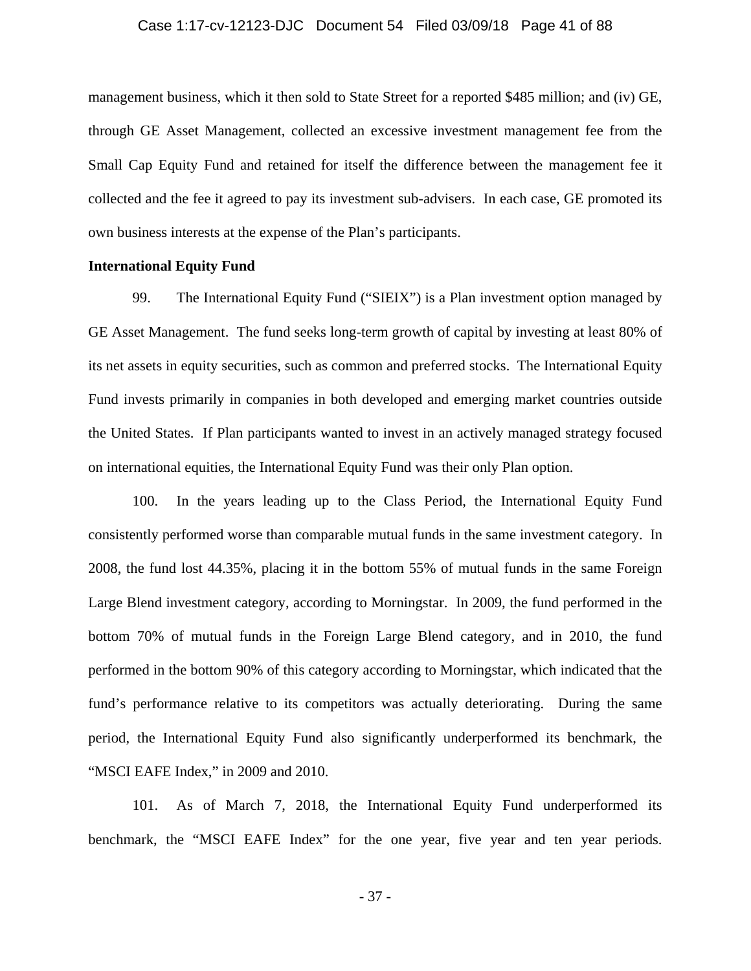### Case 1:17-cv-12123-DJC Document 54 Filed 03/09/18 Page 41 of 88

management business, which it then sold to State Street for a reported \$485 million; and (iv) GE, through GE Asset Management, collected an excessive investment management fee from the Small Cap Equity Fund and retained for itself the difference between the management fee it collected and the fee it agreed to pay its investment sub-advisers. In each case, GE promoted its own business interests at the expense of the Plan's participants.

### **International Equity Fund**

99. The International Equity Fund ("SIEIX") is a Plan investment option managed by GE Asset Management. The fund seeks long-term growth of capital by investing at least 80% of its net assets in equity securities, such as common and preferred stocks. The International Equity Fund invests primarily in companies in both developed and emerging market countries outside the United States. If Plan participants wanted to invest in an actively managed strategy focused on international equities, the International Equity Fund was their only Plan option.

100. In the years leading up to the Class Period, the International Equity Fund consistently performed worse than comparable mutual funds in the same investment category. In 2008, the fund lost 44.35%, placing it in the bottom 55% of mutual funds in the same Foreign Large Blend investment category, according to Morningstar. In 2009, the fund performed in the bottom 70% of mutual funds in the Foreign Large Blend category, and in 2010, the fund performed in the bottom 90% of this category according to Morningstar, which indicated that the fund's performance relative to its competitors was actually deteriorating. During the same period, the International Equity Fund also significantly underperformed its benchmark, the "MSCI EAFE Index," in 2009 and 2010.

101. As of March 7, 2018, the International Equity Fund underperformed its benchmark, the "MSCI EAFE Index" for the one year, five year and ten year periods.

- 37 -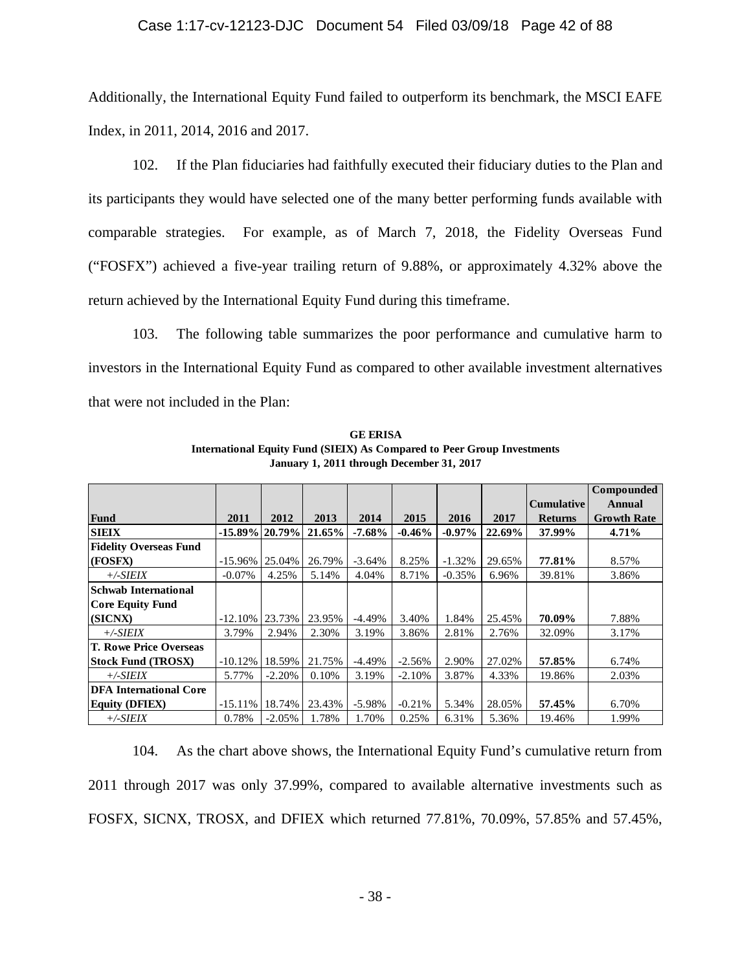### Case 1:17-cv-12123-DJC Document 54 Filed 03/09/18 Page 42 of 88

Additionally, the International Equity Fund failed to outperform its benchmark, the MSCI EAFE Index, in 2011, 2014, 2016 and 2017.

102. If the Plan fiduciaries had faithfully executed their fiduciary duties to the Plan and its participants they would have selected one of the many better performing funds available with comparable strategies. For example, as of March 7, 2018, the Fidelity Overseas Fund ("FOSFX") achieved a five-year trailing return of 9.88%, or approximately 4.32% above the return achieved by the International Equity Fund during this timeframe.

103. The following table summarizes the poor performance and cumulative harm to investors in the International Equity Fund as compared to other available investment alternatives that were not included in the Plan:

|                               |                   |          |           |           |          |           |        |                   | <b>Compounded</b>  |
|-------------------------------|-------------------|----------|-----------|-----------|----------|-----------|--------|-------------------|--------------------|
|                               |                   |          |           |           |          |           |        | <b>Cumulative</b> | Annual             |
| Fund                          | 2011              | 2012     | 2013      | 2014      | 2015     | 2016      | 2017   | <b>Returns</b>    | <b>Growth Rate</b> |
| <b>SIEIX</b>                  | $-15.89\%$ 20.79% |          | $21.65\%$ | $-7.68\%$ | $-0.46%$ | $-0.97\%$ | 22.69% | 37.99%            | 4.71%              |
| <b>Fidelity Overseas Fund</b> |                   |          |           |           |          |           |        |                   |                    |
| <b>IGOSFX</b>                 | $-15.96\%$        | 25.04%   | 26.79%    | $-3.64%$  | 8.25%    | $-1.32%$  | 29.65% | 77.81%            | 8.57%              |
| $+/-SIEIX$                    | $-0.07\%$         | 4.25%    | 5.14%     | 4.04%     | 8.71%    | $-0.35%$  | 6.96%  | 39.81%            | 3.86%              |
| <b>Schwab International</b>   |                   |          |           |           |          |           |        |                   |                    |
| Core Equity Fund              |                   |          |           |           |          |           |        |                   |                    |
| (SICNX)                       | $-12.10\%$        | 23.73%   | 23.95%    | $-4.49%$  | 3.40%    | 1.84%     | 25.45% | 70.09%            | 7.88%              |
| $+\angle$ -SIEIX              | 3.79%             | 2.94%    | 2.30%     | 3.19%     | 3.86%    | 2.81%     | 2.76%  | 32.09%            | 3.17%              |
| <b>T. Rowe Price Overseas</b> |                   |          |           |           |          |           |        |                   |                    |
| <b>Stock Fund (TROSX)</b>     | $-10.12%$         | 18.59%   | 21.75%    | $-4.49%$  | $-2.56%$ | 2.90%     | 27.02% | 57.85%            | 6.74%              |
| $+/-SIEIX$                    | 5.77%             | $-2.20%$ | 0.10%     | 3.19%     | $-2.10%$ | 3.87%     | 4.33%  | 19.86%            | 2.03%              |
| <b>DFA</b> International Core |                   |          |           |           |          |           |        |                   |                    |
| <b>Equity (DFIEX)</b>         | $-15.11%$         | 18.74%   | 23.43%    | $-5.98%$  | $-0.21%$ | 5.34%     | 28.05% | 57.45%            | 6.70%              |
| $+/-SIEIX$                    | 0.78%             | $-2.05%$ | 1.78%     | 1.70%     | 0.25%    | 6.31%     | 5.36%  | 19.46%            | 1.99%              |

**GE ERISA International Equity Fund (SIEIX) As Compared to Peer Group Investments January 1, 2011 through December 31, 2017**

104. As the chart above shows, the International Equity Fund's cumulative return from 2011 through 2017 was only 37.99%, compared to available alternative investments such as FOSFX, SICNX, TROSX, and DFIEX which returned 77.81%, 70.09%, 57.85% and 57.45%,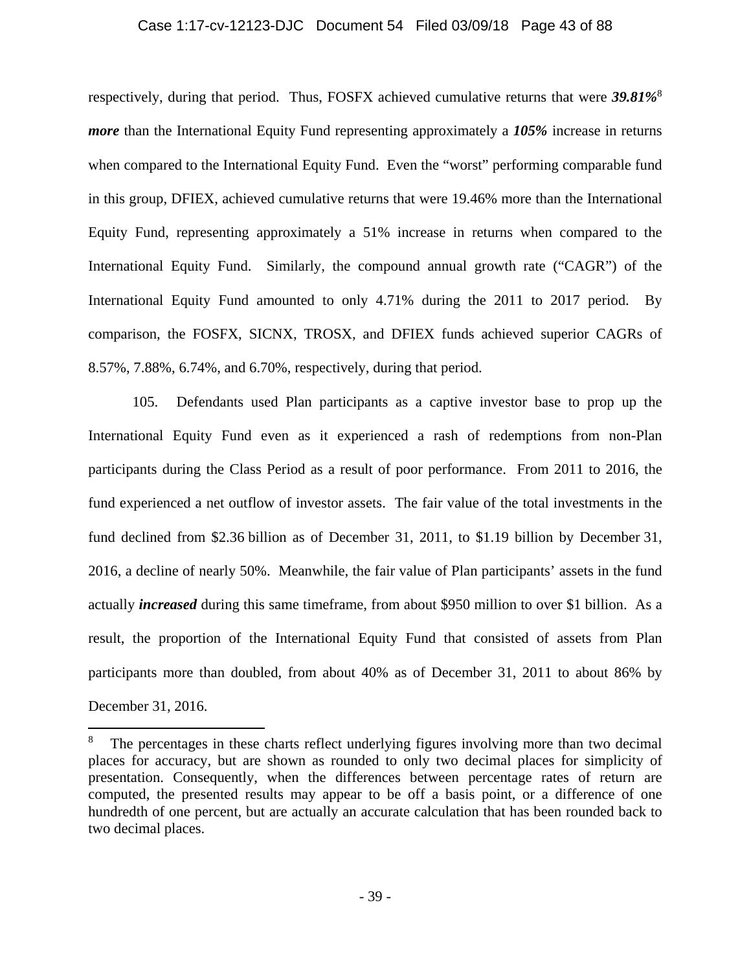### Case 1:17-cv-12123-DJC Document 54 Filed 03/09/18 Page 43 of 88

respectively, during that period. Thus, FOSFX achieved cumulative returns that were *39.81%*<sup>8</sup> *more* than the International Equity Fund representing approximately a *105%* increase in returns when compared to the International Equity Fund. Even the "worst" performing comparable fund in this group, DFIEX, achieved cumulative returns that were 19.46% more than the International Equity Fund, representing approximately a 51% increase in returns when compared to the International Equity Fund. Similarly, the compound annual growth rate ("CAGR") of the International Equity Fund amounted to only 4.71% during the 2011 to 2017 period. By comparison, the FOSFX, SICNX, TROSX, and DFIEX funds achieved superior CAGRs of 8.57%, 7.88%, 6.74%, and 6.70%, respectively, during that period.

105. Defendants used Plan participants as a captive investor base to prop up the International Equity Fund even as it experienced a rash of redemptions from non-Plan participants during the Class Period as a result of poor performance. From 2011 to 2016, the fund experienced a net outflow of investor assets. The fair value of the total investments in the fund declined from \$2.36 billion as of December 31, 2011, to \$1.19 billion by December 31, 2016, a decline of nearly 50%. Meanwhile, the fair value of Plan participants' assets in the fund actually *increased* during this same timeframe, from about \$950 million to over \$1 billion. As a result, the proportion of the International Equity Fund that consisted of assets from Plan participants more than doubled, from about 40% as of December 31, 2011 to about 86% by December 31, 2016.

1

<sup>8</sup> The percentages in these charts reflect underlying figures involving more than two decimal places for accuracy, but are shown as rounded to only two decimal places for simplicity of presentation. Consequently, when the differences between percentage rates of return are computed, the presented results may appear to be off a basis point, or a difference of one hundredth of one percent, but are actually an accurate calculation that has been rounded back to two decimal places.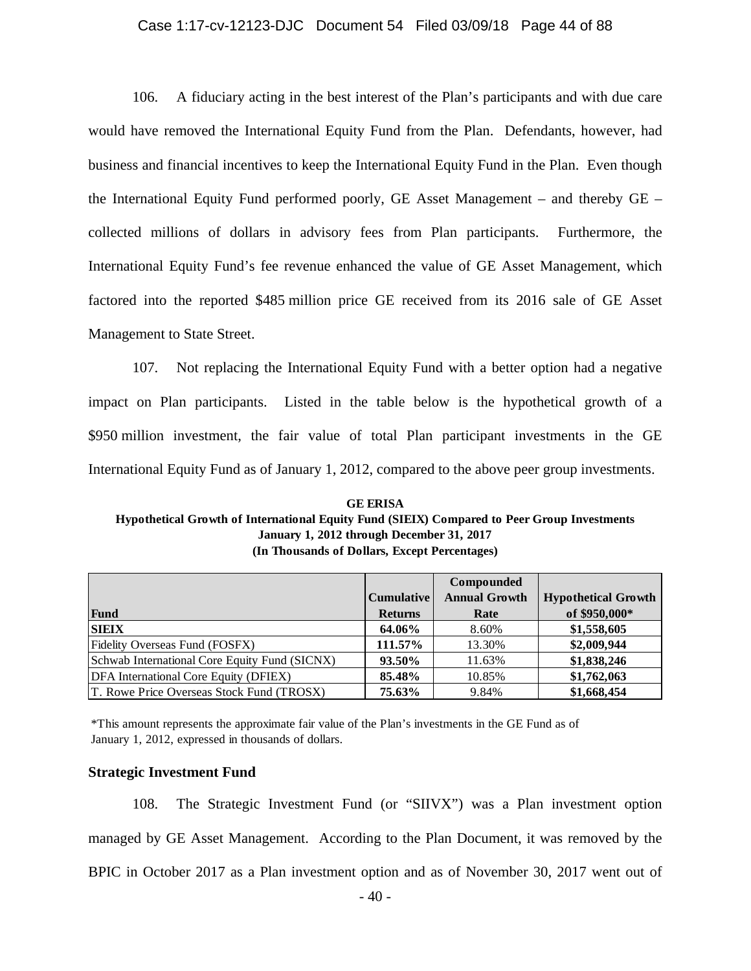### Case 1:17-cv-12123-DJC Document 54 Filed 03/09/18 Page 44 of 88

106. A fiduciary acting in the best interest of the Plan's participants and with due care would have removed the International Equity Fund from the Plan. Defendants, however, had business and financial incentives to keep the International Equity Fund in the Plan. Even though the International Equity Fund performed poorly, GE Asset Management – and thereby GE – collected millions of dollars in advisory fees from Plan participants. Furthermore, the International Equity Fund's fee revenue enhanced the value of GE Asset Management, which factored into the reported \$485 million price GE received from its 2016 sale of GE Asset Management to State Street.

107. Not replacing the International Equity Fund with a better option had a negative impact on Plan participants. Listed in the table below is the hypothetical growth of a \$950 million investment, the fair value of total Plan participant investments in the GE International Equity Fund as of January 1, 2012, compared to the above peer group investments.

**(In Thousands of Dollars, Except Percentages) GE ERISA Hypothetical Growth of International Equity Fund (SIEIX) Compared to Peer Group Investments January 1, 2012 through December 31, 2017**

|                                               |                | Compounded           |                            |
|-----------------------------------------------|----------------|----------------------|----------------------------|
|                                               | Cumulative     | <b>Annual Growth</b> | <b>Hypothetical Growth</b> |
| Fund                                          | <b>Returns</b> | Rate                 | of \$950,000*              |
| <b>SIEIX</b>                                  | 64.06%         | 8.60%                | \$1,558,605                |
| Fidelity Overseas Fund (FOSFX)                | 111.57%        | 13.30%               | \$2,009,944                |
| Schwab International Core Equity Fund (SICNX) | 93.50%         | 11.63%               | \$1,838,246                |
| DFA International Core Equity (DFIEX)         | 85.48%         | 10.85%               | \$1,762,063                |
| T. Rowe Price Overseas Stock Fund (TROSX)     | 75.63%         | 9.84%                | \$1,668,454                |

\*This amount represents the approximate fair value of the Plan's investments in the GE Fund as of January 1, 2012, expressed in thousands of dollars.

#### **Strategic Investment Fund**

108. The Strategic Investment Fund (or "SIIVX") was a Plan investment option managed by GE Asset Management. According to the Plan Document, it was removed by the BPIC in October 2017 as a Plan investment option and as of November 30, 2017 went out of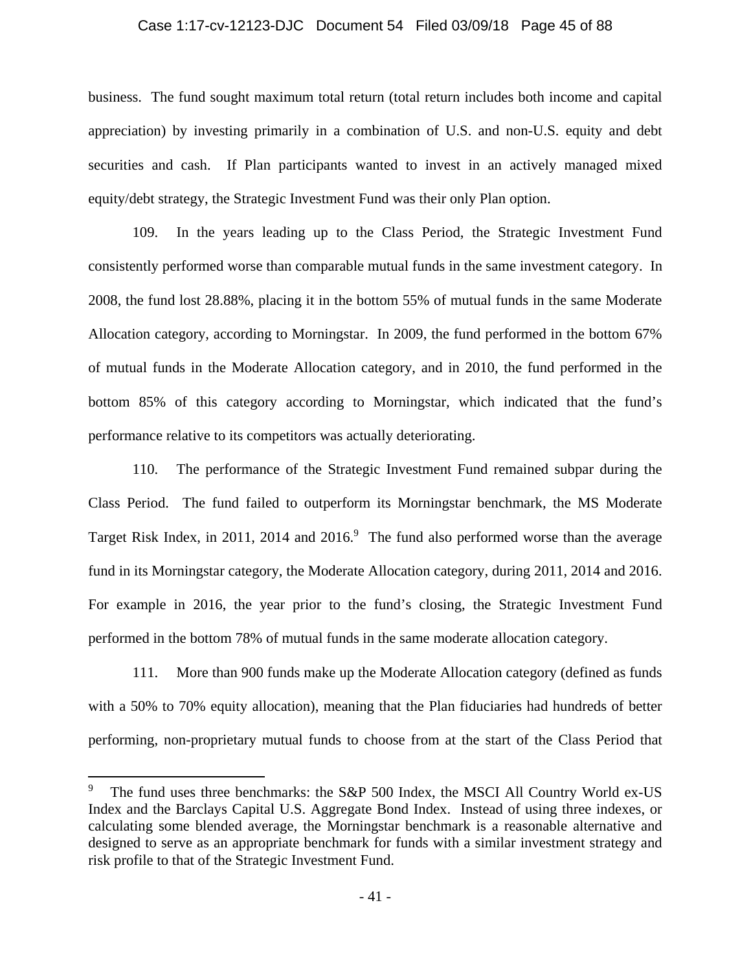### Case 1:17-cv-12123-DJC Document 54 Filed 03/09/18 Page 45 of 88

business. The fund sought maximum total return (total return includes both income and capital appreciation) by investing primarily in a combination of U.S. and non-U.S. equity and debt securities and cash. If Plan participants wanted to invest in an actively managed mixed equity/debt strategy, the Strategic Investment Fund was their only Plan option.

109. In the years leading up to the Class Period, the Strategic Investment Fund consistently performed worse than comparable mutual funds in the same investment category. In 2008, the fund lost 28.88%, placing it in the bottom 55% of mutual funds in the same Moderate Allocation category, according to Morningstar. In 2009, the fund performed in the bottom 67% of mutual funds in the Moderate Allocation category, and in 2010, the fund performed in the bottom 85% of this category according to Morningstar, which indicated that the fund's performance relative to its competitors was actually deteriorating.

110. The performance of the Strategic Investment Fund remained subpar during the Class Period. The fund failed to outperform its Morningstar benchmark, the MS Moderate Target Risk Index, in 2011, 2014 and  $2016$ . The fund also performed worse than the average fund in its Morningstar category, the Moderate Allocation category, during 2011, 2014 and 2016. For example in 2016, the year prior to the fund's closing, the Strategic Investment Fund performed in the bottom 78% of mutual funds in the same moderate allocation category.

111. More than 900 funds make up the Moderate Allocation category (defined as funds with a 50% to 70% equity allocation), meaning that the Plan fiduciaries had hundreds of better performing, non-proprietary mutual funds to choose from at the start of the Class Period that

 $\overline{a}$ 

<sup>9</sup> The fund uses three benchmarks: the S&P 500 Index, the MSCI All Country World ex-US Index and the Barclays Capital U.S. Aggregate Bond Index. Instead of using three indexes, or calculating some blended average, the Morningstar benchmark is a reasonable alternative and designed to serve as an appropriate benchmark for funds with a similar investment strategy and risk profile to that of the Strategic Investment Fund.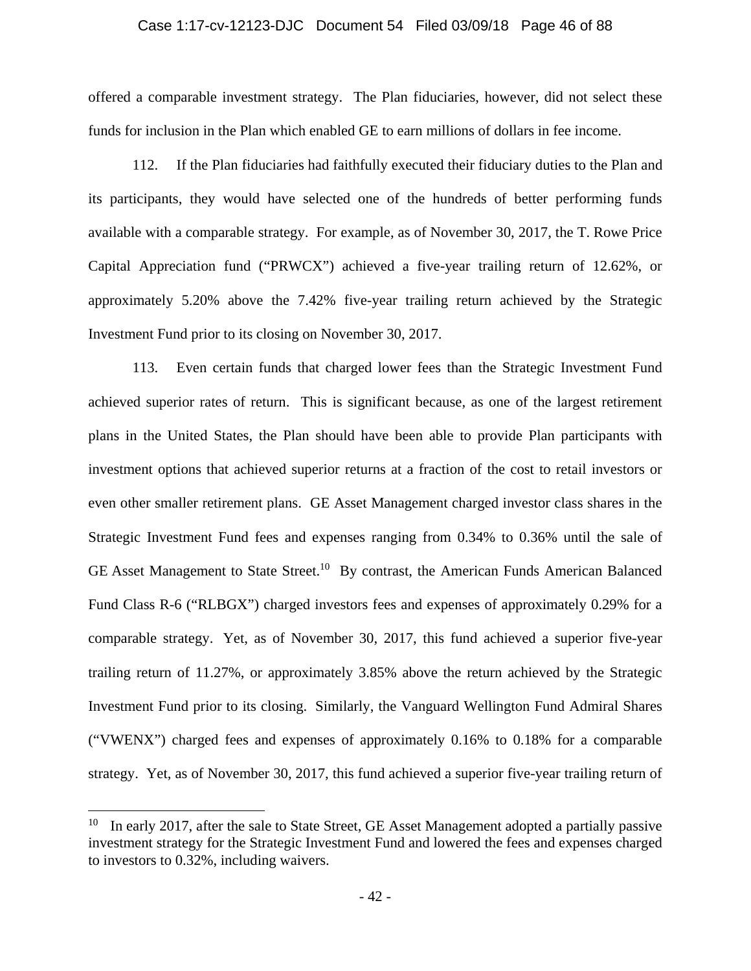### Case 1:17-cv-12123-DJC Document 54 Filed 03/09/18 Page 46 of 88

offered a comparable investment strategy. The Plan fiduciaries, however, did not select these funds for inclusion in the Plan which enabled GE to earn millions of dollars in fee income.

112. If the Plan fiduciaries had faithfully executed their fiduciary duties to the Plan and its participants, they would have selected one of the hundreds of better performing funds available with a comparable strategy. For example, as of November 30, 2017, the T. Rowe Price Capital Appreciation fund ("PRWCX") achieved a five-year trailing return of 12.62%, or approximately 5.20% above the 7.42% five-year trailing return achieved by the Strategic Investment Fund prior to its closing on November 30, 2017.

113. Even certain funds that charged lower fees than the Strategic Investment Fund achieved superior rates of return. This is significant because, as one of the largest retirement plans in the United States, the Plan should have been able to provide Plan participants with investment options that achieved superior returns at a fraction of the cost to retail investors or even other smaller retirement plans. GE Asset Management charged investor class shares in the Strategic Investment Fund fees and expenses ranging from 0.34% to 0.36% until the sale of GE Asset Management to State Street.<sup>10</sup> By contrast, the American Funds American Balanced Fund Class R-6 ("RLBGX") charged investors fees and expenses of approximately 0.29% for a comparable strategy. Yet, as of November 30, 2017, this fund achieved a superior five-year trailing return of 11.27%, or approximately 3.85% above the return achieved by the Strategic Investment Fund prior to its closing. Similarly, the Vanguard Wellington Fund Admiral Shares ("VWENX") charged fees and expenses of approximately 0.16% to 0.18% for a comparable strategy. Yet, as of November 30, 2017, this fund achieved a superior five-year trailing return of

 $\overline{a}$ 

<sup>10</sup> In early 2017, after the sale to State Street, GE Asset Management adopted a partially passive investment strategy for the Strategic Investment Fund and lowered the fees and expenses charged to investors to 0.32%, including waivers.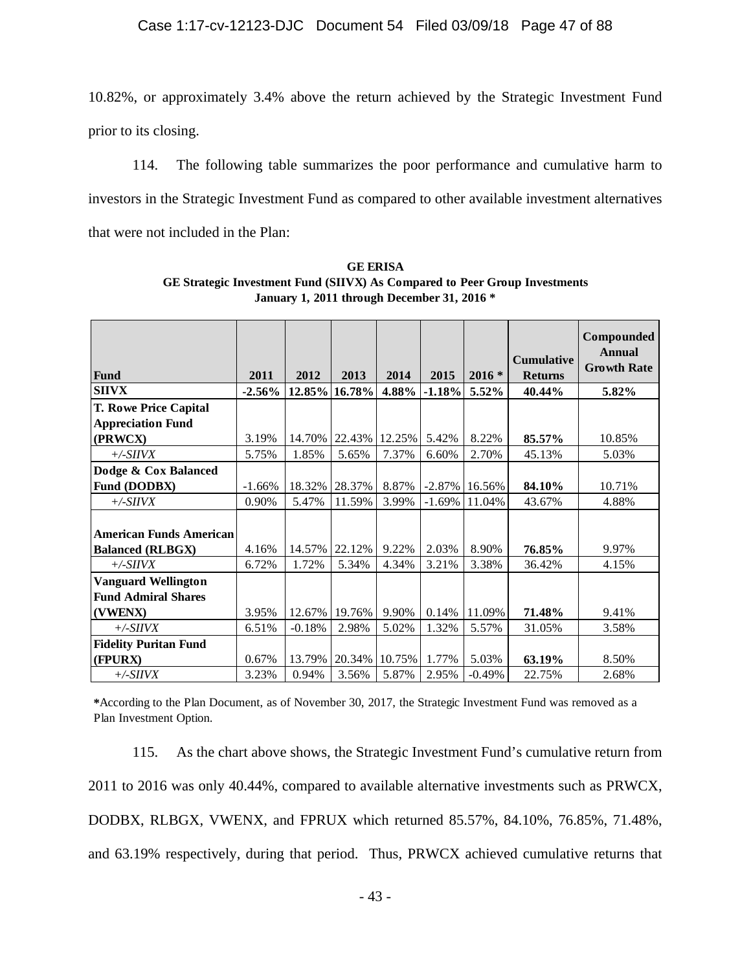10.82%, or approximately 3.4% above the return achieved by the Strategic Investment Fund prior to its closing.

114. The following table summarizes the poor performance and cumulative harm to investors in the Strategic Investment Fund as compared to other available investment alternatives that were not included in the Plan:

|                                |          |          |        |        |           |          |                   | Compounded         |
|--------------------------------|----------|----------|--------|--------|-----------|----------|-------------------|--------------------|
|                                |          |          |        |        |           |          |                   | Annual             |
|                                |          |          |        |        |           |          | <b>Cumulative</b> | <b>Growth Rate</b> |
| <b>Fund</b>                    | 2011     | 2012     | 2013   | 2014   | 2015      | $2016 *$ | <b>Returns</b>    |                    |
| <b>SIIVX</b>                   | $-2.56%$ | 12.85%   | 16.78% | 4.88%  | $-1.18%$  | 5.52%    | 40.44%            | 5.82%              |
| T. Rowe Price Capital          |          |          |        |        |           |          |                   |                    |
| <b>Appreciation Fund</b>       |          |          |        |        |           |          |                   |                    |
| (PRWCX)                        | 3.19%    | 14.70%   | 22.43% | 12.25% | 5.42%     | 8.22%    | 85.57%            | 10.85%             |
| $+\angle SIIVX$                | 5.75%    | 1.85%    | 5.65%  | 7.37%  | 6.60%     | 2.70%    | 45.13%            | 5.03%              |
| Dodge & Cox Balanced           |          |          |        |        |           |          |                   |                    |
| Fund (DODBX)                   | $-1.66%$ | 18.32%   | 28.37% | 8.87%  | $-2.87\%$ | 16.56%   | 84.10%            | 10.71%             |
| $+\angle SIIVX$                | 0.90%    | 5.47%    | 11.59% | 3.99%  | $-1.69%$  | 11.04%   | 43.67%            | 4.88%              |
|                                |          |          |        |        |           |          |                   |                    |
| <b>American Funds American</b> |          |          |        |        |           |          |                   |                    |
| <b>Balanced (RLBGX)</b>        | 4.16%    | 14.57%   | 22.12% | 9.22%  | 2.03%     | 8.90%    | 76.85%            | 9.97%              |
| $+\angle SIIVX$                | 6.72%    | 1.72%    | 5.34%  | 4.34%  | 3.21%     | 3.38%    | 36.42%            | 4.15%              |
| <b>Vanguard Wellington</b>     |          |          |        |        |           |          |                   |                    |
| <b>Fund Admiral Shares</b>     |          |          |        |        |           |          |                   |                    |
| (VWENX)                        | 3.95%    | 12.67%   | 19.76% | 9.90%  | 0.14%     | 11.09%   | 71.48%            | 9.41%              |
| $+\angle SIIVX$                | 6.51%    | $-0.18%$ | 2.98%  | 5.02%  | 1.32%     | 5.57%    | 31.05%            | 3.58%              |
| <b>Fidelity Puritan Fund</b>   |          |          |        |        |           |          |                   |                    |
| (FPURX)                        | 0.67%    | 13.79%   | 20.34% | 10.75% | 1.77%     | 5.03%    | 63.19%            | 8.50%              |
| $+\angle SIIVX$                | 3.23%    | 0.94%    | 3.56%  | 5.87%  | 2.95%     | $-0.49%$ | 22.75%            | 2.68%              |

**GE ERISA GE Strategic Investment Fund (SIIVX) As Compared to Peer Group Investments January 1, 2011 through December 31, 2016 \***

**\***According to the Plan Document, as of November 30, 2017, the Strategic Investment Fund was removed as a Plan Investment Option.

115. As the chart above shows, the Strategic Investment Fund's cumulative return from 2011 to 2016 was only 40.44%, compared to available alternative investments such as PRWCX, DODBX, RLBGX, VWENX, and FPRUX which returned 85.57%, 84.10%, 76.85%, 71.48%, and 63.19% respectively, during that period. Thus, PRWCX achieved cumulative returns that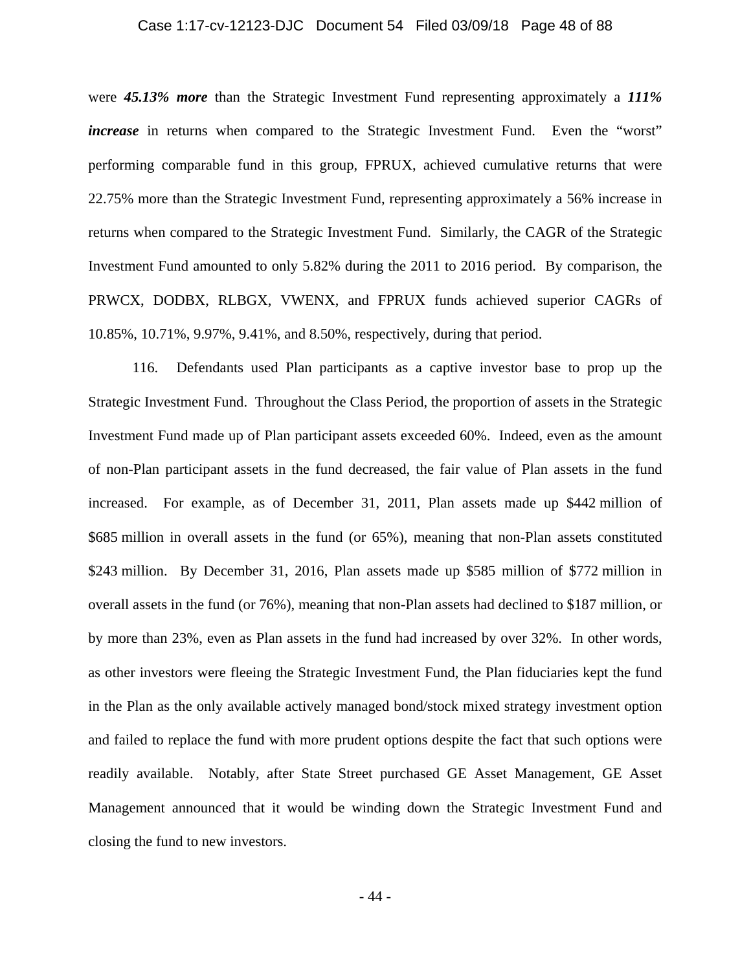### Case 1:17-cv-12123-DJC Document 54 Filed 03/09/18 Page 48 of 88

were *45.13% more* than the Strategic Investment Fund representing approximately a *111% increase* in returns when compared to the Strategic Investment Fund. Even the "worst" performing comparable fund in this group, FPRUX, achieved cumulative returns that were 22.75% more than the Strategic Investment Fund, representing approximately a 56% increase in returns when compared to the Strategic Investment Fund. Similarly, the CAGR of the Strategic Investment Fund amounted to only 5.82% during the 2011 to 2016 period. By comparison, the PRWCX, DODBX, RLBGX, VWENX, and FPRUX funds achieved superior CAGRs of 10.85%, 10.71%, 9.97%, 9.41%, and 8.50%, respectively, during that period.

116. Defendants used Plan participants as a captive investor base to prop up the Strategic Investment Fund. Throughout the Class Period, the proportion of assets in the Strategic Investment Fund made up of Plan participant assets exceeded 60%. Indeed, even as the amount of non-Plan participant assets in the fund decreased, the fair value of Plan assets in the fund increased. For example, as of December 31, 2011, Plan assets made up \$442 million of \$685 million in overall assets in the fund (or 65%), meaning that non-Plan assets constituted \$243 million. By December 31, 2016, Plan assets made up \$585 million of \$772 million in overall assets in the fund (or 76%), meaning that non-Plan assets had declined to \$187 million, or by more than 23%, even as Plan assets in the fund had increased by over 32%. In other words, as other investors were fleeing the Strategic Investment Fund, the Plan fiduciaries kept the fund in the Plan as the only available actively managed bond/stock mixed strategy investment option and failed to replace the fund with more prudent options despite the fact that such options were readily available. Notably, after State Street purchased GE Asset Management, GE Asset Management announced that it would be winding down the Strategic Investment Fund and closing the fund to new investors.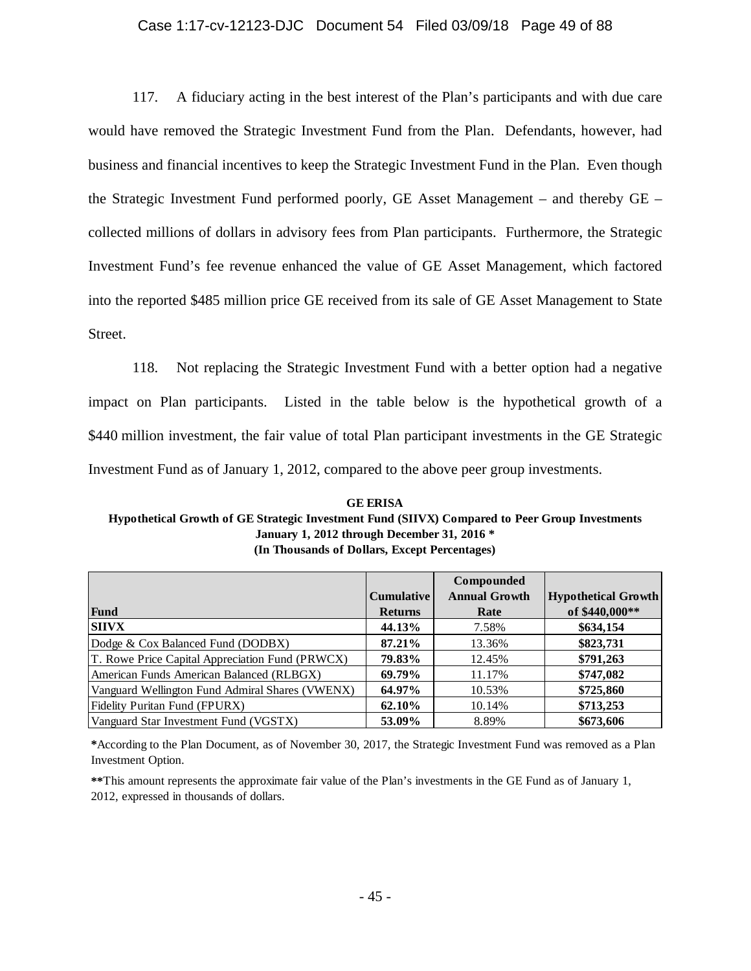## Case 1:17-cv-12123-DJC Document 54 Filed 03/09/18 Page 49 of 88

117. A fiduciary acting in the best interest of the Plan's participants and with due care would have removed the Strategic Investment Fund from the Plan. Defendants, however, had business and financial incentives to keep the Strategic Investment Fund in the Plan. Even though the Strategic Investment Fund performed poorly, GE Asset Management – and thereby GE – collected millions of dollars in advisory fees from Plan participants. Furthermore, the Strategic Investment Fund's fee revenue enhanced the value of GE Asset Management, which factored into the reported \$485 million price GE received from its sale of GE Asset Management to State Street.

118. Not replacing the Strategic Investment Fund with a better option had a negative impact on Plan participants. Listed in the table below is the hypothetical growth of a \$440 million investment, the fair value of total Plan participant investments in the GE Strategic Investment Fund as of January 1, 2012, compared to the above peer group investments.

**GE ERISA Hypothetical Growth of GE Strategic Investment Fund (SIIVX) Compared to Peer Group Investments January 1, 2012 through December 31, 2016 \* (In Thousands of Dollars, Except Percentages)**

|                                                 |                   | Compounded           |                            |
|-------------------------------------------------|-------------------|----------------------|----------------------------|
|                                                 | <b>Cumulative</b> | <b>Annual Growth</b> | <b>Hypothetical Growth</b> |
| Fund                                            | <b>Returns</b>    | Rate                 | of \$440,000**             |
| <b>SIIVX</b>                                    | 44.13%            | 7.58%                | \$634,154                  |
| Dodge & Cox Balanced Fund (DODBX)               | 87.21%            | 13.36%               | \$823,731                  |
| T. Rowe Price Capital Appreciation Fund (PRWCX) | 79.83%            | 12.45%               | \$791,263                  |
| American Funds American Balanced (RLBGX)        | 69.79%            | 11.17%               | \$747,082                  |
| Vanguard Wellington Fund Admiral Shares (VWENX) | 64.97%            | 10.53%               | \$725,860                  |
| <b>Fidelity Puritan Fund (FPURX)</b>            | 62.10%            | 10.14%               | \$713,253                  |
| Vanguard Star Investment Fund (VGSTX)           | 53.09%            | 8.89%                | \$673,606                  |

**\***According to the Plan Document, as of November 30, 2017, the Strategic Investment Fund was removed as a Plan Investment Option.

**\*\***This amount represents the approximate fair value of the Plan's investments in the GE Fund as of January 1, 2012, expressed in thousands of dollars.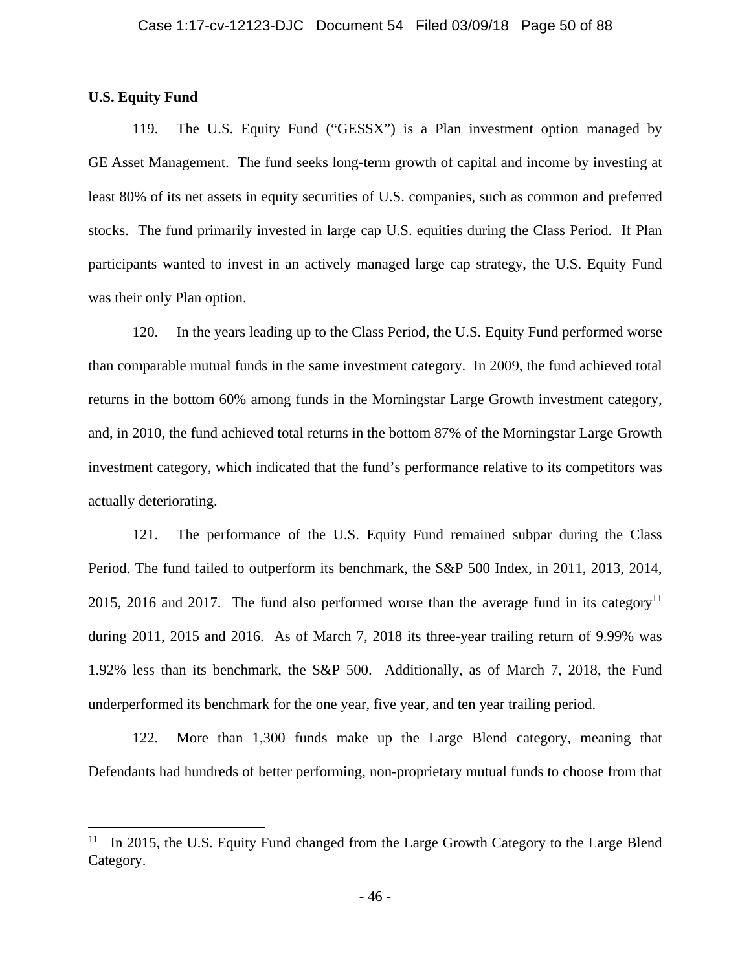### **U.S. Equity Fund**

1

119. The U.S. Equity Fund ("GESSX") is a Plan investment option managed by GE Asset Management. The fund seeks long-term growth of capital and income by investing at least 80% of its net assets in equity securities of U.S. companies, such as common and preferred stocks. The fund primarily invested in large cap U.S. equities during the Class Period. If Plan participants wanted to invest in an actively managed large cap strategy, the U.S. Equity Fund was their only Plan option.

120. In the years leading up to the Class Period, the U.S. Equity Fund performed worse than comparable mutual funds in the same investment category. In 2009, the fund achieved total returns in the bottom 60% among funds in the Morningstar Large Growth investment category, and, in 2010, the fund achieved total returns in the bottom 87% of the Morningstar Large Growth investment category, which indicated that the fund's performance relative to its competitors was actually deteriorating.

121. The performance of the U.S. Equity Fund remained subpar during the Class Period. The fund failed to outperform its benchmark, the S&P 500 Index, in 2011, 2013, 2014, 2015, 2016 and 2017. The fund also performed worse than the average fund in its category<sup>11</sup> during 2011, 2015 and 2016. As of March 7, 2018 its three-year trailing return of 9.99% was 1.92% less than its benchmark, the S&P 500. Additionally, as of March 7, 2018, the Fund underperformed its benchmark for the one year, five year, and ten year trailing period.

122. More than 1,300 funds make up the Large Blend category, meaning that Defendants had hundreds of better performing, non-proprietary mutual funds to choose from that

<sup>&</sup>lt;sup>11</sup> In 2015, the U.S. Equity Fund changed from the Large Growth Category to the Large Blend Category.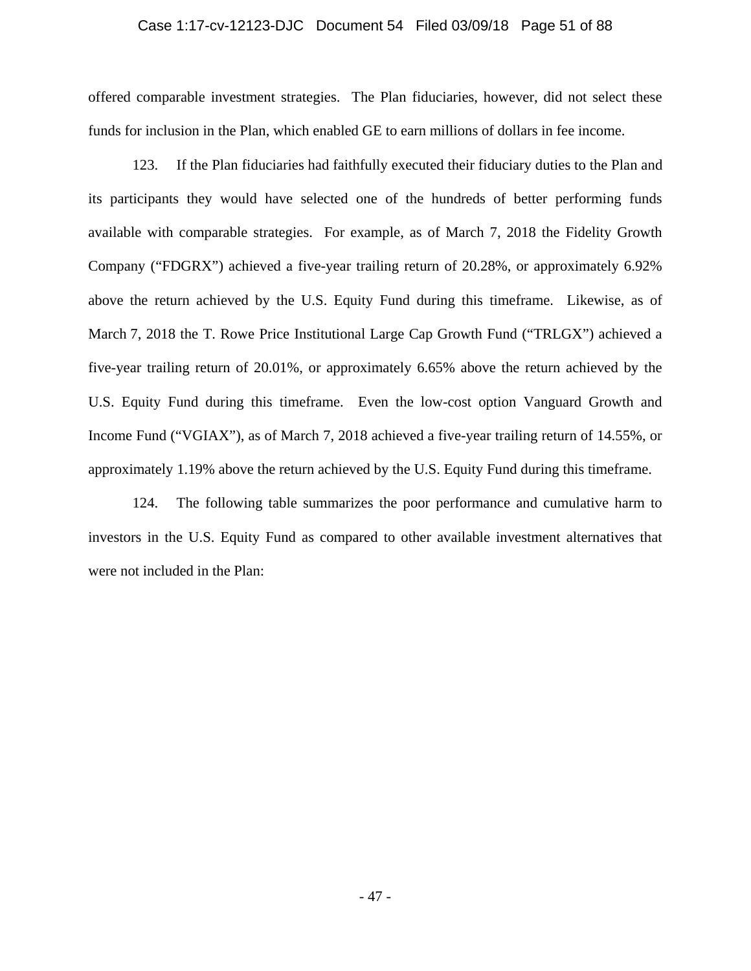### Case 1:17-cv-12123-DJC Document 54 Filed 03/09/18 Page 51 of 88

offered comparable investment strategies. The Plan fiduciaries, however, did not select these funds for inclusion in the Plan, which enabled GE to earn millions of dollars in fee income.

123. If the Plan fiduciaries had faithfully executed their fiduciary duties to the Plan and its participants they would have selected one of the hundreds of better performing funds available with comparable strategies. For example, as of March 7, 2018 the Fidelity Growth Company ("FDGRX") achieved a five-year trailing return of 20.28%, or approximately 6.92% above the return achieved by the U.S. Equity Fund during this timeframe. Likewise, as of March 7, 2018 the T. Rowe Price Institutional Large Cap Growth Fund ("TRLGX") achieved a five-year trailing return of 20.01%, or approximately 6.65% above the return achieved by the U.S. Equity Fund during this timeframe. Even the low-cost option Vanguard Growth and Income Fund ("VGIAX"), as of March 7, 2018 achieved a five-year trailing return of 14.55%, or approximately 1.19% above the return achieved by the U.S. Equity Fund during this timeframe.

124. The following table summarizes the poor performance and cumulative harm to investors in the U.S. Equity Fund as compared to other available investment alternatives that were not included in the Plan: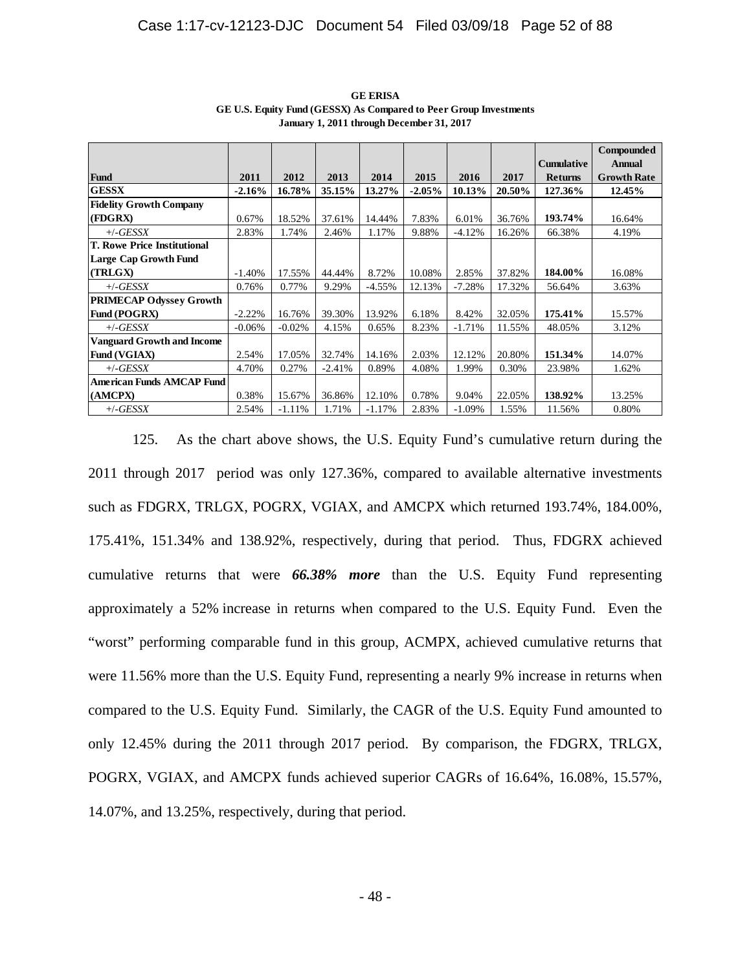|                                   |           |          |          |          |          |           |        |                   | <b>Compounded</b>  |
|-----------------------------------|-----------|----------|----------|----------|----------|-----------|--------|-------------------|--------------------|
|                                   |           |          |          |          |          |           |        | <b>Cumulative</b> | <b>Annual</b>      |
| Fund                              | 2011      | 2012     | 2013     | 2014     | 2015     | 2016      | 2017   | <b>Returns</b>    | <b>Growth Rate</b> |
| <b>GESSX</b>                      | $-2.16\%$ | 16.78%   | 35.15%   | 13.27%   | $-2.05%$ | 10.13%    | 20.50% | 127.36%           | 12.45%             |
| <b>Fidelity Growth Company</b>    |           |          |          |          |          |           |        |                   |                    |
| (FDGRX)                           | 0.67%     | 18.52%   | 37.61%   | 14.44%   | 7.83%    | 6.01%     | 36.76% | 193.74%           | 16.64%             |
| $+/-GESSX$                        | 2.83%     | 1.74%    | 2.46%    | 1.17%    | 9.88%    | $-4.12%$  | 16.26% | 66.38%            | 4.19%              |
| T. Rowe Price Institutional       |           |          |          |          |          |           |        |                   |                    |
| Large Cap Growth Fund             |           |          |          |          |          |           |        |                   |                    |
| (TRLGX)                           | $-1.40%$  | 17.55%   | 44.44%   | 8.72%    | 10.08%   | 2.85%     | 37.82% | 184.00%           | 16.08%             |
| $+/-GESSX$                        | 0.76%     | 0.77%    | 9.29%    | $-4.55%$ | 12.13%   | $-7.28%$  | 17.32% | 56.64%            | 3.63%              |
| <b>PRIMECAP Odyssey Growth</b>    |           |          |          |          |          |           |        |                   |                    |
| Fund (POGRX)                      | $-2.22%$  | 16.76%   | 39.30%   | 13.92%   | 6.18%    | 8.42%     | 32.05% | 175.41%           | 15.57%             |
| $+/-GESSX$                        | $-0.06%$  | $-0.02%$ | 4.15%    | 0.65%    | 8.23%    | $-1.71%$  | 11.55% | 48.05%            | 3.12%              |
| <b>Vanguard Growth and Income</b> |           |          |          |          |          |           |        |                   |                    |
| Fund (VGIAX)                      | 2.54%     | 17.05%   | 32.74%   | 14.16%   | 2.03%    | 12.12%    | 20.80% | 151.34%           | 14.07%             |
| $+/-GESSX$                        | 4.70%     | 0.27%    | $-2.41%$ | 0.89%    | 4.08%    | 1.99%     | 0.30%  | 23.98%            | 1.62%              |
| <b>American Funds AMCAP Fund</b>  |           |          |          |          |          |           |        |                   |                    |
| (AMCPX)                           | 0.38%     | 15.67%   | 36.86%   | 12.10%   | 0.78%    | 9.04%     | 22.05% | 138.92%           | 13.25%             |
| $+/-GESSX$                        | 2.54%     | $-1.11%$ | 1.71%    | $-1.17%$ | 2.83%    | $-1.09\%$ | 1.55%  | 11.56%            | 0.80%              |

**GE ERISA GE U.S. Equity Fund (GESSX) As Compared to Peer Group Investments January 1, 2011 through December 31, 2017**

125. As the chart above shows, the U.S. Equity Fund's cumulative return during the 2011 through 2017 period was only 127.36%, compared to available alternative investments such as FDGRX, TRLGX, POGRX, VGIAX, and AMCPX which returned 193.74%, 184.00%, 175.41%, 151.34% and 138.92%, respectively, during that period. Thus, FDGRX achieved cumulative returns that were *66.38% more* than the U.S. Equity Fund representing approximately a 52% increase in returns when compared to the U.S. Equity Fund. Even the "worst" performing comparable fund in this group, ACMPX, achieved cumulative returns that were 11.56% more than the U.S. Equity Fund, representing a nearly 9% increase in returns when compared to the U.S. Equity Fund. Similarly, the CAGR of the U.S. Equity Fund amounted to only 12.45% during the 2011 through 2017 period. By comparison, the FDGRX, TRLGX, POGRX, VGIAX, and AMCPX funds achieved superior CAGRs of 16.64%, 16.08%, 15.57%, 14.07%, and 13.25%, respectively, during that period.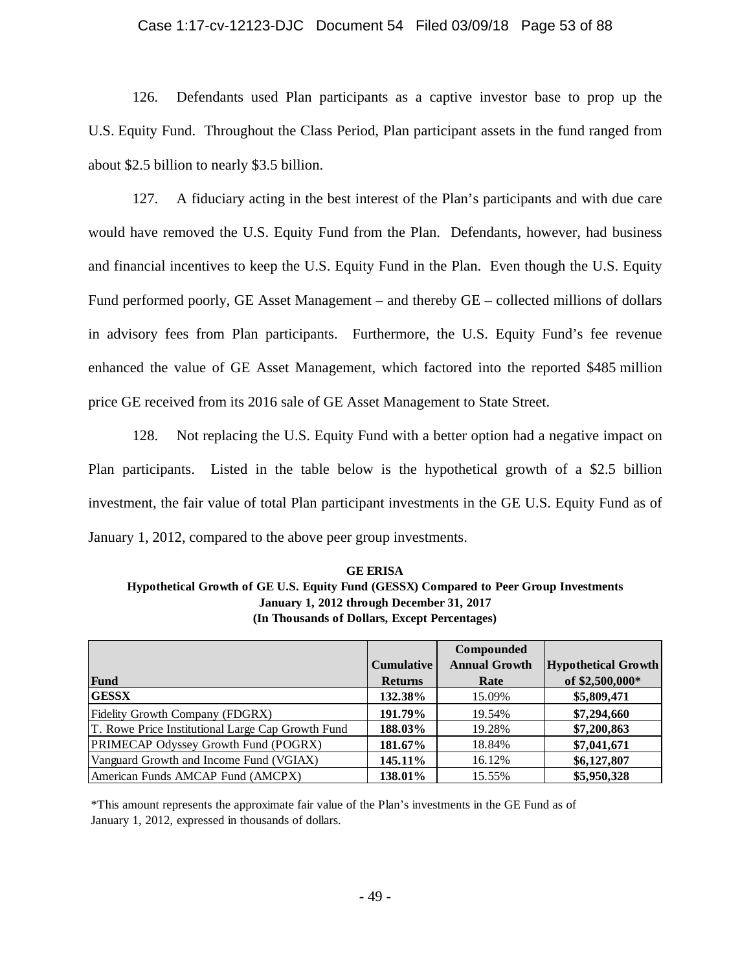### Case 1:17-cv-12123-DJC Document 54 Filed 03/09/18 Page 53 of 88

126. Defendants used Plan participants as a captive investor base to prop up the U.S. Equity Fund. Throughout the Class Period, Plan participant assets in the fund ranged from about \$2.5 billion to nearly \$3.5 billion.

127. A fiduciary acting in the best interest of the Plan's participants and with due care would have removed the U.S. Equity Fund from the Plan. Defendants, however, had business and financial incentives to keep the U.S. Equity Fund in the Plan. Even though the U.S. Equity Fund performed poorly, GE Asset Management – and thereby GE – collected millions of dollars in advisory fees from Plan participants. Furthermore, the U.S. Equity Fund's fee revenue enhanced the value of GE Asset Management, which factored into the reported \$485 million price GE received from its 2016 sale of GE Asset Management to State Street.

128. Not replacing the U.S. Equity Fund with a better option had a negative impact on Plan participants. Listed in the table below is the hypothetical growth of a \$2.5 billion investment, the fair value of total Plan participant investments in the GE U.S. Equity Fund as of January 1, 2012, compared to the above peer group investments.

**(In Thousands of Dollars, Except Percentages) GE ERISA Hypothetical Growth of GE U.S. Equity Fund (GESSX) Compared to Peer Group Investments January 1, 2012 through December 31, 2017**

| Fund                                              | <b>Cumulative</b><br><b>Returns</b> | Compounded<br><b>Annual Growth</b><br>Rate | <b>Hypothetical Growth</b><br>of \$2,500,000* |
|---------------------------------------------------|-------------------------------------|--------------------------------------------|-----------------------------------------------|
| <b>GESSX</b>                                      | 132.38%                             | 15.09%                                     | \$5,809,471                                   |
| Fidelity Growth Company (FDGRX)                   | 191.79%                             | 19.54%                                     | \$7,294,660                                   |
| T. Rowe Price Institutional Large Cap Growth Fund | 188.03%                             | 19.28%                                     | \$7,200,863                                   |
| <b>PRIMECAP Odyssey Growth Fund (POGRX)</b>       | 181.67%                             | 18.84%                                     | \$7,041,671                                   |
| Vanguard Growth and Income Fund (VGIAX)           | 145.11%                             | 16.12%                                     | \$6,127,807                                   |
| American Funds AMCAP Fund (AMCPX)                 | 138.01%                             | 15.55%                                     | \$5,950,328                                   |

\*This amount represents the approximate fair value of the Plan's investments in the GE Fund as of January 1, 2012, expressed in thousands of dollars.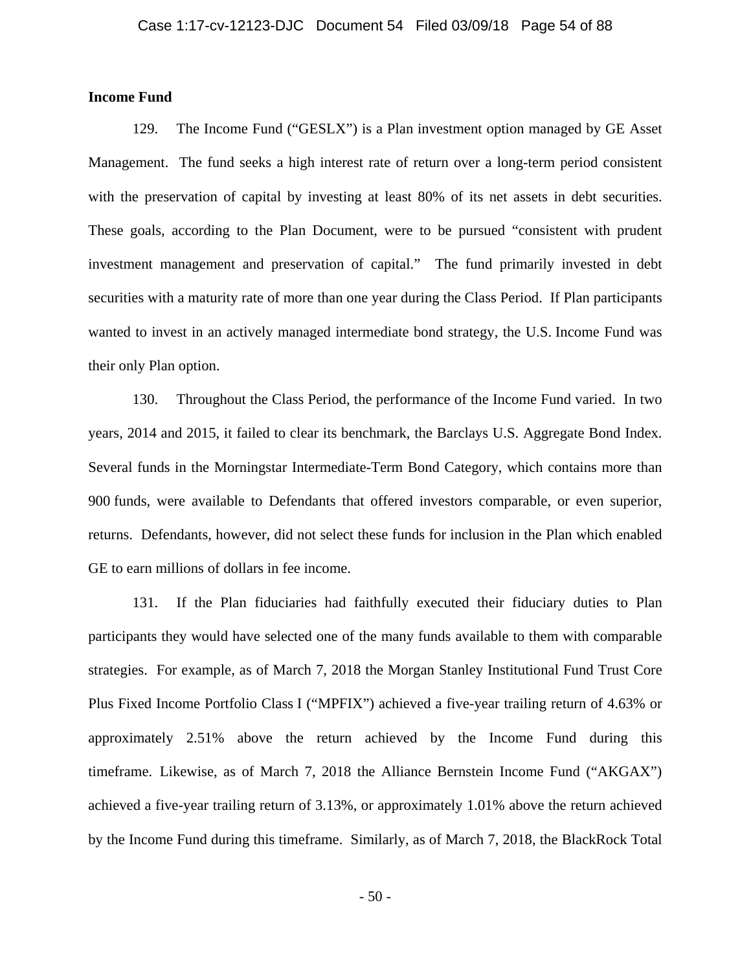# **Income Fund**

129. The Income Fund ("GESLX") is a Plan investment option managed by GE Asset Management. The fund seeks a high interest rate of return over a long-term period consistent with the preservation of capital by investing at least 80% of its net assets in debt securities. These goals, according to the Plan Document, were to be pursued "consistent with prudent investment management and preservation of capital." The fund primarily invested in debt securities with a maturity rate of more than one year during the Class Period. If Plan participants wanted to invest in an actively managed intermediate bond strategy, the U.S. Income Fund was their only Plan option.

130. Throughout the Class Period, the performance of the Income Fund varied. In two years, 2014 and 2015, it failed to clear its benchmark, the Barclays U.S. Aggregate Bond Index. Several funds in the Morningstar Intermediate-Term Bond Category, which contains more than 900 funds, were available to Defendants that offered investors comparable, or even superior, returns. Defendants, however, did not select these funds for inclusion in the Plan which enabled GE to earn millions of dollars in fee income.

131. If the Plan fiduciaries had faithfully executed their fiduciary duties to Plan participants they would have selected one of the many funds available to them with comparable strategies. For example, as of March 7, 2018 the Morgan Stanley Institutional Fund Trust Core Plus Fixed Income Portfolio Class I ("MPFIX") achieved a five-year trailing return of 4.63% or approximately 2.51% above the return achieved by the Income Fund during this timeframe. Likewise, as of March 7, 2018 the Alliance Bernstein Income Fund ("AKGAX") achieved a five-year trailing return of 3.13%, or approximately 1.01% above the return achieved by the Income Fund during this timeframe. Similarly, as of March 7, 2018, the BlackRock Total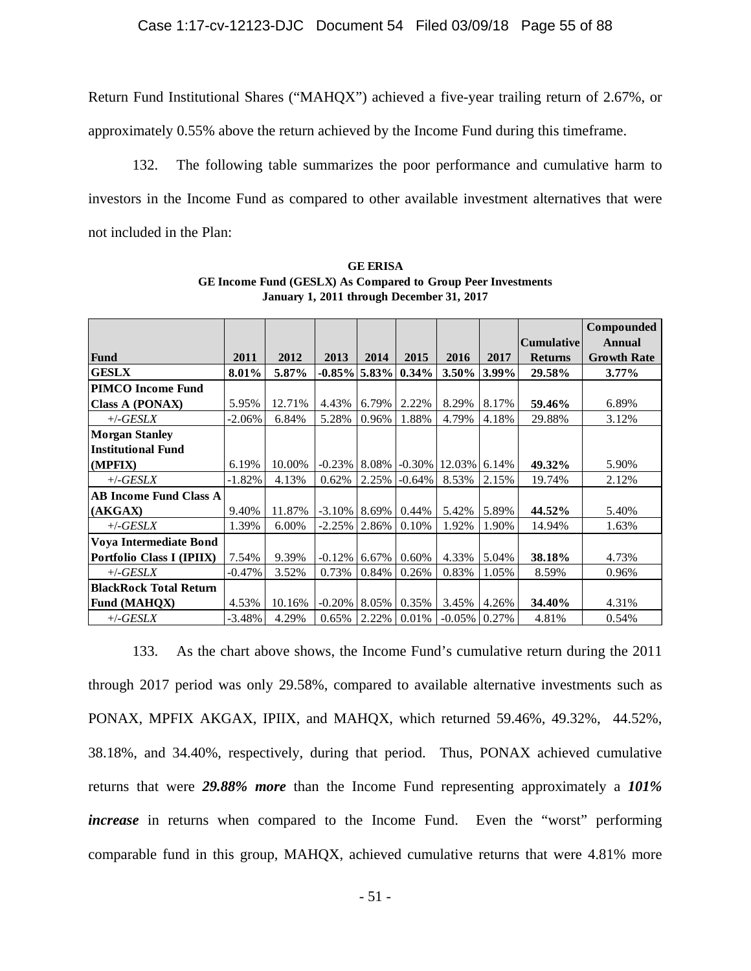Return Fund Institutional Shares ("MAHQX") achieved a five-year trailing return of 2.67%, or

approximately 0.55% above the return achieved by the Income Fund during this timeframe.

132. The following table summarizes the poor performance and cumulative harm to investors in the Income Fund as compared to other available investment alternatives that were not included in the Plan:

|                               |           |        |                 |       |           |           |       |                   | Compounded         |
|-------------------------------|-----------|--------|-----------------|-------|-----------|-----------|-------|-------------------|--------------------|
|                               |           |        |                 |       |           |           |       | <b>Cumulative</b> | <b>Annual</b>      |
| Fund                          | 2011      | 2012   | 2013            | 2014  | 2015      | 2016      | 2017  | <b>Returns</b>    | <b>Growth Rate</b> |
| <b>GESLX</b>                  | 8.01%     | 5.87%  | $-0.85\%$ 5.83% |       | 0.34%     | $3.50\%$  | 3.99% | 29.58%            | $3.77\%$           |
| <b>PIMCO</b> Income Fund      |           |        |                 |       |           |           |       |                   |                    |
| <b>Class A (PONAX)</b>        | 5.95%     | 12.71% | 4.43%           | 6.79% | 2.22%     | 8.29%     | 8.17% | 59.46%            | 6.89%              |
| $+/-GESLX$                    | $-2.06\%$ | 6.84%  | 5.28%           | 0.96% | 1.88%     | 4.79%     | 4.18% | 29.88%            | 3.12%              |
| <b>Morgan Stanley</b>         |           |        |                 |       |           |           |       |                   |                    |
| <b>Institutional Fund</b>     |           |        |                 |       |           |           |       |                   |                    |
| (MPFIX)                       | 6.19%     | 10.00% | $-0.23%$        | 8.08% | $-0.30\%$ | 12.03%    | 6.14% | 49.32%            | 5.90%              |
| $+/-GESLX$                    | $-1.82%$  | 4.13%  | 0.62%           | 2.25% | $-0.64\%$ | 8.53%     | 2.15% | 19.74%            | 2.12%              |
| <b>AB Income Fund Class A</b> |           |        |                 |       |           |           |       |                   |                    |
| (AKGAX)                       | 9.40%     | 11.87% | $-3.10\%$       | 8.69% | 0.44%     | 5.42%     | 5.89% | 44.52%            | 5.40%              |
| $+/-GESLX$                    | 1.39%     | 6.00%  | $-2.25%$        | 2.86% | 0.10%     | 1.92%     | 1.90% | 14.94%            | 1.63%              |
| Voya Intermediate Bond        |           |        |                 |       |           |           |       |                   |                    |
| Portfolio Class I (IPIIX)     | 7.54%     | 9.39%  | $-0.12%$        | 6.67% | 0.60%     | 4.33%     | 5.04% | 38.18%            | 4.73%              |
| $+/-GESLX$                    | $-0.47%$  | 3.52%  | 0.73%           | 0.84% | 0.26%     | 0.83%     | 1.05% | 8.59%             | 0.96%              |
| <b>BlackRock Total Return</b> |           |        |                 |       |           |           |       |                   |                    |
| <b>Fund (MAHQX)</b>           | 4.53%     | 10.16% | $-0.20%$        | 8.05% | 0.35%     | 3.45%     | 4.26% | 34.40%            | 4.31%              |
| $+/-GESLX$                    | -3.48%    | 4.29%  | 0.65%           | 2.22% | 0.01%     | $-0.05\%$ | 0.27% | 4.81%             | 0.54%              |

**GE ERISA GE Income Fund (GESLX) As Compared to Group Peer Investments January 1, 2011 through December 31, 2017**

133. As the chart above shows, the Income Fund's cumulative return during the 2011 through 2017 period was only 29.58%, compared to available alternative investments such as PONAX, MPFIX AKGAX, IPIIX, and MAHQX, which returned 59.46%, 49.32%, 44.52%, 38.18%, and 34.40%, respectively, during that period. Thus, PONAX achieved cumulative returns that were *29.88% more* than the Income Fund representing approximately a *101% increase* in returns when compared to the Income Fund. Even the "worst" performing comparable fund in this group, MAHQX, achieved cumulative returns that were 4.81% more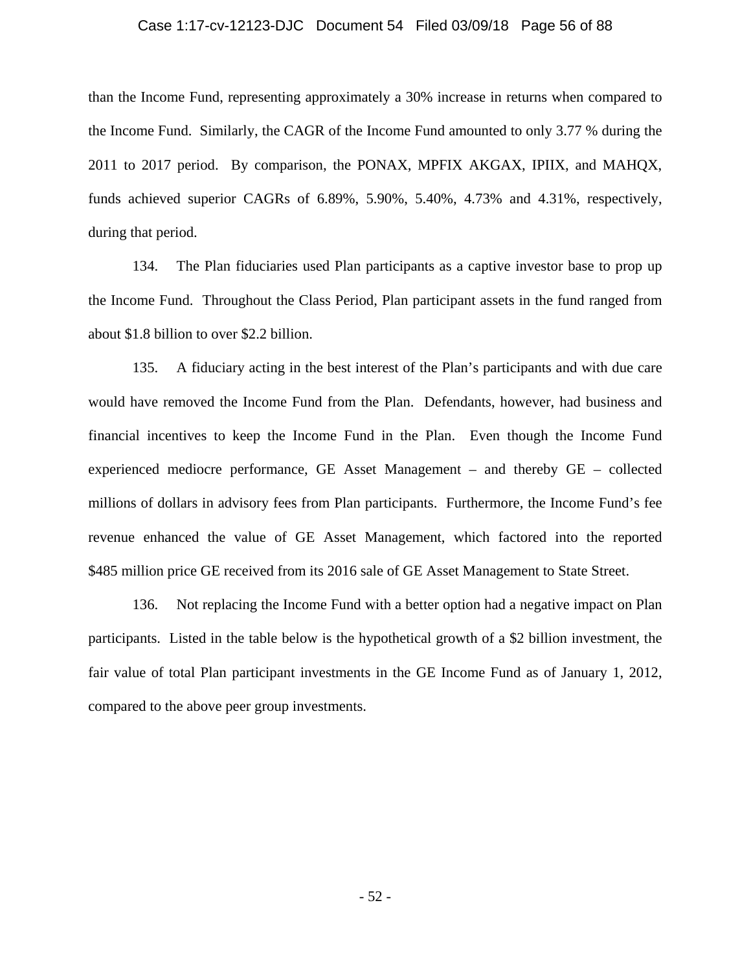#### Case 1:17-cv-12123-DJC Document 54 Filed 03/09/18 Page 56 of 88

than the Income Fund, representing approximately a 30% increase in returns when compared to the Income Fund. Similarly, the CAGR of the Income Fund amounted to only 3.77 % during the 2011 to 2017 period. By comparison, the PONAX, MPFIX AKGAX, IPIIX, and MAHQX, funds achieved superior CAGRs of 6.89%, 5.90%, 5.40%, 4.73% and 4.31%, respectively, during that period.

134. The Plan fiduciaries used Plan participants as a captive investor base to prop up the Income Fund. Throughout the Class Period, Plan participant assets in the fund ranged from about \$1.8 billion to over \$2.2 billion.

135. A fiduciary acting in the best interest of the Plan's participants and with due care would have removed the Income Fund from the Plan. Defendants, however, had business and financial incentives to keep the Income Fund in the Plan. Even though the Income Fund experienced mediocre performance, GE Asset Management – and thereby GE – collected millions of dollars in advisory fees from Plan participants. Furthermore, the Income Fund's fee revenue enhanced the value of GE Asset Management, which factored into the reported \$485 million price GE received from its 2016 sale of GE Asset Management to State Street.

136. Not replacing the Income Fund with a better option had a negative impact on Plan participants. Listed in the table below is the hypothetical growth of a \$2 billion investment, the fair value of total Plan participant investments in the GE Income Fund as of January 1, 2012, compared to the above peer group investments.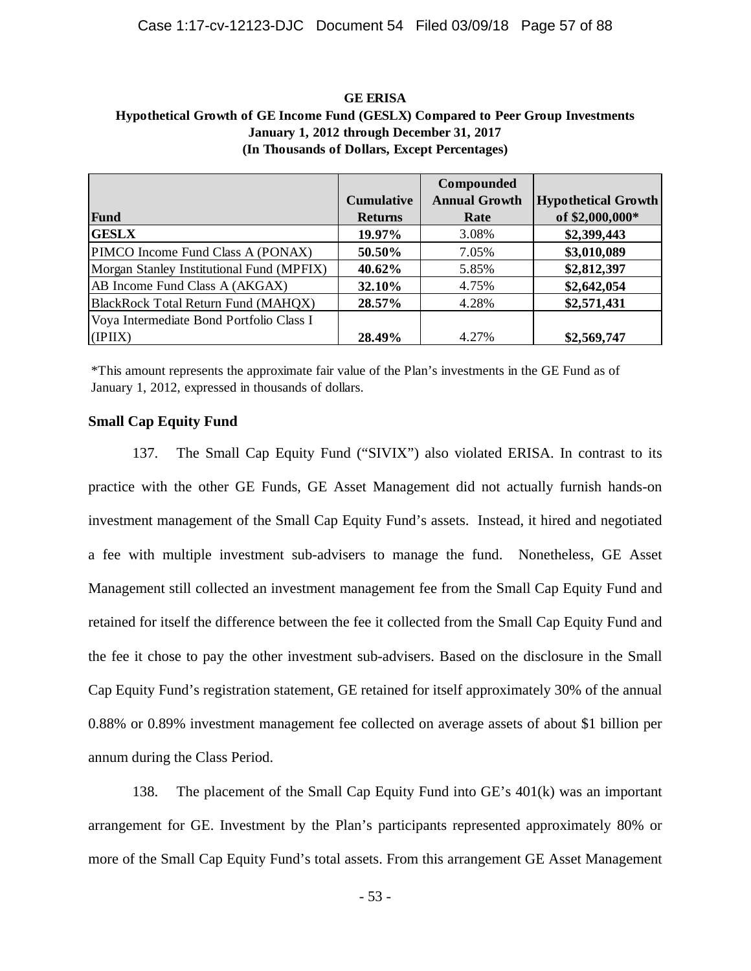| <b>GE ERISA</b>                                                                  |
|----------------------------------------------------------------------------------|
| Hypothetical Growth of GE Income Fund (GESLX) Compared to Peer Group Investments |
| January 1, 2012 through December 31, 2017                                        |
| (In Thousands of Dollars, Except Percentages)                                    |

|                                           |                   | Compounded           |                            |
|-------------------------------------------|-------------------|----------------------|----------------------------|
|                                           | <b>Cumulative</b> | <b>Annual Growth</b> | <b>Hypothetical Growth</b> |
| Fund                                      | <b>Returns</b>    | Rate                 | of \$2,000,000*            |
| <b>GESLX</b>                              | 19.97%            | 3.08%                | \$2,399,443                |
| PIMCO Income Fund Class A (PONAX)         | 50.50%            | 7.05%                | \$3,010,089                |
| Morgan Stanley Institutional Fund (MPFIX) | 40.62%            | 5.85%                | \$2,812,397                |
| AB Income Fund Class A (AKGAX)            | 32.10%            | 4.75%                | \$2,642,054                |
| BlackRock Total Return Fund (MAHQX)       | 28.57%            | 4.28%                | \$2,571,431                |
| Voya Intermediate Bond Portfolio Class I  |                   |                      |                            |
| (IPIIX)                                   | 28.49%            | 4.27%                | \$2,569,747                |

\*This amount represents the approximate fair value of the Plan's investments in the GE Fund as of January 1, 2012, expressed in thousands of dollars.

## **Small Cap Equity Fund**

137. The Small Cap Equity Fund ("SIVIX") also violated ERISA. In contrast to its practice with the other GE Funds, GE Asset Management did not actually furnish hands-on investment management of the Small Cap Equity Fund's assets. Instead, it hired and negotiated a fee with multiple investment sub-advisers to manage the fund. Nonetheless, GE Asset Management still collected an investment management fee from the Small Cap Equity Fund and retained for itself the difference between the fee it collected from the Small Cap Equity Fund and the fee it chose to pay the other investment sub-advisers. Based on the disclosure in the Small Cap Equity Fund's registration statement, GE retained for itself approximately 30% of the annual 0.88% or 0.89% investment management fee collected on average assets of about \$1 billion per annum during the Class Period.

138. The placement of the Small Cap Equity Fund into GE's 401(k) was an important arrangement for GE. Investment by the Plan's participants represented approximately 80% or more of the Small Cap Equity Fund's total assets. From this arrangement GE Asset Management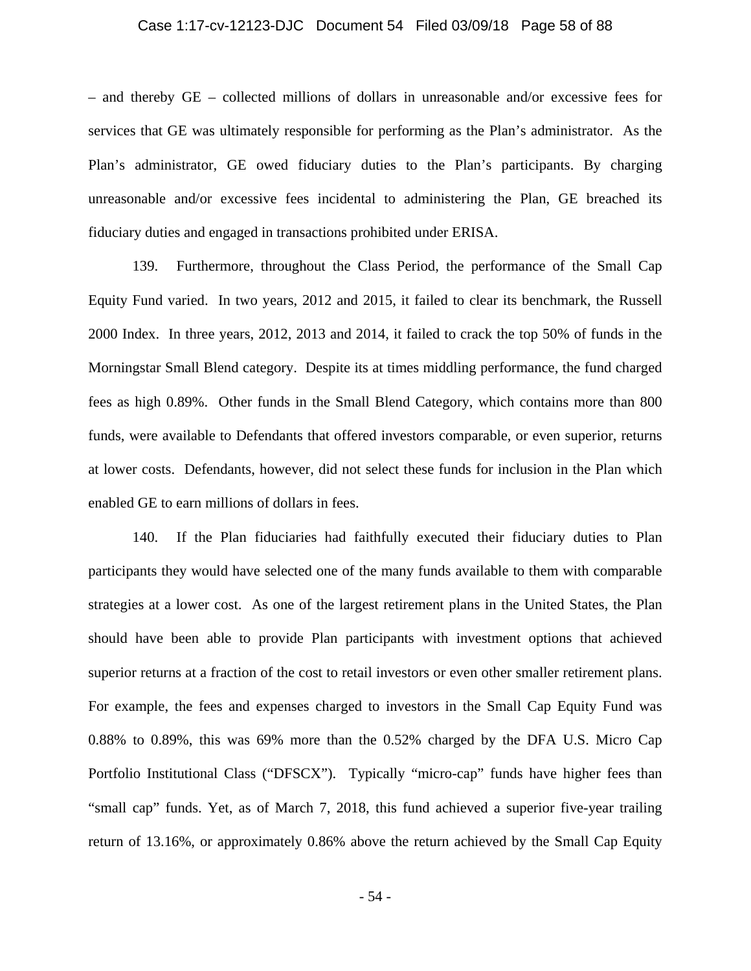### Case 1:17-cv-12123-DJC Document 54 Filed 03/09/18 Page 58 of 88

– and thereby GE – collected millions of dollars in unreasonable and/or excessive fees for services that GE was ultimately responsible for performing as the Plan's administrator. As the Plan's administrator, GE owed fiduciary duties to the Plan's participants. By charging unreasonable and/or excessive fees incidental to administering the Plan, GE breached its fiduciary duties and engaged in transactions prohibited under ERISA.

139. Furthermore, throughout the Class Period, the performance of the Small Cap Equity Fund varied. In two years, 2012 and 2015, it failed to clear its benchmark, the Russell 2000 Index. In three years, 2012, 2013 and 2014, it failed to crack the top 50% of funds in the Morningstar Small Blend category. Despite its at times middling performance, the fund charged fees as high 0.89%. Other funds in the Small Blend Category, which contains more than 800 funds, were available to Defendants that offered investors comparable, or even superior, returns at lower costs. Defendants, however, did not select these funds for inclusion in the Plan which enabled GE to earn millions of dollars in fees.

140. If the Plan fiduciaries had faithfully executed their fiduciary duties to Plan participants they would have selected one of the many funds available to them with comparable strategies at a lower cost. As one of the largest retirement plans in the United States, the Plan should have been able to provide Plan participants with investment options that achieved superior returns at a fraction of the cost to retail investors or even other smaller retirement plans. For example, the fees and expenses charged to investors in the Small Cap Equity Fund was 0.88% to 0.89%, this was 69% more than the 0.52% charged by the DFA U.S. Micro Cap Portfolio Institutional Class ("DFSCX"). Typically "micro-cap" funds have higher fees than "small cap" funds. Yet, as of March 7, 2018, this fund achieved a superior five-year trailing return of 13.16%, or approximately 0.86% above the return achieved by the Small Cap Equity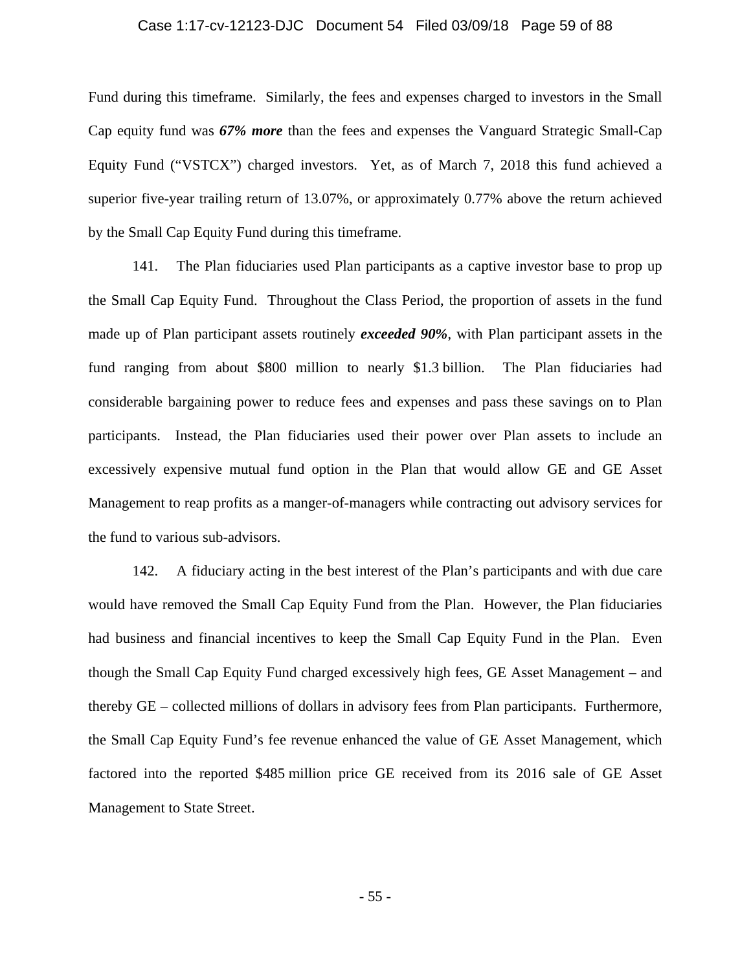#### Case 1:17-cv-12123-DJC Document 54 Filed 03/09/18 Page 59 of 88

Fund during this timeframe. Similarly, the fees and expenses charged to investors in the Small Cap equity fund was *67% more* than the fees and expenses the Vanguard Strategic Small-Cap Equity Fund ("VSTCX") charged investors. Yet, as of March 7, 2018 this fund achieved a superior five-year trailing return of 13.07%, or approximately 0.77% above the return achieved by the Small Cap Equity Fund during this timeframe.

141. The Plan fiduciaries used Plan participants as a captive investor base to prop up the Small Cap Equity Fund. Throughout the Class Period, the proportion of assets in the fund made up of Plan participant assets routinely *exceeded 90%*, with Plan participant assets in the fund ranging from about \$800 million to nearly \$1.3 billion. The Plan fiduciaries had considerable bargaining power to reduce fees and expenses and pass these savings on to Plan participants. Instead, the Plan fiduciaries used their power over Plan assets to include an excessively expensive mutual fund option in the Plan that would allow GE and GE Asset Management to reap profits as a manger-of-managers while contracting out advisory services for the fund to various sub-advisors.

142. A fiduciary acting in the best interest of the Plan's participants and with due care would have removed the Small Cap Equity Fund from the Plan. However, the Plan fiduciaries had business and financial incentives to keep the Small Cap Equity Fund in the Plan. Even though the Small Cap Equity Fund charged excessively high fees, GE Asset Management – and thereby GE – collected millions of dollars in advisory fees from Plan participants. Furthermore, the Small Cap Equity Fund's fee revenue enhanced the value of GE Asset Management, which factored into the reported \$485 million price GE received from its 2016 sale of GE Asset Management to State Street.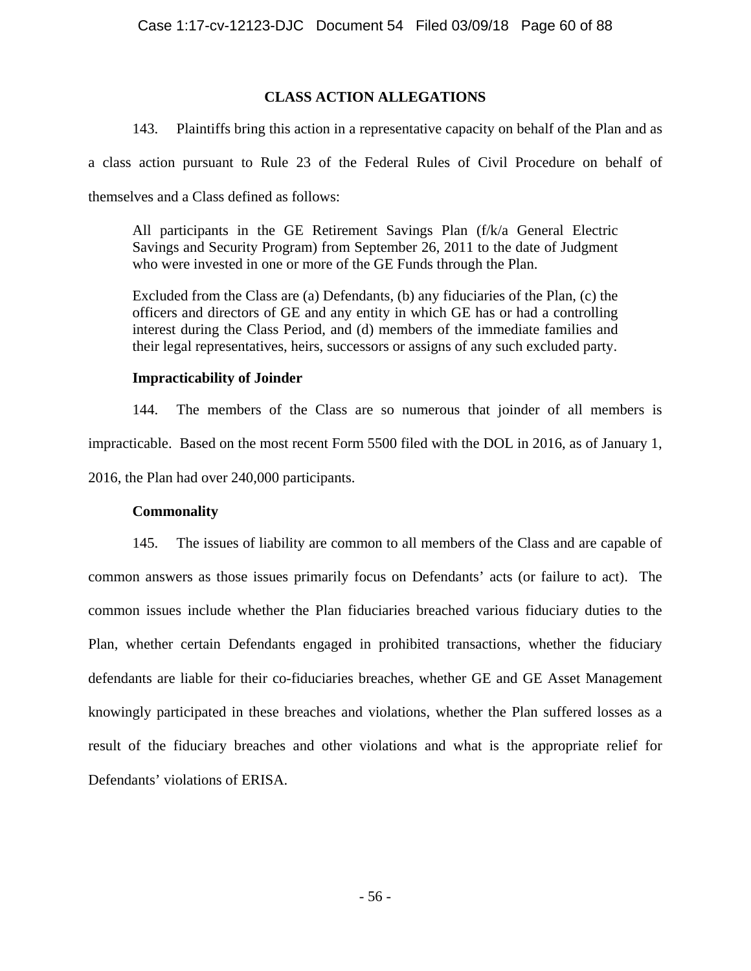# **CLASS ACTION ALLEGATIONS**

143. Plaintiffs bring this action in a representative capacity on behalf of the Plan and as

a class action pursuant to Rule 23 of the Federal Rules of Civil Procedure on behalf of

themselves and a Class defined as follows:

All participants in the GE Retirement Savings Plan (f/k/a General Electric Savings and Security Program) from September 26, 2011 to the date of Judgment who were invested in one or more of the GE Funds through the Plan.

Excluded from the Class are (a) Defendants, (b) any fiduciaries of the Plan, (c) the officers and directors of GE and any entity in which GE has or had a controlling interest during the Class Period, and (d) members of the immediate families and their legal representatives, heirs, successors or assigns of any such excluded party.

# **Impracticability of Joinder**

144. The members of the Class are so numerous that joinder of all members is impracticable. Based on the most recent Form 5500 filed with the DOL in 2016, as of January 1, 2016, the Plan had over 240,000 participants.

# **Commonality**

145. The issues of liability are common to all members of the Class and are capable of common answers as those issues primarily focus on Defendants' acts (or failure to act). The common issues include whether the Plan fiduciaries breached various fiduciary duties to the Plan, whether certain Defendants engaged in prohibited transactions, whether the fiduciary defendants are liable for their co-fiduciaries breaches, whether GE and GE Asset Management knowingly participated in these breaches and violations, whether the Plan suffered losses as a result of the fiduciary breaches and other violations and what is the appropriate relief for Defendants' violations of ERISA.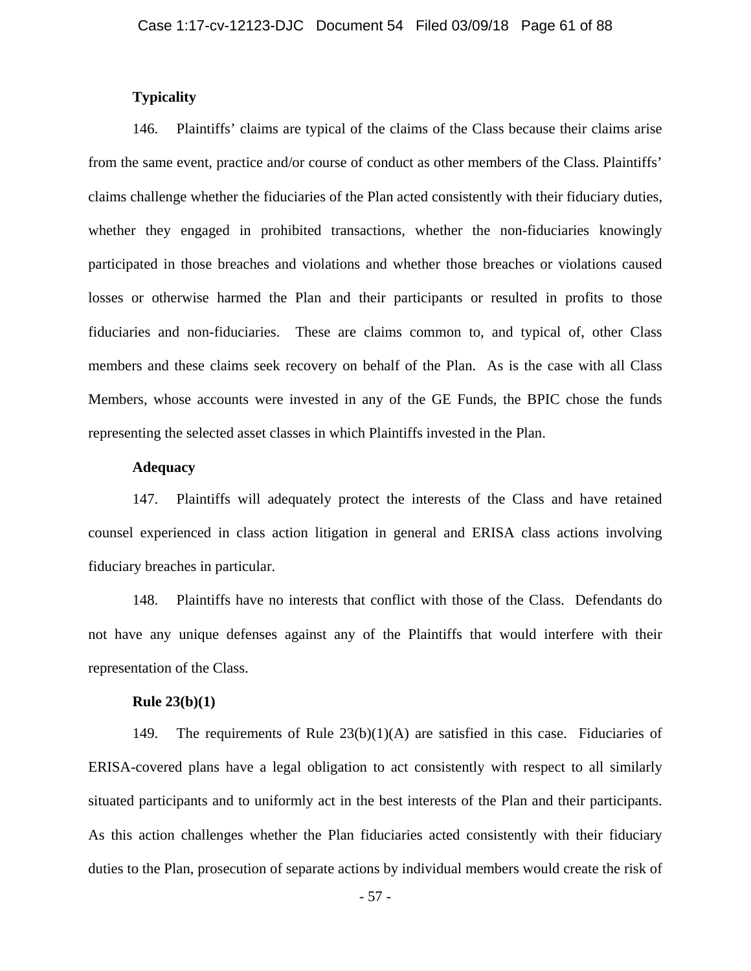## **Typicality**

146. Plaintiffs' claims are typical of the claims of the Class because their claims arise from the same event, practice and/or course of conduct as other members of the Class. Plaintiffs' claims challenge whether the fiduciaries of the Plan acted consistently with their fiduciary duties, whether they engaged in prohibited transactions, whether the non-fiduciaries knowingly participated in those breaches and violations and whether those breaches or violations caused losses or otherwise harmed the Plan and their participants or resulted in profits to those fiduciaries and non-fiduciaries. These are claims common to, and typical of, other Class members and these claims seek recovery on behalf of the Plan. As is the case with all Class Members, whose accounts were invested in any of the GE Funds, the BPIC chose the funds representing the selected asset classes in which Plaintiffs invested in the Plan.

### **Adequacy**

147. Plaintiffs will adequately protect the interests of the Class and have retained counsel experienced in class action litigation in general and ERISA class actions involving fiduciary breaches in particular.

148. Plaintiffs have no interests that conflict with those of the Class. Defendants do not have any unique defenses against any of the Plaintiffs that would interfere with their representation of the Class.

### **Rule 23(b)(1)**

149. The requirements of Rule 23(b)(1)(A) are satisfied in this case. Fiduciaries of ERISA-covered plans have a legal obligation to act consistently with respect to all similarly situated participants and to uniformly act in the best interests of the Plan and their participants. As this action challenges whether the Plan fiduciaries acted consistently with their fiduciary duties to the Plan, prosecution of separate actions by individual members would create the risk of

- 57 -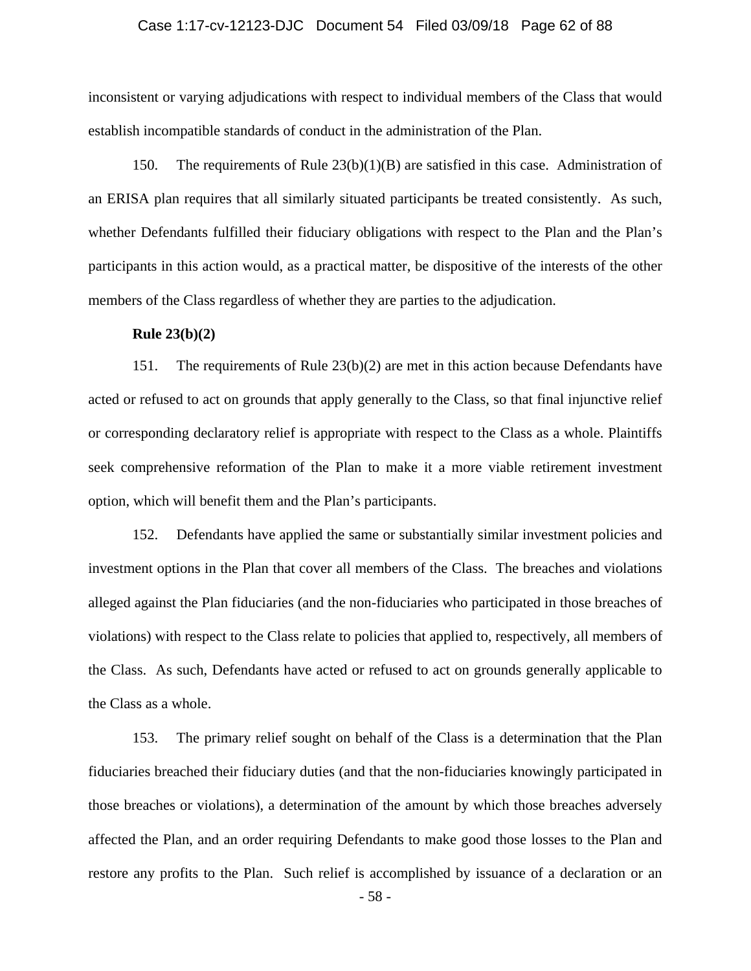### Case 1:17-cv-12123-DJC Document 54 Filed 03/09/18 Page 62 of 88

inconsistent or varying adjudications with respect to individual members of the Class that would establish incompatible standards of conduct in the administration of the Plan.

150. The requirements of Rule 23(b)(1)(B) are satisfied in this case. Administration of an ERISA plan requires that all similarly situated participants be treated consistently. As such, whether Defendants fulfilled their fiduciary obligations with respect to the Plan and the Plan's participants in this action would, as a practical matter, be dispositive of the interests of the other members of the Class regardless of whether they are parties to the adjudication.

### **Rule 23(b)(2)**

151. The requirements of Rule 23(b)(2) are met in this action because Defendants have acted or refused to act on grounds that apply generally to the Class, so that final injunctive relief or corresponding declaratory relief is appropriate with respect to the Class as a whole. Plaintiffs seek comprehensive reformation of the Plan to make it a more viable retirement investment option, which will benefit them and the Plan's participants.

152. Defendants have applied the same or substantially similar investment policies and investment options in the Plan that cover all members of the Class. The breaches and violations alleged against the Plan fiduciaries (and the non-fiduciaries who participated in those breaches of violations) with respect to the Class relate to policies that applied to, respectively, all members of the Class. As such, Defendants have acted or refused to act on grounds generally applicable to the Class as a whole.

153. The primary relief sought on behalf of the Class is a determination that the Plan fiduciaries breached their fiduciary duties (and that the non-fiduciaries knowingly participated in those breaches or violations), a determination of the amount by which those breaches adversely affected the Plan, and an order requiring Defendants to make good those losses to the Plan and restore any profits to the Plan. Such relief is accomplished by issuance of a declaration or an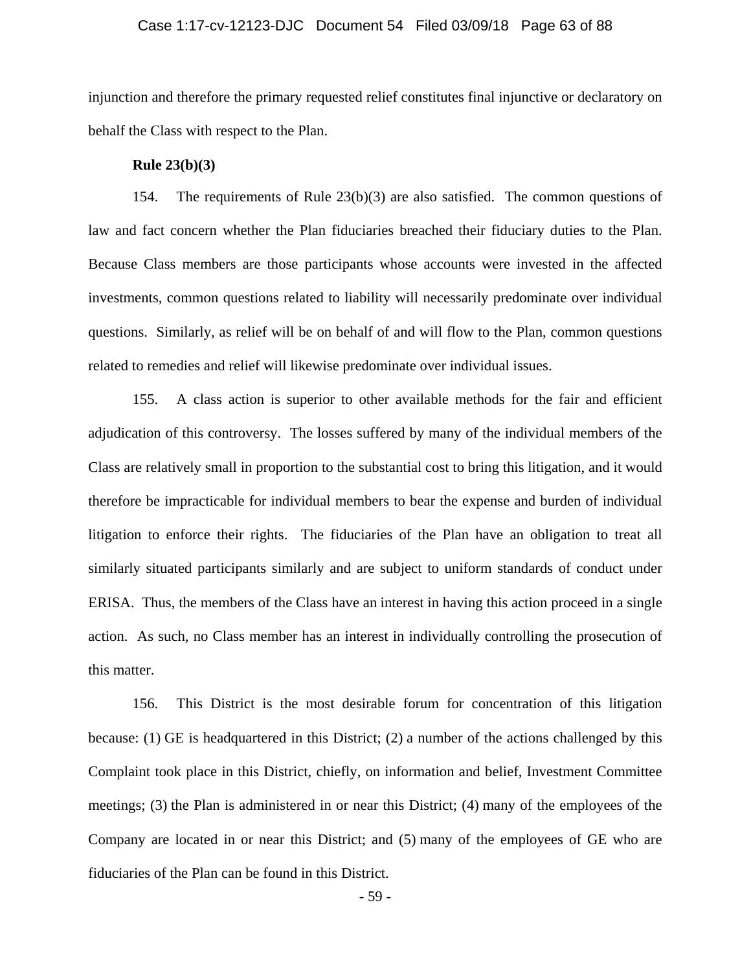### Case 1:17-cv-12123-DJC Document 54 Filed 03/09/18 Page 63 of 88

injunction and therefore the primary requested relief constitutes final injunctive or declaratory on behalf the Class with respect to the Plan.

### **Rule 23(b)(3)**

154. The requirements of Rule 23(b)(3) are also satisfied. The common questions of law and fact concern whether the Plan fiduciaries breached their fiduciary duties to the Plan. Because Class members are those participants whose accounts were invested in the affected investments, common questions related to liability will necessarily predominate over individual questions. Similarly, as relief will be on behalf of and will flow to the Plan, common questions related to remedies and relief will likewise predominate over individual issues.

155. A class action is superior to other available methods for the fair and efficient adjudication of this controversy. The losses suffered by many of the individual members of the Class are relatively small in proportion to the substantial cost to bring this litigation, and it would therefore be impracticable for individual members to bear the expense and burden of individual litigation to enforce their rights. The fiduciaries of the Plan have an obligation to treat all similarly situated participants similarly and are subject to uniform standards of conduct under ERISA. Thus, the members of the Class have an interest in having this action proceed in a single action. As such, no Class member has an interest in individually controlling the prosecution of this matter.

156. This District is the most desirable forum for concentration of this litigation because: (1) GE is headquartered in this District; (2) a number of the actions challenged by this Complaint took place in this District, chiefly, on information and belief, Investment Committee meetings; (3) the Plan is administered in or near this District; (4) many of the employees of the Company are located in or near this District; and (5) many of the employees of GE who are fiduciaries of the Plan can be found in this District.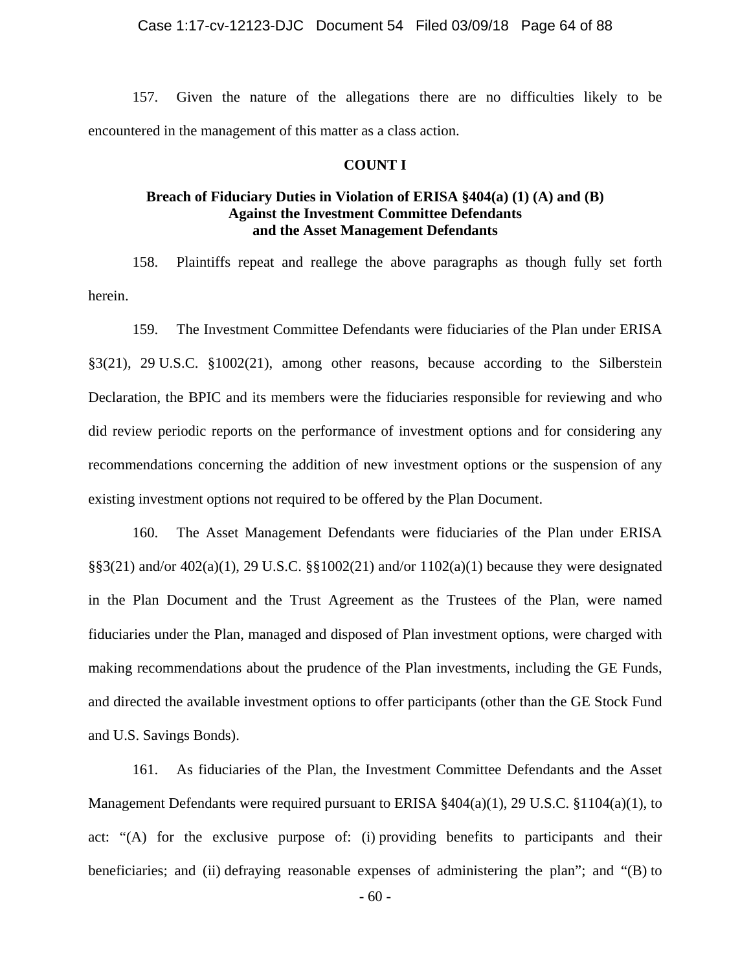157. Given the nature of the allegations there are no difficulties likely to be encountered in the management of this matter as a class action.

### **COUNT I**

# **Breach of Fiduciary Duties in Violation of ERISA §404(a) (1) (A) and (B) Against the Investment Committee Defendants and the Asset Management Defendants**

158. Plaintiffs repeat and reallege the above paragraphs as though fully set forth herein.

159. The Investment Committee Defendants were fiduciaries of the Plan under ERISA §3(21), 29 U.S.C. §1002(21), among other reasons, because according to the Silberstein Declaration, the BPIC and its members were the fiduciaries responsible for reviewing and who did review periodic reports on the performance of investment options and for considering any recommendations concerning the addition of new investment options or the suspension of any existing investment options not required to be offered by the Plan Document.

160. The Asset Management Defendants were fiduciaries of the Plan under ERISA  $\S$ §3(21) and/or 402(a)(1), 29 U.S.C. §§1002(21) and/or 1102(a)(1) because they were designated in the Plan Document and the Trust Agreement as the Trustees of the Plan, were named fiduciaries under the Plan, managed and disposed of Plan investment options, were charged with making recommendations about the prudence of the Plan investments, including the GE Funds, and directed the available investment options to offer participants (other than the GE Stock Fund and U.S. Savings Bonds).

161. As fiduciaries of the Plan, the Investment Committee Defendants and the Asset Management Defendants were required pursuant to ERISA  $\frac{1}{2}404(a)(1)$ , 29 U.S.C.  $\frac{1}{2}1104(a)(1)$ , to act: "(A) for the exclusive purpose of: (i) providing benefits to participants and their beneficiaries; and (ii) defraying reasonable expenses of administering the plan"; and "(B) to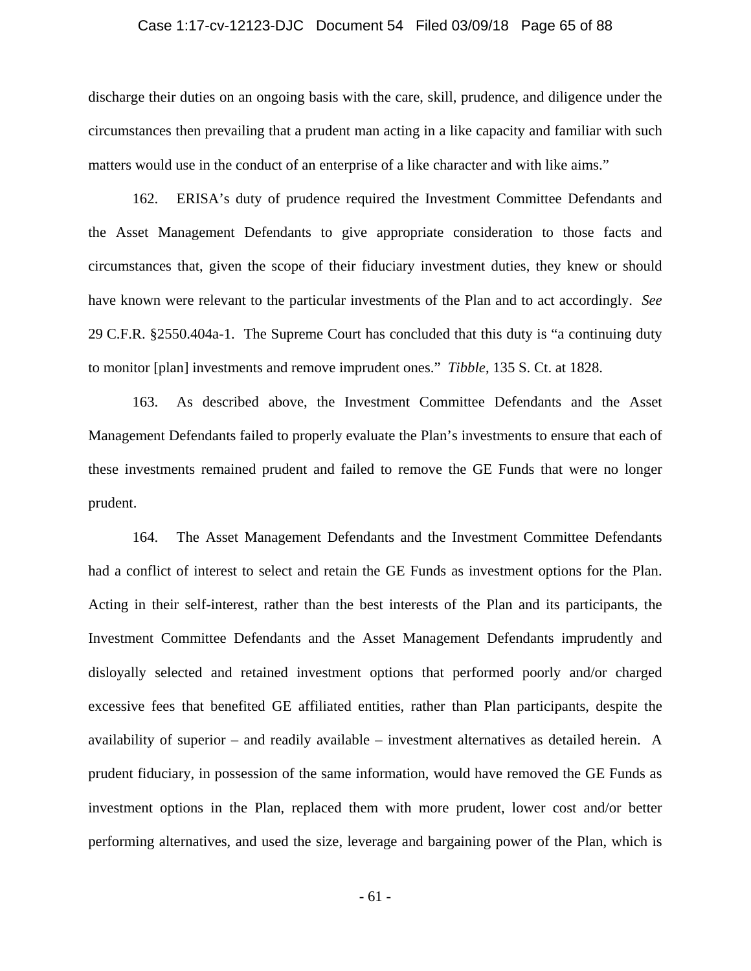### Case 1:17-cv-12123-DJC Document 54 Filed 03/09/18 Page 65 of 88

discharge their duties on an ongoing basis with the care, skill, prudence, and diligence under the circumstances then prevailing that a prudent man acting in a like capacity and familiar with such matters would use in the conduct of an enterprise of a like character and with like aims."

162. ERISA's duty of prudence required the Investment Committee Defendants and the Asset Management Defendants to give appropriate consideration to those facts and circumstances that, given the scope of their fiduciary investment duties, they knew or should have known were relevant to the particular investments of the Plan and to act accordingly. *See*  29 C.F.R. §2550.404a-1. The Supreme Court has concluded that this duty is "a continuing duty to monitor [plan] investments and remove imprudent ones." *Tibble*, 135 S. Ct. at 1828.

163. As described above, the Investment Committee Defendants and the Asset Management Defendants failed to properly evaluate the Plan's investments to ensure that each of these investments remained prudent and failed to remove the GE Funds that were no longer prudent.

164. The Asset Management Defendants and the Investment Committee Defendants had a conflict of interest to select and retain the GE Funds as investment options for the Plan. Acting in their self-interest, rather than the best interests of the Plan and its participants, the Investment Committee Defendants and the Asset Management Defendants imprudently and disloyally selected and retained investment options that performed poorly and/or charged excessive fees that benefited GE affiliated entities, rather than Plan participants, despite the availability of superior – and readily available – investment alternatives as detailed herein. A prudent fiduciary, in possession of the same information, would have removed the GE Funds as investment options in the Plan, replaced them with more prudent, lower cost and/or better performing alternatives, and used the size, leverage and bargaining power of the Plan, which is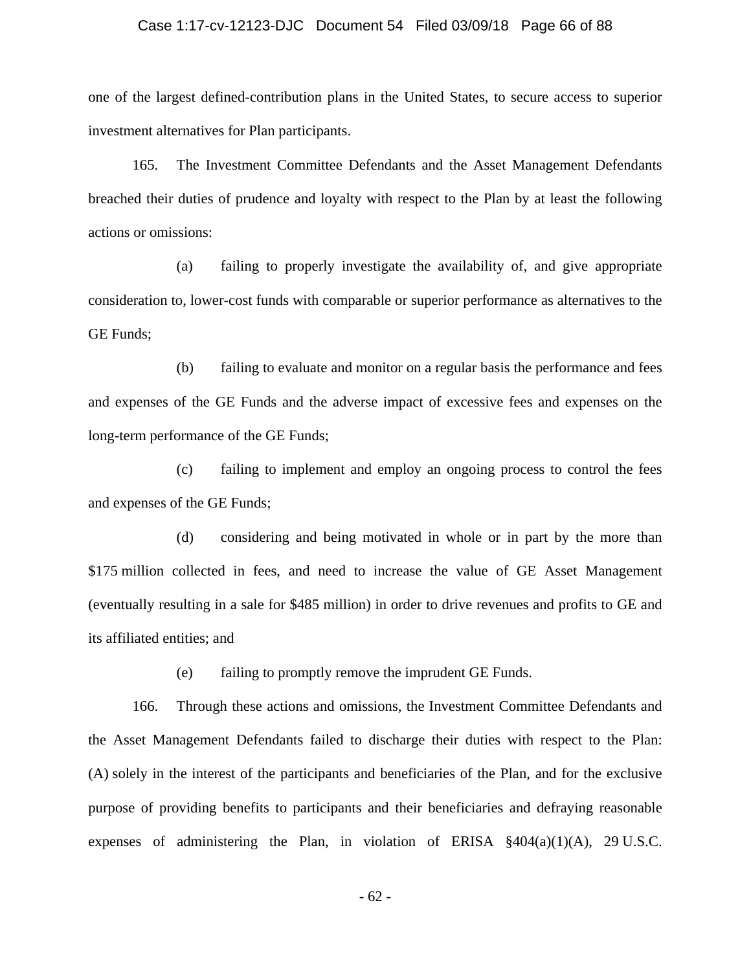#### Case 1:17-cv-12123-DJC Document 54 Filed 03/09/18 Page 66 of 88

one of the largest defined-contribution plans in the United States, to secure access to superior investment alternatives for Plan participants.

165. The Investment Committee Defendants and the Asset Management Defendants breached their duties of prudence and loyalty with respect to the Plan by at least the following actions or omissions:

(a) failing to properly investigate the availability of, and give appropriate consideration to, lower-cost funds with comparable or superior performance as alternatives to the GE Funds;

(b) failing to evaluate and monitor on a regular basis the performance and fees and expenses of the GE Funds and the adverse impact of excessive fees and expenses on the long-term performance of the GE Funds;

(c) failing to implement and employ an ongoing process to control the fees and expenses of the GE Funds;

(d) considering and being motivated in whole or in part by the more than \$175 million collected in fees, and need to increase the value of GE Asset Management (eventually resulting in a sale for \$485 million) in order to drive revenues and profits to GE and its affiliated entities; and

(e) failing to promptly remove the imprudent GE Funds.

166. Through these actions and omissions, the Investment Committee Defendants and the Asset Management Defendants failed to discharge their duties with respect to the Plan: (A) solely in the interest of the participants and beneficiaries of the Plan, and for the exclusive purpose of providing benefits to participants and their beneficiaries and defraying reasonable expenses of administering the Plan, in violation of ERISA §404(a)(1)(A), 29 U.S.C.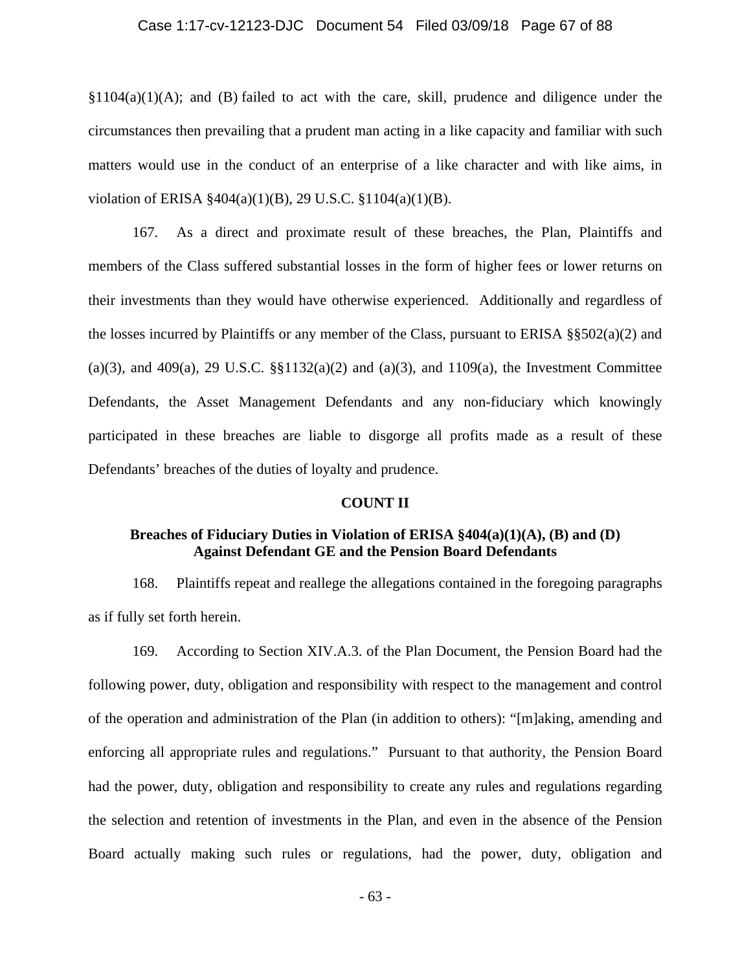### Case 1:17-cv-12123-DJC Document 54 Filed 03/09/18 Page 67 of 88

§1104(a)(1)(A); and (B) failed to act with the care, skill, prudence and diligence under the circumstances then prevailing that a prudent man acting in a like capacity and familiar with such matters would use in the conduct of an enterprise of a like character and with like aims, in violation of ERISA §404(a)(1)(B), 29 U.S.C. §1104(a)(1)(B).

167. As a direct and proximate result of these breaches, the Plan, Plaintiffs and members of the Class suffered substantial losses in the form of higher fees or lower returns on their investments than they would have otherwise experienced. Additionally and regardless of the losses incurred by Plaintiffs or any member of the Class, pursuant to ERISA  $\S$  $\S$ 502(a)(2) and (a)(3), and 409(a), 29 U.S.C.  $\S$  $1132(a)(2)$  and (a)(3), and 1109(a), the Investment Committee Defendants, the Asset Management Defendants and any non-fiduciary which knowingly participated in these breaches are liable to disgorge all profits made as a result of these Defendants' breaches of the duties of loyalty and prudence.

#### **COUNT II**

### **Breaches of Fiduciary Duties in Violation of ERISA §404(a)(1)(A), (B) and (D) Against Defendant GE and the Pension Board Defendants**

168. Plaintiffs repeat and reallege the allegations contained in the foregoing paragraphs as if fully set forth herein.

169. According to Section XIV.A.3. of the Plan Document, the Pension Board had the following power, duty, obligation and responsibility with respect to the management and control of the operation and administration of the Plan (in addition to others): "[m]aking, amending and enforcing all appropriate rules and regulations." Pursuant to that authority, the Pension Board had the power, duty, obligation and responsibility to create any rules and regulations regarding the selection and retention of investments in the Plan, and even in the absence of the Pension Board actually making such rules or regulations, had the power, duty, obligation and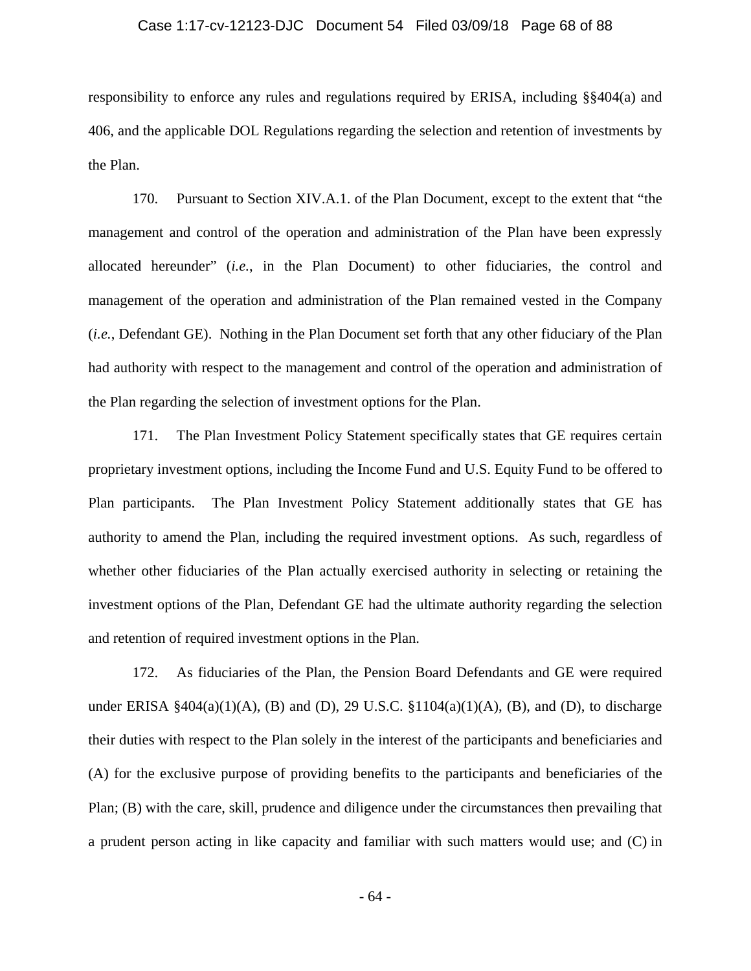#### Case 1:17-cv-12123-DJC Document 54 Filed 03/09/18 Page 68 of 88

responsibility to enforce any rules and regulations required by ERISA, including §§404(a) and 406, and the applicable DOL Regulations regarding the selection and retention of investments by the Plan.

170. Pursuant to Section XIV.A.1. of the Plan Document, except to the extent that "the management and control of the operation and administration of the Plan have been expressly allocated hereunder" (*i.e.*, in the Plan Document) to other fiduciaries, the control and management of the operation and administration of the Plan remained vested in the Company (*i.e.*, Defendant GE). Nothing in the Plan Document set forth that any other fiduciary of the Plan had authority with respect to the management and control of the operation and administration of the Plan regarding the selection of investment options for the Plan.

171. The Plan Investment Policy Statement specifically states that GE requires certain proprietary investment options, including the Income Fund and U.S. Equity Fund to be offered to Plan participants. The Plan Investment Policy Statement additionally states that GE has authority to amend the Plan, including the required investment options. As such, regardless of whether other fiduciaries of the Plan actually exercised authority in selecting or retaining the investment options of the Plan, Defendant GE had the ultimate authority regarding the selection and retention of required investment options in the Plan.

172. As fiduciaries of the Plan, the Pension Board Defendants and GE were required under ERISA  $\S 404(a)(1)(A)$ , (B) and (D), 29 U.S.C.  $\S 1104(a)(1)(A)$ , (B), and (D), to discharge their duties with respect to the Plan solely in the interest of the participants and beneficiaries and (A) for the exclusive purpose of providing benefits to the participants and beneficiaries of the Plan; (B) with the care, skill, prudence and diligence under the circumstances then prevailing that a prudent person acting in like capacity and familiar with such matters would use; and (C) in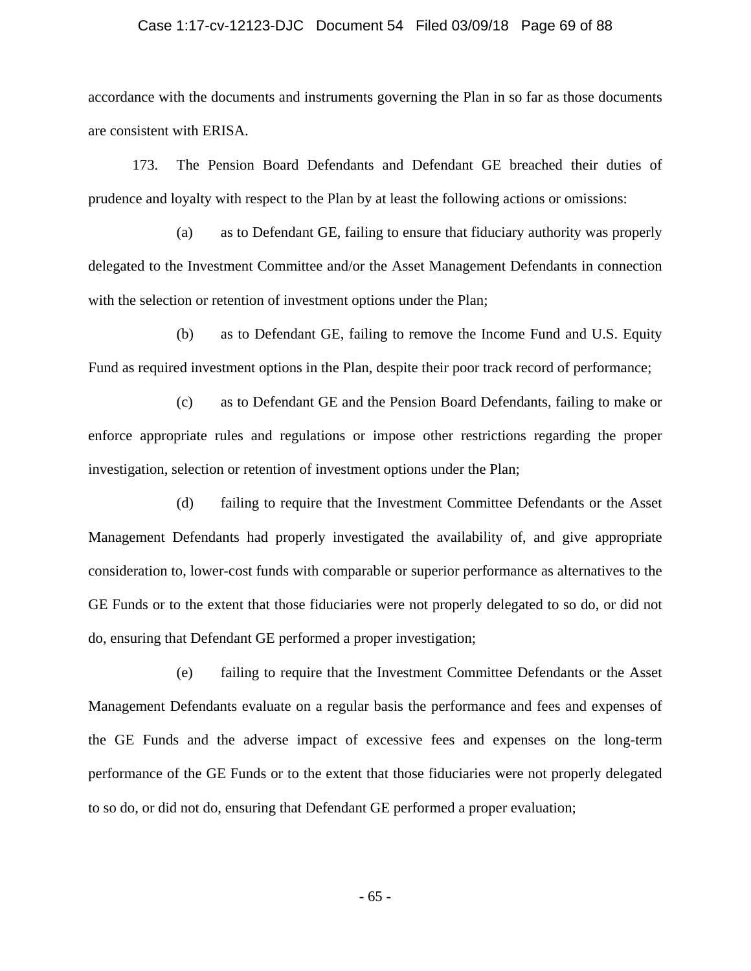### Case 1:17-cv-12123-DJC Document 54 Filed 03/09/18 Page 69 of 88

accordance with the documents and instruments governing the Plan in so far as those documents are consistent with ERISA.

173. The Pension Board Defendants and Defendant GE breached their duties of prudence and loyalty with respect to the Plan by at least the following actions or omissions:

(a) as to Defendant GE, failing to ensure that fiduciary authority was properly delegated to the Investment Committee and/or the Asset Management Defendants in connection with the selection or retention of investment options under the Plan;

(b) as to Defendant GE, failing to remove the Income Fund and U.S. Equity Fund as required investment options in the Plan, despite their poor track record of performance;

(c) as to Defendant GE and the Pension Board Defendants, failing to make or enforce appropriate rules and regulations or impose other restrictions regarding the proper investigation, selection or retention of investment options under the Plan;

(d) failing to require that the Investment Committee Defendants or the Asset Management Defendants had properly investigated the availability of, and give appropriate consideration to, lower-cost funds with comparable or superior performance as alternatives to the GE Funds or to the extent that those fiduciaries were not properly delegated to so do, or did not do, ensuring that Defendant GE performed a proper investigation;

(e) failing to require that the Investment Committee Defendants or the Asset Management Defendants evaluate on a regular basis the performance and fees and expenses of the GE Funds and the adverse impact of excessive fees and expenses on the long-term performance of the GE Funds or to the extent that those fiduciaries were not properly delegated to so do, or did not do, ensuring that Defendant GE performed a proper evaluation;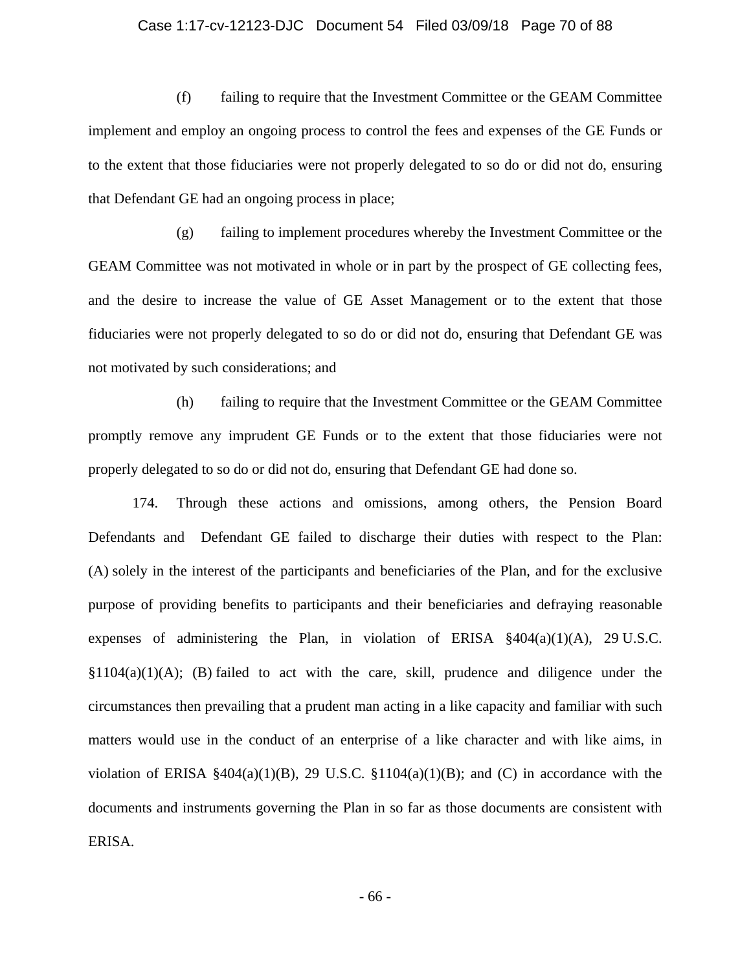### Case 1:17-cv-12123-DJC Document 54 Filed 03/09/18 Page 70 of 88

(f) failing to require that the Investment Committee or the GEAM Committee implement and employ an ongoing process to control the fees and expenses of the GE Funds or to the extent that those fiduciaries were not properly delegated to so do or did not do, ensuring that Defendant GE had an ongoing process in place;

(g) failing to implement procedures whereby the Investment Committee or the GEAM Committee was not motivated in whole or in part by the prospect of GE collecting fees, and the desire to increase the value of GE Asset Management or to the extent that those fiduciaries were not properly delegated to so do or did not do, ensuring that Defendant GE was not motivated by such considerations; and

(h) failing to require that the Investment Committee or the GEAM Committee promptly remove any imprudent GE Funds or to the extent that those fiduciaries were not properly delegated to so do or did not do, ensuring that Defendant GE had done so.

174. Through these actions and omissions, among others, the Pension Board Defendants and Defendant GE failed to discharge their duties with respect to the Plan: (A) solely in the interest of the participants and beneficiaries of the Plan, and for the exclusive purpose of providing benefits to participants and their beneficiaries and defraying reasonable expenses of administering the Plan, in violation of ERISA  $§404(a)(1)(A)$ , 29 U.S.C.  $§1104(a)(1)(A);$  (B) failed to act with the care, skill, prudence and diligence under the circumstances then prevailing that a prudent man acting in a like capacity and familiar with such matters would use in the conduct of an enterprise of a like character and with like aims, in violation of ERISA  $\frac{2404(a)(1)(B)}{29}$  U.S.C.  $\frac{21104(a)(1)(B)}{21}$ ; and (C) in accordance with the documents and instruments governing the Plan in so far as those documents are consistent with ERISA.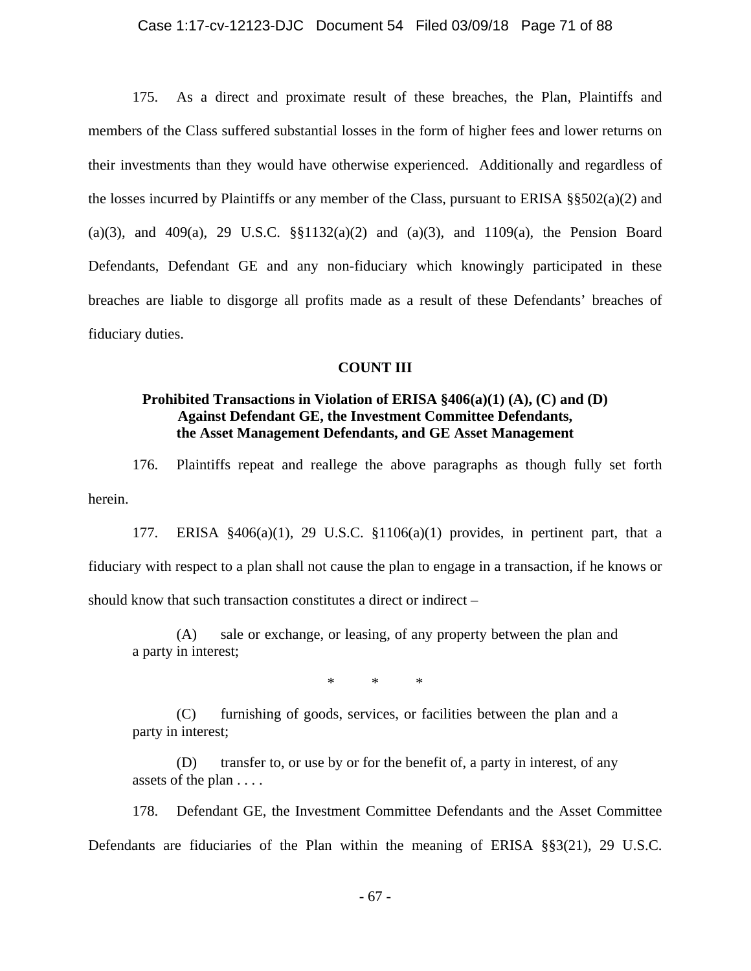### Case 1:17-cv-12123-DJC Document 54 Filed 03/09/18 Page 71 of 88

175. As a direct and proximate result of these breaches, the Plan, Plaintiffs and members of the Class suffered substantial losses in the form of higher fees and lower returns on their investments than they would have otherwise experienced. Additionally and regardless of the losses incurred by Plaintiffs or any member of the Class, pursuant to ERISA §§502(a)(2) and (a)(3), and 409(a), 29 U.S.C. §§1132(a)(2) and (a)(3), and 1109(a), the Pension Board Defendants, Defendant GE and any non-fiduciary which knowingly participated in these breaches are liable to disgorge all profits made as a result of these Defendants' breaches of fiduciary duties.

### **COUNT III**

# **Prohibited Transactions in Violation of ERISA §406(a)(1) (A), (C) and (D) Against Defendant GE, the Investment Committee Defendants, the Asset Management Defendants, and GE Asset Management**

176. Plaintiffs repeat and reallege the above paragraphs as though fully set forth herein.

177. ERISA §406(a)(1), 29 U.S.C. §1106(a)(1) provides, in pertinent part, that a fiduciary with respect to a plan shall not cause the plan to engage in a transaction, if he knows or should know that such transaction constitutes a direct or indirect –

 (A) sale or exchange, or leasing, of any property between the plan and a party in interest;

\* \* \*

 (C) furnishing of goods, services, or facilities between the plan and a party in interest;

 (D) transfer to, or use by or for the benefit of, a party in interest, of any assets of the plan . . . .

178. Defendant GE, the Investment Committee Defendants and the Asset Committee Defendants are fiduciaries of the Plan within the meaning of ERISA §§3(21), 29 U.S.C.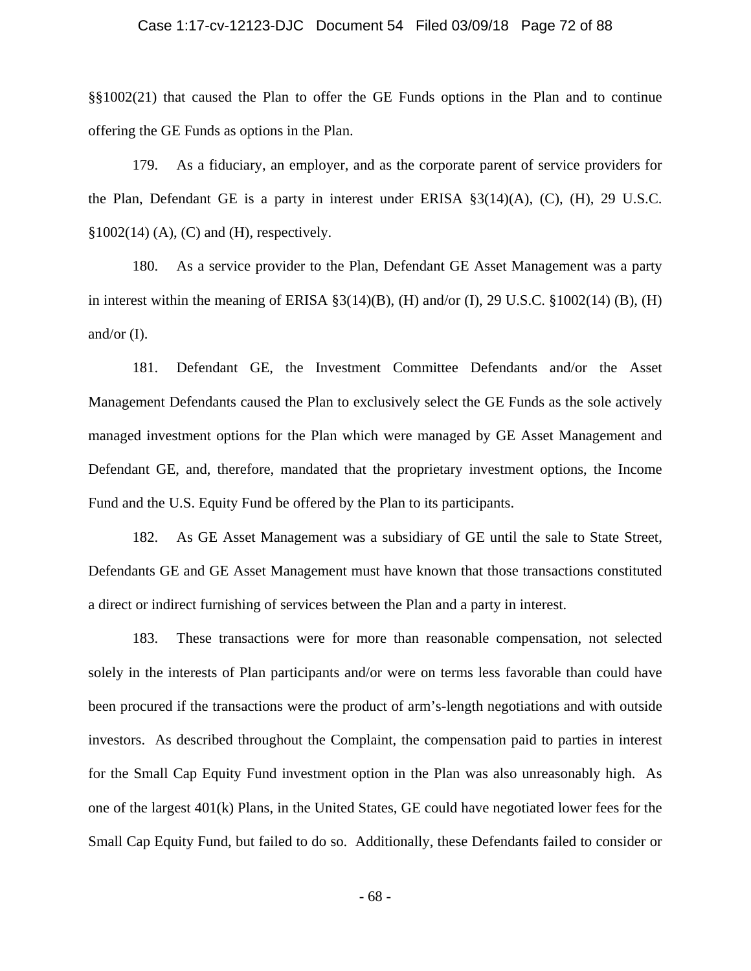#### Case 1:17-cv-12123-DJC Document 54 Filed 03/09/18 Page 72 of 88

§§1002(21) that caused the Plan to offer the GE Funds options in the Plan and to continue offering the GE Funds as options in the Plan.

179. As a fiduciary, an employer, and as the corporate parent of service providers for the Plan, Defendant GE is a party in interest under ERISA §3(14)(A), (C), (H), 29 U.S.C.  $§1002(14)$  (A), (C) and (H), respectively.

180. As a service provider to the Plan, Defendant GE Asset Management was a party in interest within the meaning of ERISA  $\S3(14)(B)$ , (H) and/or (I), 29 U.S.C.  $\S1002(14)$  (B), (H) and/or  $(I)$ .

181. Defendant GE, the Investment Committee Defendants and/or the Asset Management Defendants caused the Plan to exclusively select the GE Funds as the sole actively managed investment options for the Plan which were managed by GE Asset Management and Defendant GE, and, therefore, mandated that the proprietary investment options, the Income Fund and the U.S. Equity Fund be offered by the Plan to its participants.

182. As GE Asset Management was a subsidiary of GE until the sale to State Street, Defendants GE and GE Asset Management must have known that those transactions constituted a direct or indirect furnishing of services between the Plan and a party in interest.

183. These transactions were for more than reasonable compensation, not selected solely in the interests of Plan participants and/or were on terms less favorable than could have been procured if the transactions were the product of arm's-length negotiations and with outside investors. As described throughout the Complaint, the compensation paid to parties in interest for the Small Cap Equity Fund investment option in the Plan was also unreasonably high. As one of the largest 401(k) Plans, in the United States, GE could have negotiated lower fees for the Small Cap Equity Fund, but failed to do so. Additionally, these Defendants failed to consider or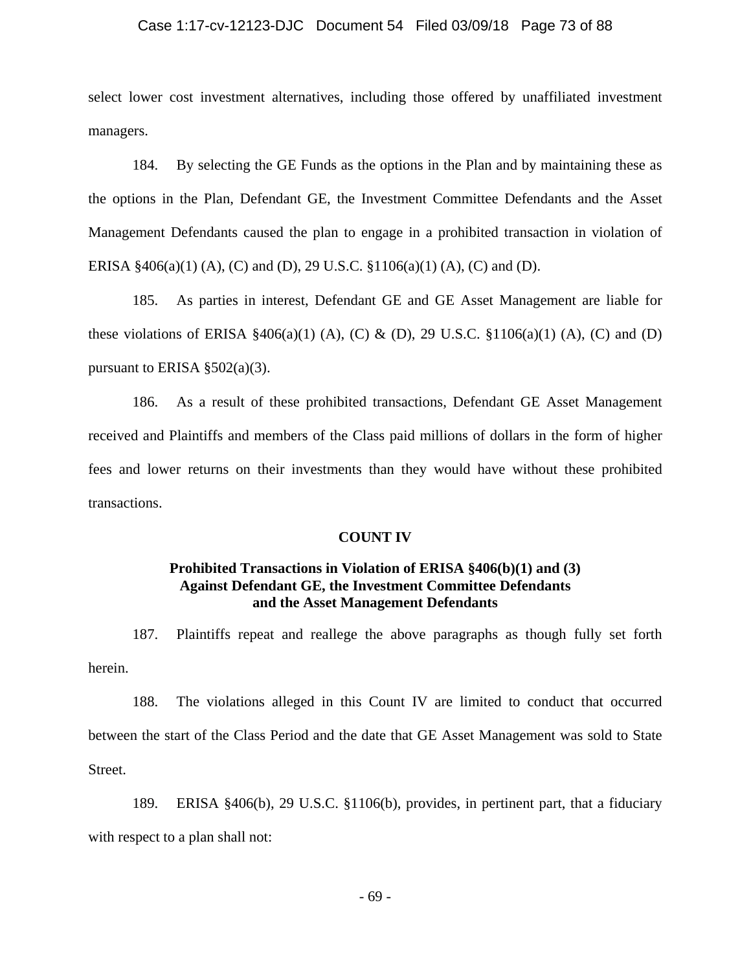## Case 1:17-cv-12123-DJC Document 54 Filed 03/09/18 Page 73 of 88

select lower cost investment alternatives, including those offered by unaffiliated investment managers.

184. By selecting the GE Funds as the options in the Plan and by maintaining these as the options in the Plan, Defendant GE, the Investment Committee Defendants and the Asset Management Defendants caused the plan to engage in a prohibited transaction in violation of ERISA §406(a)(1) (A), (C) and (D), 29 U.S.C. §1106(a)(1) (A), (C) and (D).

185. As parties in interest, Defendant GE and GE Asset Management are liable for these violations of ERISA  $\frac{2406(a)(1)}{A}$ , (C) & (D), 29 U.S.C.  $\frac{1106(a)(1)}{A}$ , (C) and (D) pursuant to ERISA  $\S 502(a)(3)$ .

186. As a result of these prohibited transactions, Defendant GE Asset Management received and Plaintiffs and members of the Class paid millions of dollars in the form of higher fees and lower returns on their investments than they would have without these prohibited transactions.

### **COUNT IV**

## **Prohibited Transactions in Violation of ERISA §406(b)(1) and (3) Against Defendant GE, the Investment Committee Defendants and the Asset Management Defendants**

187. Plaintiffs repeat and reallege the above paragraphs as though fully set forth herein.

188. The violations alleged in this Count IV are limited to conduct that occurred between the start of the Class Period and the date that GE Asset Management was sold to State Street.

189. ERISA §406(b), 29 U.S.C. §1106(b), provides, in pertinent part, that a fiduciary with respect to a plan shall not: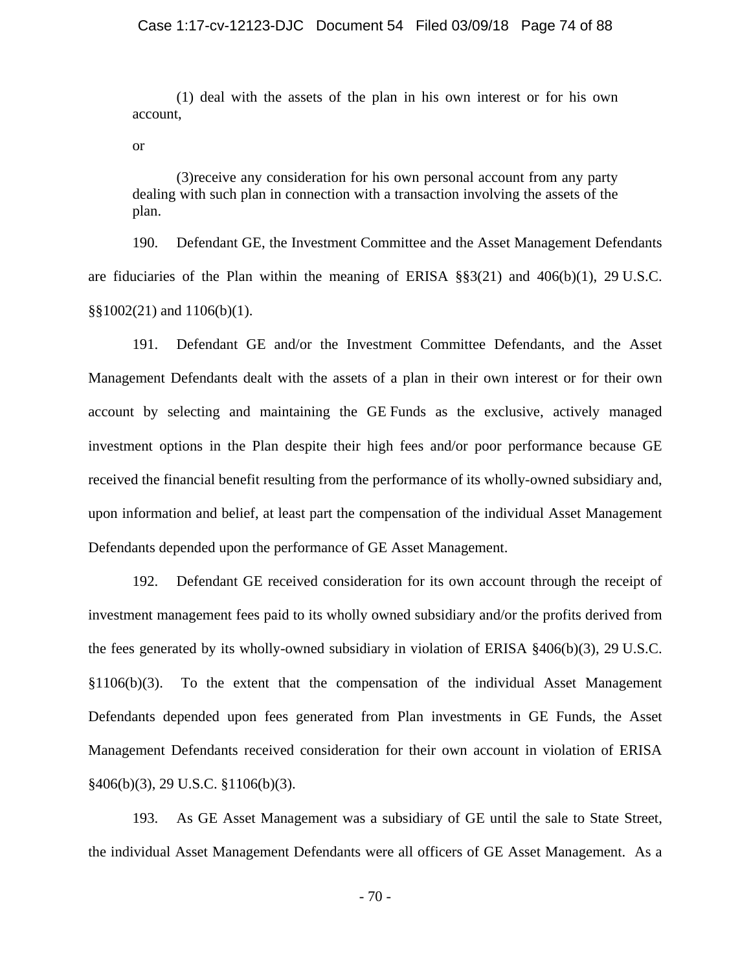(1) deal with the assets of the plan in his own interest or for his own account,

or

 (3)receive any consideration for his own personal account from any party dealing with such plan in connection with a transaction involving the assets of the plan.

190. Defendant GE, the Investment Committee and the Asset Management Defendants are fiduciaries of the Plan within the meaning of ERISA §§3(21) and 406(b)(1), 29 U.S.C.  $\S$ §1002(21) and 1106(b)(1).

191. Defendant GE and/or the Investment Committee Defendants, and the Asset Management Defendants dealt with the assets of a plan in their own interest or for their own account by selecting and maintaining the GE Funds as the exclusive, actively managed investment options in the Plan despite their high fees and/or poor performance because GE received the financial benefit resulting from the performance of its wholly-owned subsidiary and, upon information and belief, at least part the compensation of the individual Asset Management Defendants depended upon the performance of GE Asset Management.

192. Defendant GE received consideration for its own account through the receipt of investment management fees paid to its wholly owned subsidiary and/or the profits derived from the fees generated by its wholly-owned subsidiary in violation of ERISA §406(b)(3), 29 U.S.C. §1106(b)(3). To the extent that the compensation of the individual Asset Management Defendants depended upon fees generated from Plan investments in GE Funds, the Asset Management Defendants received consideration for their own account in violation of ERISA §406(b)(3), 29 U.S.C. §1106(b)(3).

193. As GE Asset Management was a subsidiary of GE until the sale to State Street, the individual Asset Management Defendants were all officers of GE Asset Management. As a

- 70 -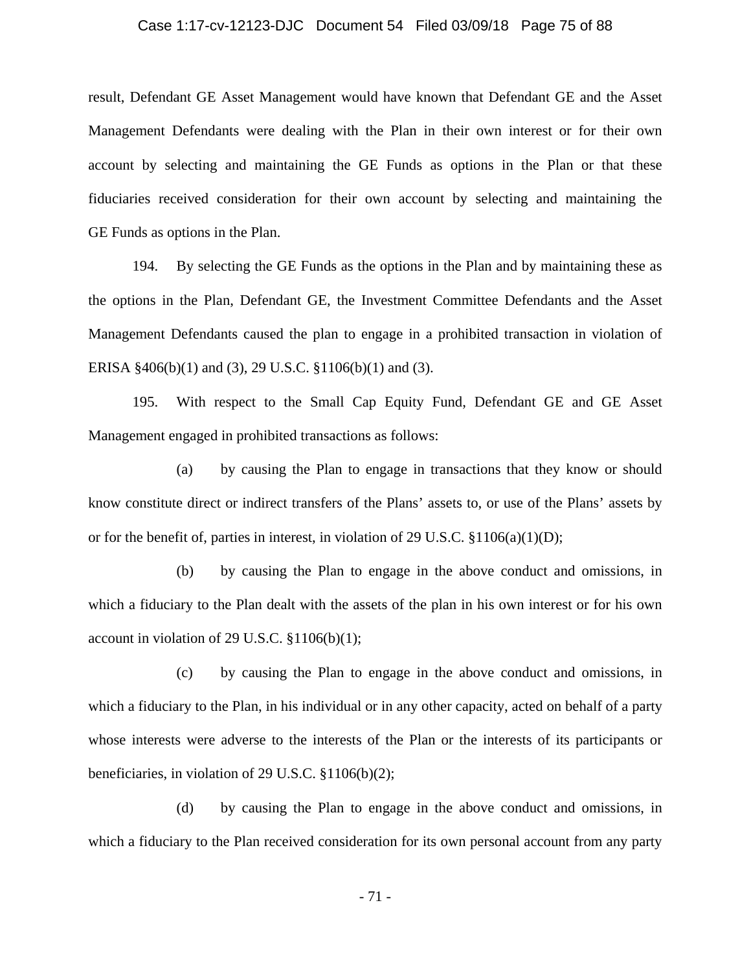#### Case 1:17-cv-12123-DJC Document 54 Filed 03/09/18 Page 75 of 88

result, Defendant GE Asset Management would have known that Defendant GE and the Asset Management Defendants were dealing with the Plan in their own interest or for their own account by selecting and maintaining the GE Funds as options in the Plan or that these fiduciaries received consideration for their own account by selecting and maintaining the GE Funds as options in the Plan.

194. By selecting the GE Funds as the options in the Plan and by maintaining these as the options in the Plan, Defendant GE, the Investment Committee Defendants and the Asset Management Defendants caused the plan to engage in a prohibited transaction in violation of ERISA §406(b)(1) and (3), 29 U.S.C. §1106(b)(1) and (3).

195. With respect to the Small Cap Equity Fund, Defendant GE and GE Asset Management engaged in prohibited transactions as follows:

(a) by causing the Plan to engage in transactions that they know or should know constitute direct or indirect transfers of the Plans' assets to, or use of the Plans' assets by or for the benefit of, parties in interest, in violation of 29 U.S.C.  $\S 1106(a)(1)(D)$ ;

(b) by causing the Plan to engage in the above conduct and omissions, in which a fiduciary to the Plan dealt with the assets of the plan in his own interest or for his own account in violation of 29 U.S.C. §1106(b)(1);

(c) by causing the Plan to engage in the above conduct and omissions, in which a fiduciary to the Plan, in his individual or in any other capacity, acted on behalf of a party whose interests were adverse to the interests of the Plan or the interests of its participants or beneficiaries, in violation of 29 U.S.C. §1106(b)(2);

(d) by causing the Plan to engage in the above conduct and omissions, in which a fiduciary to the Plan received consideration for its own personal account from any party

- 71 -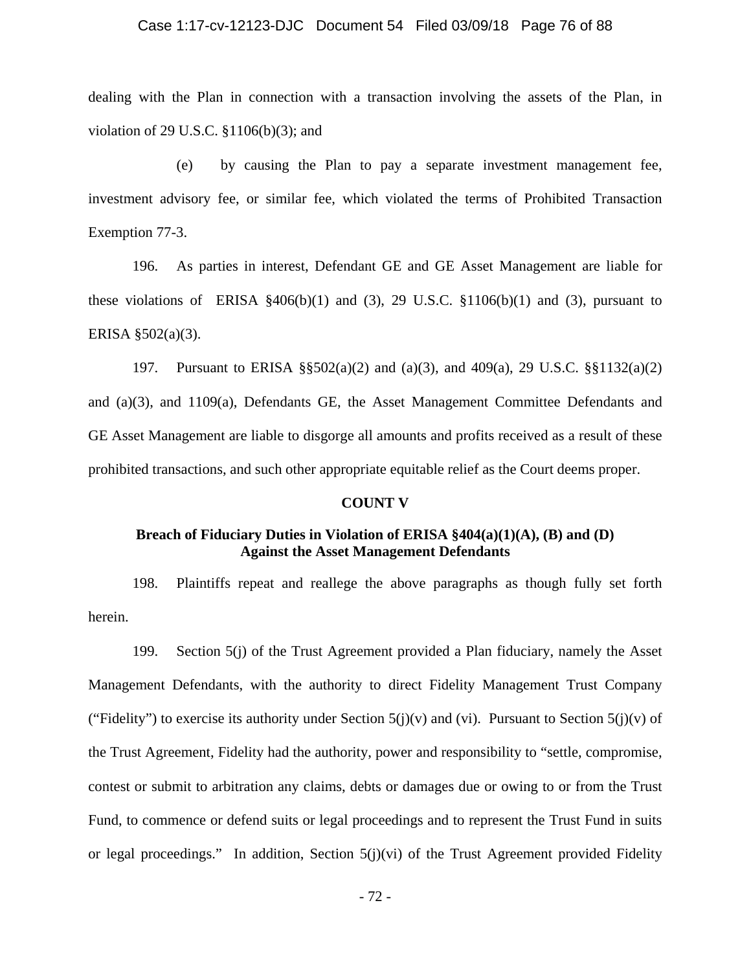### Case 1:17-cv-12123-DJC Document 54 Filed 03/09/18 Page 76 of 88

dealing with the Plan in connection with a transaction involving the assets of the Plan, in violation of 29 U.S.C. §1106(b)(3); and

(e) by causing the Plan to pay a separate investment management fee, investment advisory fee, or similar fee, which violated the terms of Prohibited Transaction Exemption 77-3.

196. As parties in interest, Defendant GE and GE Asset Management are liable for these violations of ERISA  $\frac{2406(b)}{1}$  and (3), 29 U.S.C.  $\frac{1106(b)}{1}$  and (3), pursuant to ERISA §502(a)(3).

197. Pursuant to ERISA §§502(a)(2) and (a)(3), and 409(a), 29 U.S.C. §§1132(a)(2) and (a)(3), and 1109(a), Defendants GE, the Asset Management Committee Defendants and GE Asset Management are liable to disgorge all amounts and profits received as a result of these prohibited transactions, and such other appropriate equitable relief as the Court deems proper.

#### **COUNT V**

## **Breach of Fiduciary Duties in Violation of ERISA §404(a)(1)(A), (B) and (D) Against the Asset Management Defendants**

198. Plaintiffs repeat and reallege the above paragraphs as though fully set forth herein.

199. Section 5(j) of the Trust Agreement provided a Plan fiduciary, namely the Asset Management Defendants, with the authority to direct Fidelity Management Trust Company ("Fidelity") to exercise its authority under Section  $5(j)(v)$  and (vi). Pursuant to Section  $5(j)(v)$  of the Trust Agreement, Fidelity had the authority, power and responsibility to "settle, compromise, contest or submit to arbitration any claims, debts or damages due or owing to or from the Trust Fund, to commence or defend suits or legal proceedings and to represent the Trust Fund in suits or legal proceedings." In addition, Section  $5(j)(vi)$  of the Trust Agreement provided Fidelity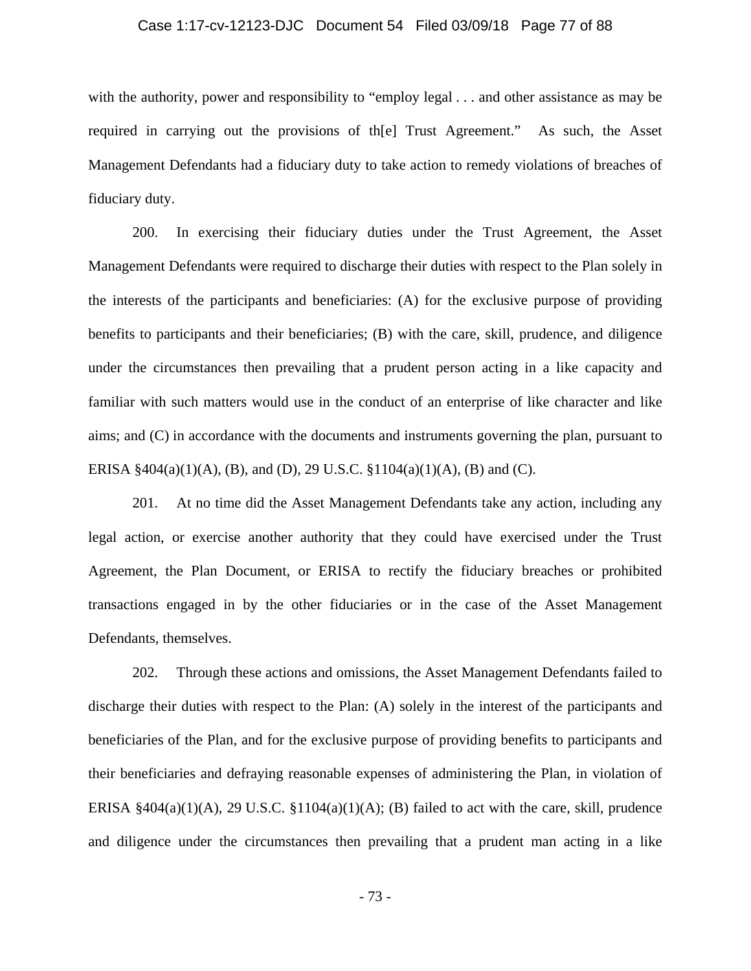### Case 1:17-cv-12123-DJC Document 54 Filed 03/09/18 Page 77 of 88

with the authority, power and responsibility to "employ legal . . . and other assistance as may be required in carrying out the provisions of th[e] Trust Agreement." As such, the Asset Management Defendants had a fiduciary duty to take action to remedy violations of breaches of fiduciary duty.

200. In exercising their fiduciary duties under the Trust Agreement, the Asset Management Defendants were required to discharge their duties with respect to the Plan solely in the interests of the participants and beneficiaries: (A) for the exclusive purpose of providing benefits to participants and their beneficiaries; (B) with the care, skill, prudence, and diligence under the circumstances then prevailing that a prudent person acting in a like capacity and familiar with such matters would use in the conduct of an enterprise of like character and like aims; and (C) in accordance with the documents and instruments governing the plan, pursuant to ERISA  $\frac{2404(a)(1)(A)}{B}$ , (B), and (D), 29 U.S.C.  $\frac{21104(a)(1)(A)}{B}$  and (C).

201. At no time did the Asset Management Defendants take any action, including any legal action, or exercise another authority that they could have exercised under the Trust Agreement, the Plan Document, or ERISA to rectify the fiduciary breaches or prohibited transactions engaged in by the other fiduciaries or in the case of the Asset Management Defendants, themselves.

202. Through these actions and omissions, the Asset Management Defendants failed to discharge their duties with respect to the Plan: (A) solely in the interest of the participants and beneficiaries of the Plan, and for the exclusive purpose of providing benefits to participants and their beneficiaries and defraying reasonable expenses of administering the Plan, in violation of ERISA  $§404(a)(1)(A)$ , 29 U.S.C.  $§1104(a)(1)(A)$ ; (B) failed to act with the care, skill, prudence and diligence under the circumstances then prevailing that a prudent man acting in a like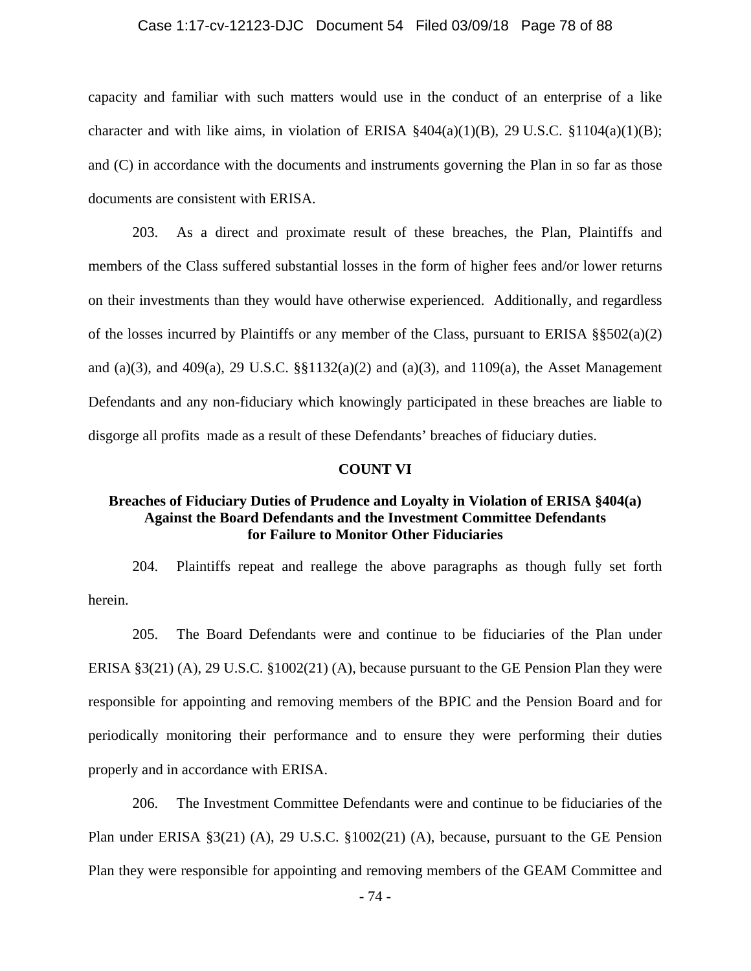### Case 1:17-cv-12123-DJC Document 54 Filed 03/09/18 Page 78 of 88

capacity and familiar with such matters would use in the conduct of an enterprise of a like character and with like aims, in violation of ERISA  $\frac{404(a)(1)(B)}{2}$ , 29 U.S.C.  $\frac{1104(a)(1)(B)}{2}$ ; and (C) in accordance with the documents and instruments governing the Plan in so far as those documents are consistent with ERISA.

203. As a direct and proximate result of these breaches, the Plan, Plaintiffs and members of the Class suffered substantial losses in the form of higher fees and/or lower returns on their investments than they would have otherwise experienced. Additionally, and regardless of the losses incurred by Plaintiffs or any member of the Class, pursuant to ERISA  $\S$  $\S$ 502(a)(2) and (a)(3), and 409(a), 29 U.S.C.  $\S$  $1132(a)(2)$  and (a)(3), and 1109(a), the Asset Management Defendants and any non-fiduciary which knowingly participated in these breaches are liable to disgorge all profits made as a result of these Defendants' breaches of fiduciary duties.

### **COUNT VI**

## **Breaches of Fiduciary Duties of Prudence and Loyalty in Violation of ERISA §404(a) Against the Board Defendants and the Investment Committee Defendants for Failure to Monitor Other Fiduciaries**

204. Plaintiffs repeat and reallege the above paragraphs as though fully set forth herein.

205. The Board Defendants were and continue to be fiduciaries of the Plan under ERISA §3(21) (A), 29 U.S.C. §1002(21) (A), because pursuant to the GE Pension Plan they were responsible for appointing and removing members of the BPIC and the Pension Board and for periodically monitoring their performance and to ensure they were performing their duties properly and in accordance with ERISA.

206. The Investment Committee Defendants were and continue to be fiduciaries of the Plan under ERISA §3(21) (A), 29 U.S.C. §1002(21) (A), because, pursuant to the GE Pension Plan they were responsible for appointing and removing members of the GEAM Committee and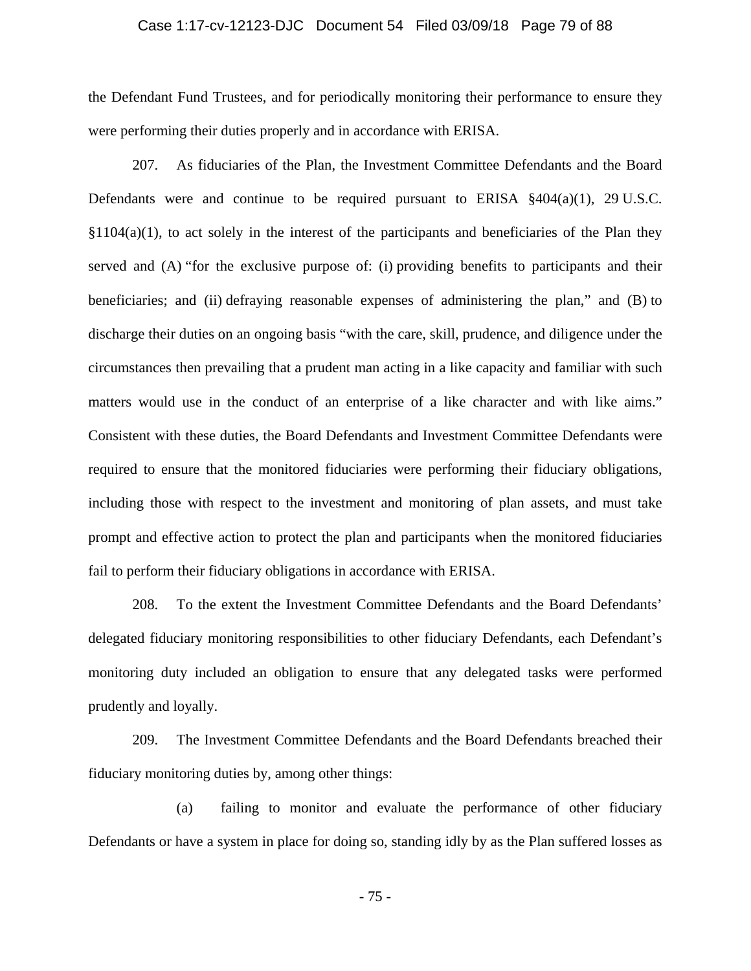### Case 1:17-cv-12123-DJC Document 54 Filed 03/09/18 Page 79 of 88

the Defendant Fund Trustees, and for periodically monitoring their performance to ensure they were performing their duties properly and in accordance with ERISA.

207. As fiduciaries of the Plan, the Investment Committee Defendants and the Board Defendants were and continue to be required pursuant to ERISA §404(a)(1), 29 U.S.C.  $$1104(a)(1)$ , to act solely in the interest of the participants and beneficiaries of the Plan they served and (A) "for the exclusive purpose of: (i) providing benefits to participants and their beneficiaries; and (ii) defraying reasonable expenses of administering the plan," and (B) to discharge their duties on an ongoing basis "with the care, skill, prudence, and diligence under the circumstances then prevailing that a prudent man acting in a like capacity and familiar with such matters would use in the conduct of an enterprise of a like character and with like aims." Consistent with these duties, the Board Defendants and Investment Committee Defendants were required to ensure that the monitored fiduciaries were performing their fiduciary obligations, including those with respect to the investment and monitoring of plan assets, and must take prompt and effective action to protect the plan and participants when the monitored fiduciaries fail to perform their fiduciary obligations in accordance with ERISA.

208. To the extent the Investment Committee Defendants and the Board Defendants' delegated fiduciary monitoring responsibilities to other fiduciary Defendants, each Defendant's monitoring duty included an obligation to ensure that any delegated tasks were performed prudently and loyally.

209. The Investment Committee Defendants and the Board Defendants breached their fiduciary monitoring duties by, among other things:

(a) failing to monitor and evaluate the performance of other fiduciary Defendants or have a system in place for doing so, standing idly by as the Plan suffered losses as

- 75 -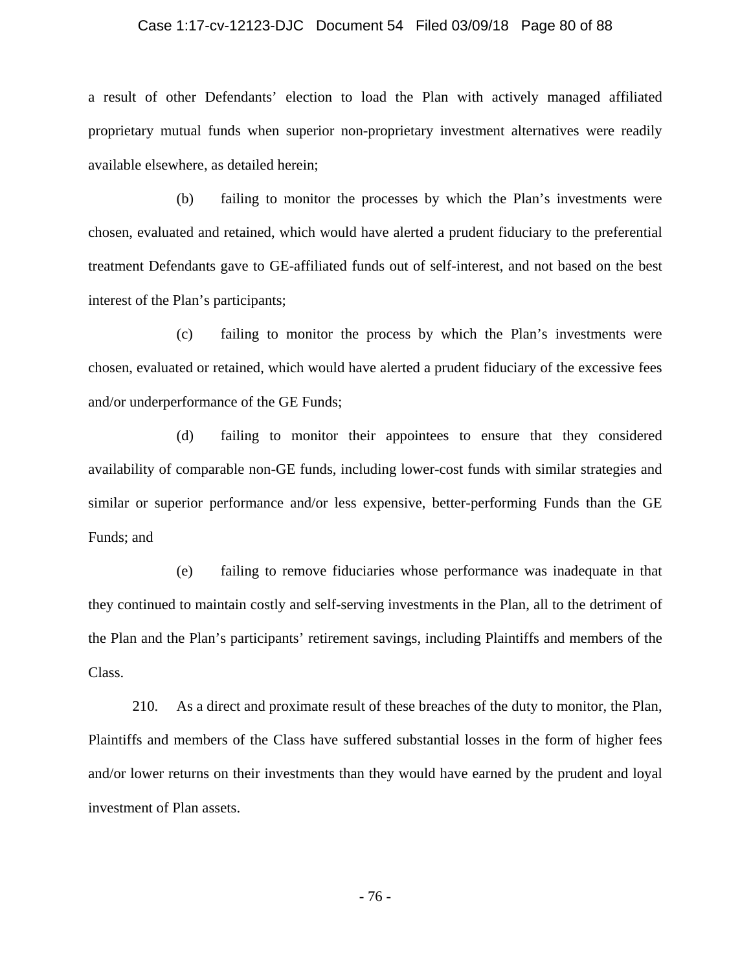#### Case 1:17-cv-12123-DJC Document 54 Filed 03/09/18 Page 80 of 88

a result of other Defendants' election to load the Plan with actively managed affiliated proprietary mutual funds when superior non-proprietary investment alternatives were readily available elsewhere, as detailed herein;

(b) failing to monitor the processes by which the Plan's investments were chosen, evaluated and retained, which would have alerted a prudent fiduciary to the preferential treatment Defendants gave to GE-affiliated funds out of self-interest, and not based on the best interest of the Plan's participants;

(c) failing to monitor the process by which the Plan's investments were chosen, evaluated or retained, which would have alerted a prudent fiduciary of the excessive fees and/or underperformance of the GE Funds;

(d) failing to monitor their appointees to ensure that they considered availability of comparable non-GE funds, including lower-cost funds with similar strategies and similar or superior performance and/or less expensive, better-performing Funds than the GE Funds; and

(e) failing to remove fiduciaries whose performance was inadequate in that they continued to maintain costly and self-serving investments in the Plan, all to the detriment of the Plan and the Plan's participants' retirement savings, including Plaintiffs and members of the Class.

210. As a direct and proximate result of these breaches of the duty to monitor, the Plan, Plaintiffs and members of the Class have suffered substantial losses in the form of higher fees and/or lower returns on their investments than they would have earned by the prudent and loyal investment of Plan assets.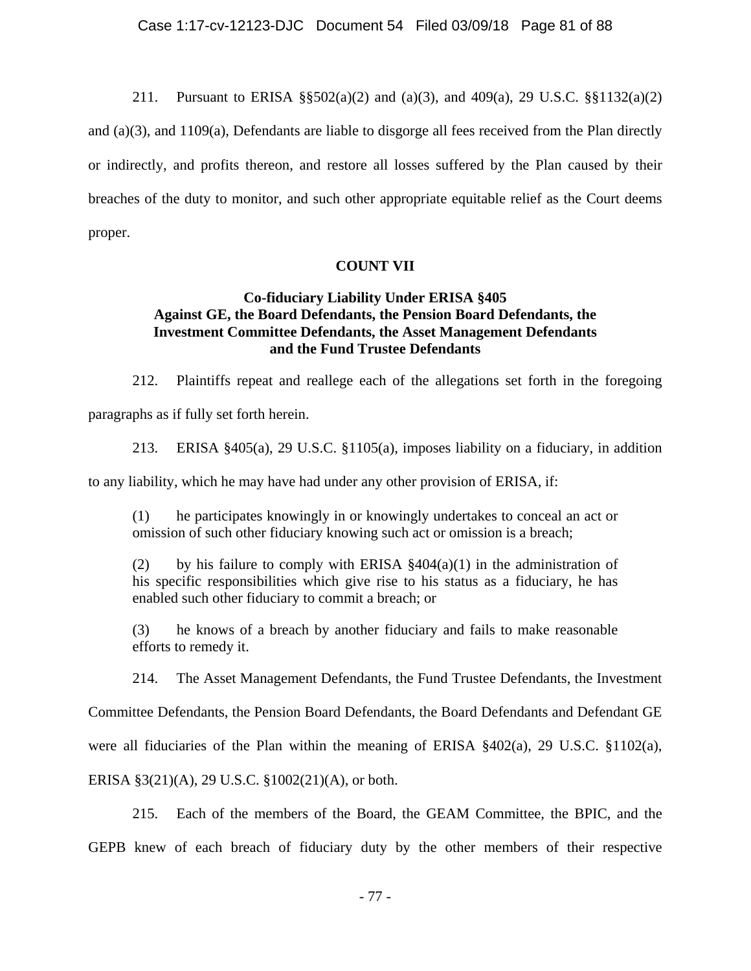211. Pursuant to ERISA §§502(a)(2) and (a)(3), and 409(a), 29 U.S.C. §§1132(a)(2)

and (a)(3), and 1109(a), Defendants are liable to disgorge all fees received from the Plan directly or indirectly, and profits thereon, and restore all losses suffered by the Plan caused by their breaches of the duty to monitor, and such other appropriate equitable relief as the Court deems proper.

# **COUNT VII**

# **Co-fiduciary Liability Under ERISA §405 Against GE, the Board Defendants, the Pension Board Defendants, the Investment Committee Defendants, the Asset Management Defendants and the Fund Trustee Defendants**

212. Plaintiffs repeat and reallege each of the allegations set forth in the foregoing paragraphs as if fully set forth herein.

213. ERISA §405(a), 29 U.S.C. §1105(a), imposes liability on a fiduciary, in addition to any liability, which he may have had under any other provision of ERISA, if:

(1) he participates knowingly in or knowingly undertakes to conceal an act or omission of such other fiduciary knowing such act or omission is a breach;

(2) by his failure to comply with ERISA  $\S 404(a)(1)$  in the administration of his specific responsibilities which give rise to his status as a fiduciary, he has enabled such other fiduciary to commit a breach; or

(3) he knows of a breach by another fiduciary and fails to make reasonable efforts to remedy it.

214. The Asset Management Defendants, the Fund Trustee Defendants, the Investment

Committee Defendants, the Pension Board Defendants, the Board Defendants and Defendant GE

were all fiduciaries of the Plan within the meaning of ERISA §402(a), 29 U.S.C. §1102(a),

ERISA §3(21)(A), 29 U.S.C. §1002(21)(A), or both.

215. Each of the members of the Board, the GEAM Committee, the BPIC, and the GEPB knew of each breach of fiduciary duty by the other members of their respective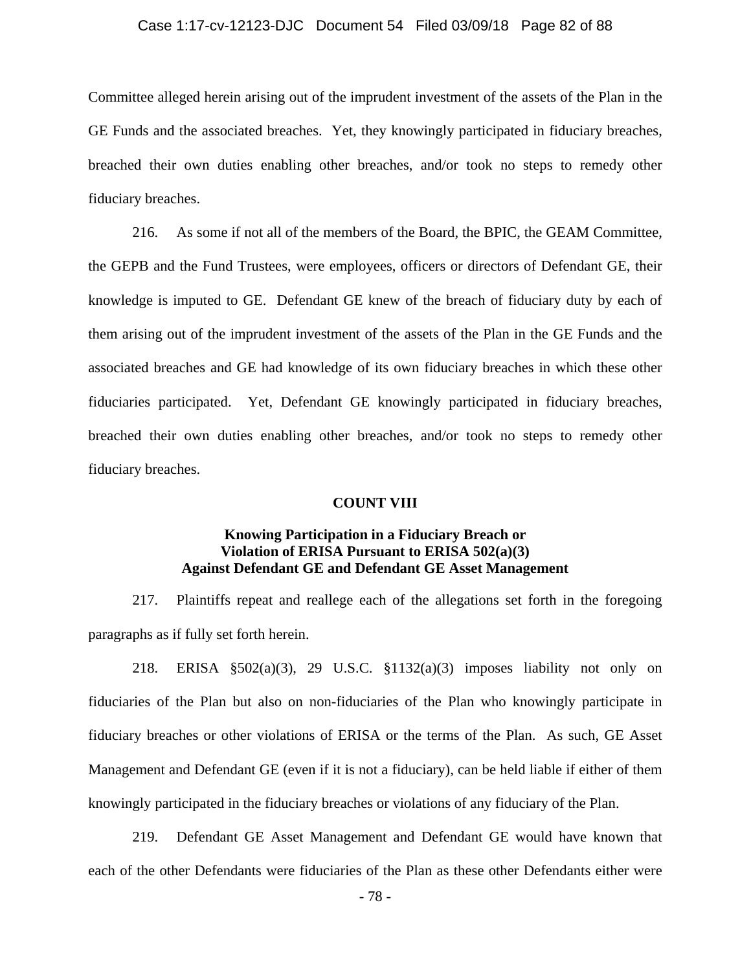### Case 1:17-cv-12123-DJC Document 54 Filed 03/09/18 Page 82 of 88

Committee alleged herein arising out of the imprudent investment of the assets of the Plan in the GE Funds and the associated breaches. Yet, they knowingly participated in fiduciary breaches, breached their own duties enabling other breaches, and/or took no steps to remedy other fiduciary breaches.

216. As some if not all of the members of the Board, the BPIC, the GEAM Committee, the GEPB and the Fund Trustees, were employees, officers or directors of Defendant GE, their knowledge is imputed to GE. Defendant GE knew of the breach of fiduciary duty by each of them arising out of the imprudent investment of the assets of the Plan in the GE Funds and the associated breaches and GE had knowledge of its own fiduciary breaches in which these other fiduciaries participated. Yet, Defendant GE knowingly participated in fiduciary breaches, breached their own duties enabling other breaches, and/or took no steps to remedy other fiduciary breaches.

### **COUNT VIII**

# **Knowing Participation in a Fiduciary Breach or Violation of ERISA Pursuant to ERISA 502(a)(3) Against Defendant GE and Defendant GE Asset Management**

217. Plaintiffs repeat and reallege each of the allegations set forth in the foregoing paragraphs as if fully set forth herein.

218. ERISA §502(a)(3), 29 U.S.C. §1132(a)(3) imposes liability not only on fiduciaries of the Plan but also on non-fiduciaries of the Plan who knowingly participate in fiduciary breaches or other violations of ERISA or the terms of the Plan. As such, GE Asset Management and Defendant GE (even if it is not a fiduciary), can be held liable if either of them knowingly participated in the fiduciary breaches or violations of any fiduciary of the Plan.

219. Defendant GE Asset Management and Defendant GE would have known that each of the other Defendants were fiduciaries of the Plan as these other Defendants either were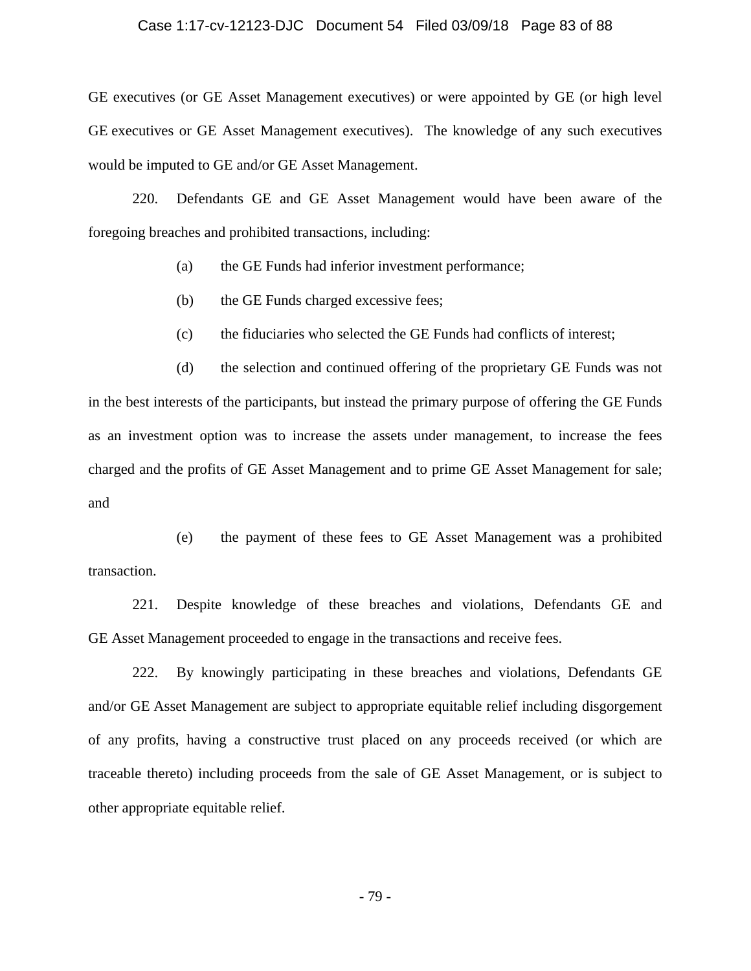#### Case 1:17-cv-12123-DJC Document 54 Filed 03/09/18 Page 83 of 88

GE executives (or GE Asset Management executives) or were appointed by GE (or high level GE executives or GE Asset Management executives). The knowledge of any such executives would be imputed to GE and/or GE Asset Management.

220. Defendants GE and GE Asset Management would have been aware of the foregoing breaches and prohibited transactions, including:

(a) the GE Funds had inferior investment performance;

(b) the GE Funds charged excessive fees;

(c) the fiduciaries who selected the GE Funds had conflicts of interest;

(d) the selection and continued offering of the proprietary GE Funds was not in the best interests of the participants, but instead the primary purpose of offering the GE Funds as an investment option was to increase the assets under management, to increase the fees charged and the profits of GE Asset Management and to prime GE Asset Management for sale; and

(e) the payment of these fees to GE Asset Management was a prohibited transaction.

221. Despite knowledge of these breaches and violations, Defendants GE and GE Asset Management proceeded to engage in the transactions and receive fees.

222. By knowingly participating in these breaches and violations, Defendants GE and/or GE Asset Management are subject to appropriate equitable relief including disgorgement of any profits, having a constructive trust placed on any proceeds received (or which are traceable thereto) including proceeds from the sale of GE Asset Management, or is subject to other appropriate equitable relief.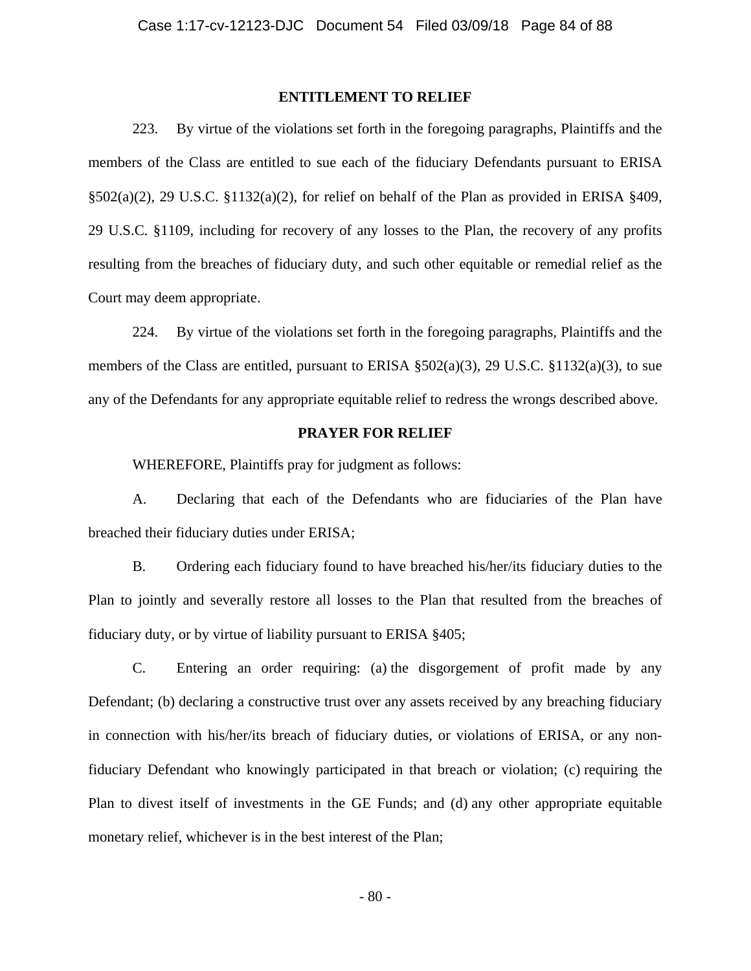## **ENTITLEMENT TO RELIEF**

223. By virtue of the violations set forth in the foregoing paragraphs, Plaintiffs and the members of the Class are entitled to sue each of the fiduciary Defendants pursuant to ERISA §502(a)(2), 29 U.S.C. §1132(a)(2), for relief on behalf of the Plan as provided in ERISA §409, 29 U.S.C. §1109, including for recovery of any losses to the Plan, the recovery of any profits resulting from the breaches of fiduciary duty, and such other equitable or remedial relief as the Court may deem appropriate.

224. By virtue of the violations set forth in the foregoing paragraphs, Plaintiffs and the members of the Class are entitled, pursuant to ERISA  $\S 502(a)(3)$ , 29 U.S.C.  $\S 1132(a)(3)$ , to sue any of the Defendants for any appropriate equitable relief to redress the wrongs described above.

## **PRAYER FOR RELIEF**

WHEREFORE, Plaintiffs pray for judgment as follows:

A. Declaring that each of the Defendants who are fiduciaries of the Plan have breached their fiduciary duties under ERISA;

B. Ordering each fiduciary found to have breached his/her/its fiduciary duties to the Plan to jointly and severally restore all losses to the Plan that resulted from the breaches of fiduciary duty, or by virtue of liability pursuant to ERISA §405;

C. Entering an order requiring: (a) the disgorgement of profit made by any Defendant; (b) declaring a constructive trust over any assets received by any breaching fiduciary in connection with his/her/its breach of fiduciary duties, or violations of ERISA, or any nonfiduciary Defendant who knowingly participated in that breach or violation; (c) requiring the Plan to divest itself of investments in the GE Funds; and (d) any other appropriate equitable monetary relief, whichever is in the best interest of the Plan;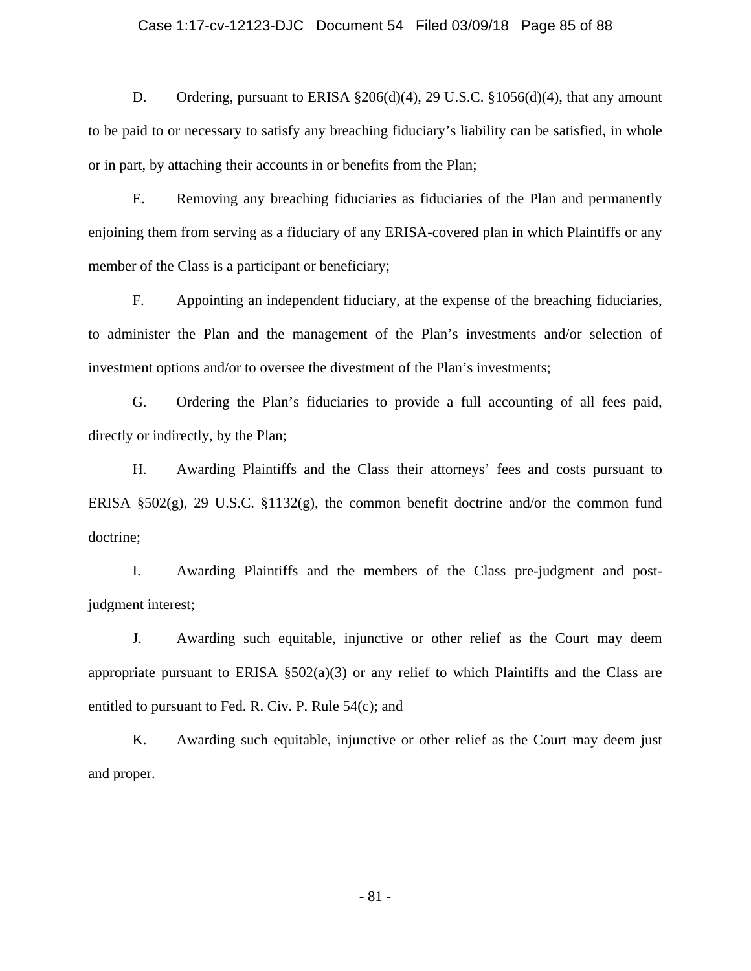### Case 1:17-cv-12123-DJC Document 54 Filed 03/09/18 Page 85 of 88

D. Ordering, pursuant to ERISA §206(d)(4), 29 U.S.C. §1056(d)(4), that any amount to be paid to or necessary to satisfy any breaching fiduciary's liability can be satisfied, in whole or in part, by attaching their accounts in or benefits from the Plan;

E. Removing any breaching fiduciaries as fiduciaries of the Plan and permanently enjoining them from serving as a fiduciary of any ERISA-covered plan in which Plaintiffs or any member of the Class is a participant or beneficiary;

F. Appointing an independent fiduciary, at the expense of the breaching fiduciaries, to administer the Plan and the management of the Plan's investments and/or selection of investment options and/or to oversee the divestment of the Plan's investments;

G. Ordering the Plan's fiduciaries to provide a full accounting of all fees paid, directly or indirectly, by the Plan;

H. Awarding Plaintiffs and the Class their attorneys' fees and costs pursuant to ERISA  $\S502(g)$ , 29 U.S.C.  $\S1132(g)$ , the common benefit doctrine and/or the common fund doctrine;

I. Awarding Plaintiffs and the members of the Class pre-judgment and postjudgment interest;

J. Awarding such equitable, injunctive or other relief as the Court may deem appropriate pursuant to ERISA  $\S502(a)(3)$  or any relief to which Plaintiffs and the Class are entitled to pursuant to Fed. R. Civ. P. Rule 54(c); and

K. Awarding such equitable, injunctive or other relief as the Court may deem just and proper.

- 81 -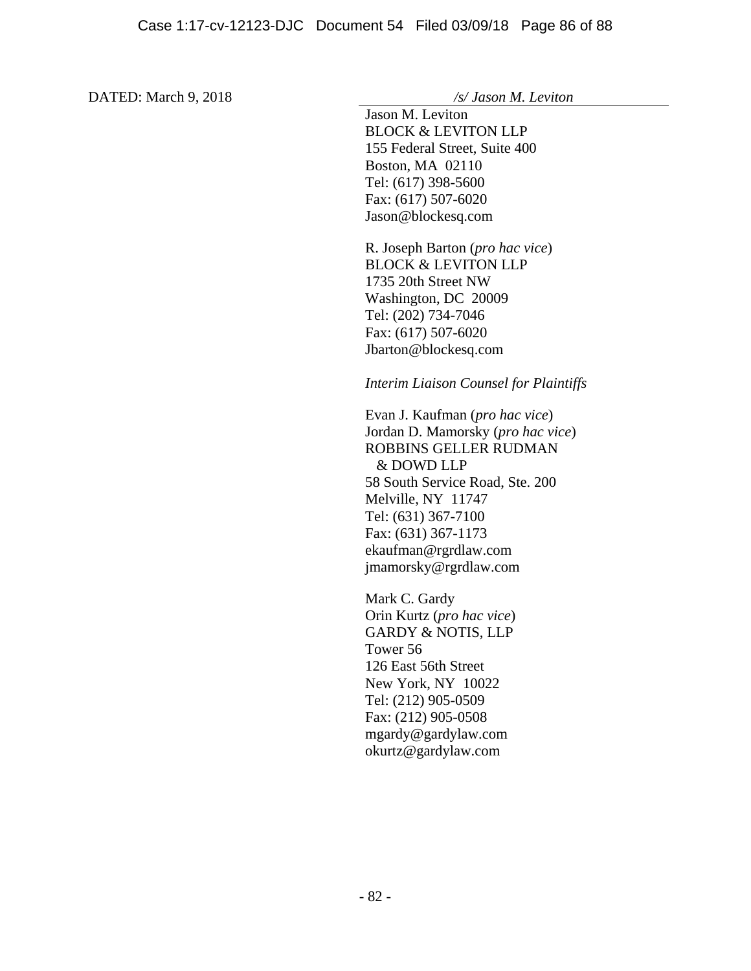DATED: March 9, 2018 */s/ Jason M. Leviton* 

 Jason M. Leviton BLOCK & LEVITON LLP 155 Federal Street, Suite 400 Boston, MA 02110 Tel: (617) 398-5600 Fax: (617) 507-6020 Jason@blockesq.com

R. Joseph Barton (*pro hac vice*) BLOCK & LEVITON LLP 1735 20th Street NW Washington, DC 20009 Tel: (202) 734-7046 Fax: (617) 507-6020 Jbarton@blockesq.com

## *Interim Liaison Counsel for Plaintiffs*

Evan J. Kaufman (*pro hac vice*) Jordan D. Mamorsky (*pro hac vice*) ROBBINS GELLER RUDMAN & DOWD LLP 58 South Service Road, Ste. 200 Melville, NY 11747 Tel: (631) 367-7100 Fax: (631) 367-1173 ekaufman@rgrdlaw.com jmamorsky@rgrdlaw.com

Mark C. Gardy Orin Kurtz (*pro hac vice*) GARDY & NOTIS, LLP Tower 56 126 East 56th Street New York, NY 10022 Tel: (212) 905-0509 Fax: (212) 905-0508 mgardy@gardylaw.com okurtz@gardylaw.com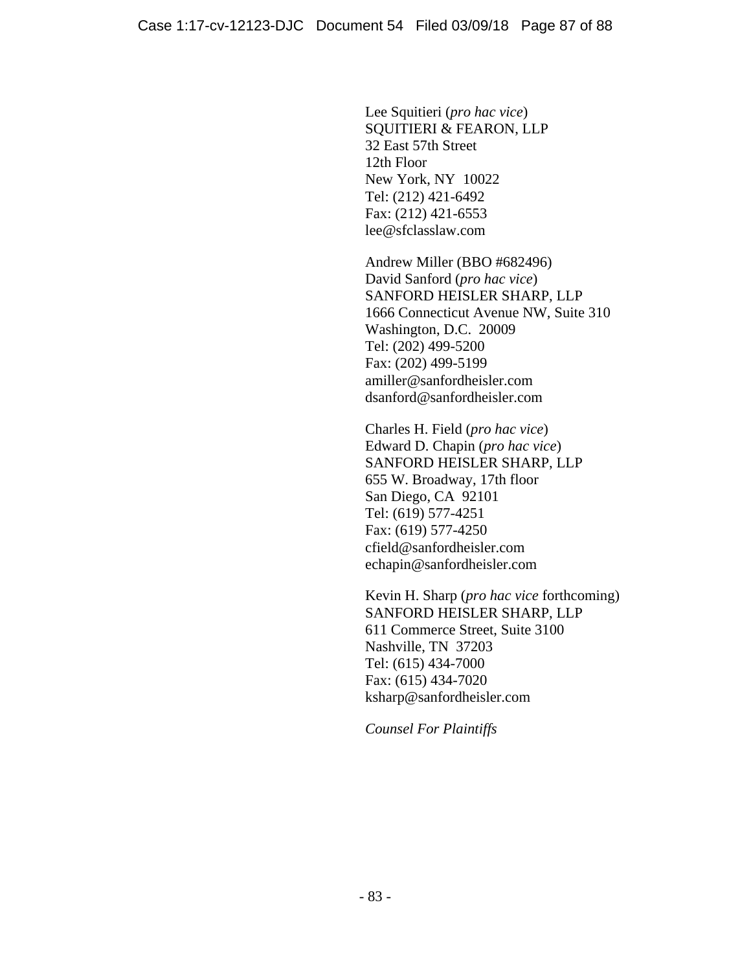Lee Squitieri (*pro hac vice*) SQUITIERI & FEARON, LLP 32 East 57th Street 12th Floor New York, NY 10022 Tel: (212) 421-6492 Fax: (212) 421-6553 lee@sfclasslaw.com

Andrew Miller (BBO #682496) David Sanford (*pro hac vice*) SANFORD HEISLER SHARP, LLP 1666 Connecticut Avenue NW, Suite 310 Washington, D.C. 20009 Tel: (202) 499-5200 Fax: (202) 499-5199 amiller@sanfordheisler.com dsanford@sanfordheisler.com

Charles H. Field (*pro hac vice*) Edward D. Chapin (*pro hac vice*) SANFORD HEISLER SHARP, LLP 655 W. Broadway, 17th floor San Diego, CA 92101 Tel: (619) 577-4251 Fax: (619) 577-4250 cfield@sanfordheisler.com echapin@sanfordheisler.com

Kevin H. Sharp (*pro hac vice* forthcoming) SANFORD HEISLER SHARP, LLP 611 Commerce Street, Suite 3100 Nashville, TN 37203 Tel: (615) 434-7000 Fax: (615) 434-7020 ksharp@sanfordheisler.com

*Counsel For Plaintiffs*